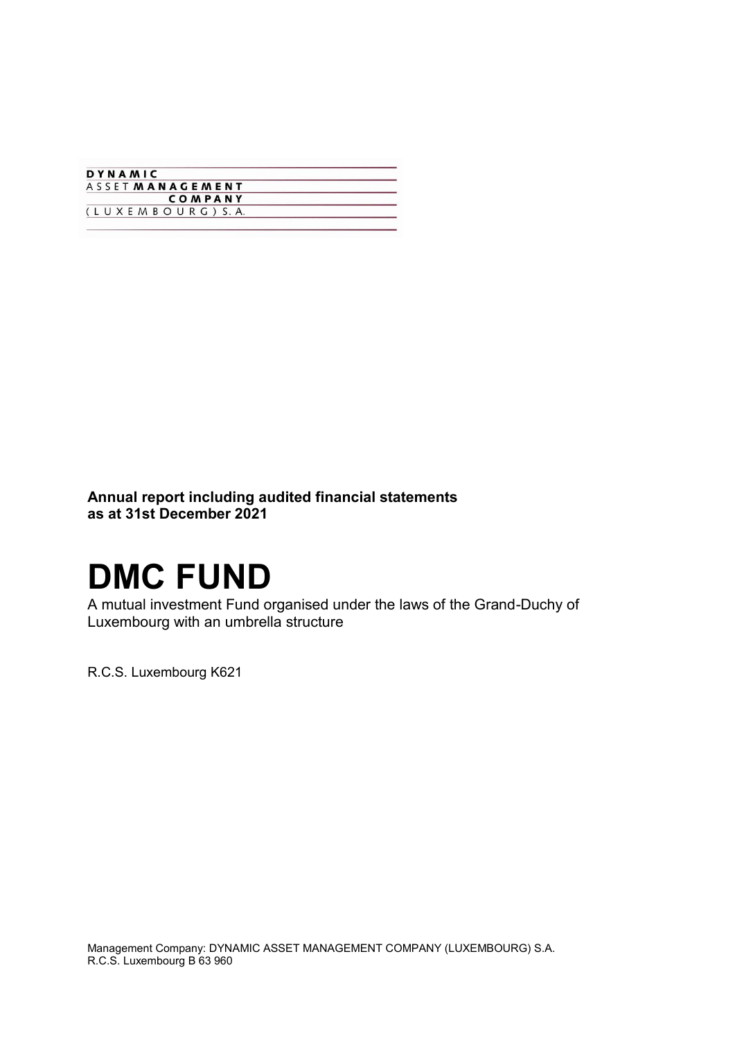| DYNAMIC                |  |
|------------------------|--|
| <b>ASSETMANAGEMENT</b> |  |
| <b>COMPANY</b>         |  |
| (LUXEMBOURG) S.A.      |  |

**Annual report including audited financial statements as at 31st December 2021**

# **DMC FUND**

A mutual investment Fund organised under the laws of the Grand-Duchy of Luxembourg with an umbrella structure

R.C.S. Luxembourg K621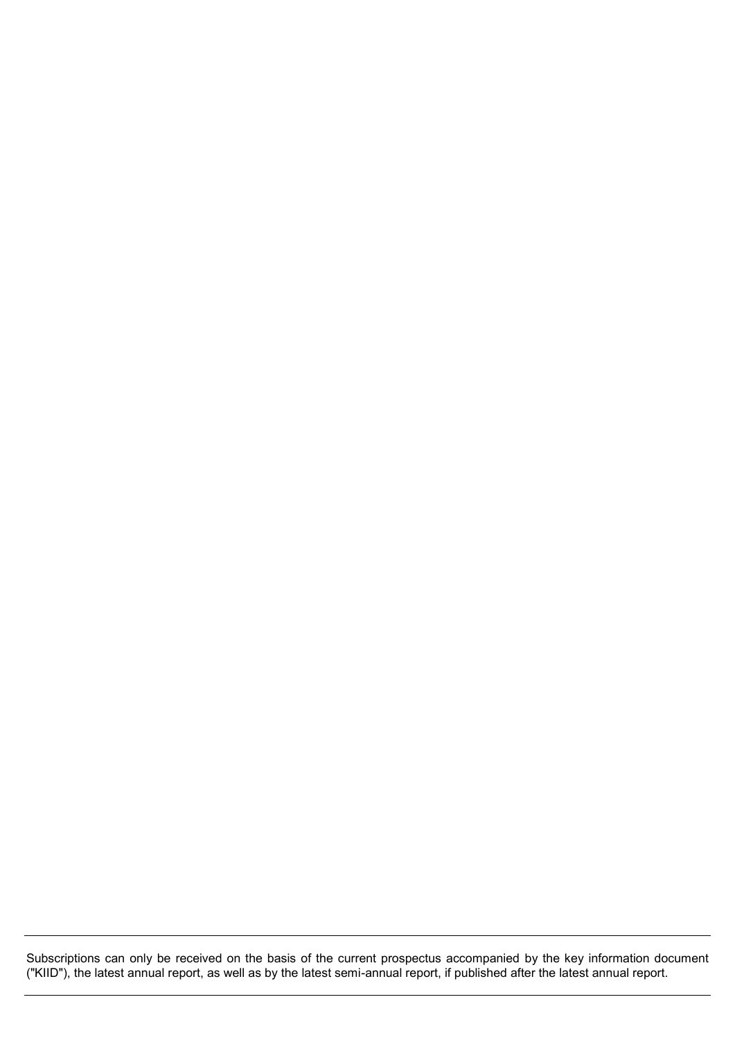Subscriptions can only be received on the basis of the current prospectus accompanied by the key information document ("KIID"), the latest annual report, as well as by the latest semi-annual report, if published after the latest annual report.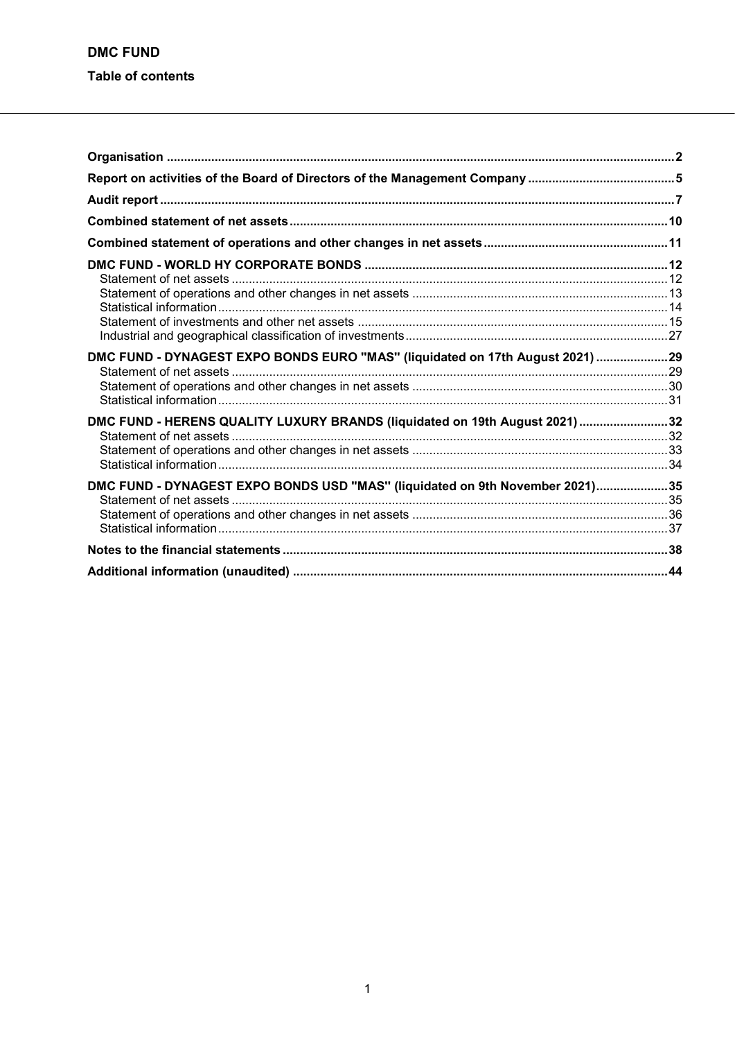| DMC FUND - DYNAGEST EXPO BONDS EURO "MAS" (liquidated on 17th August 2021) 29 |  |
|-------------------------------------------------------------------------------|--|
|                                                                               |  |
|                                                                               |  |
|                                                                               |  |
| DMC FUND - HERENS QUALITY LUXURY BRANDS (liquidated on 19th August 2021) 32   |  |
|                                                                               |  |
|                                                                               |  |
|                                                                               |  |
| DMC FUND - DYNAGEST EXPO BONDS USD "MAS" (liquidated on 9th November 2021)35  |  |
|                                                                               |  |
|                                                                               |  |
|                                                                               |  |
|                                                                               |  |
|                                                                               |  |
|                                                                               |  |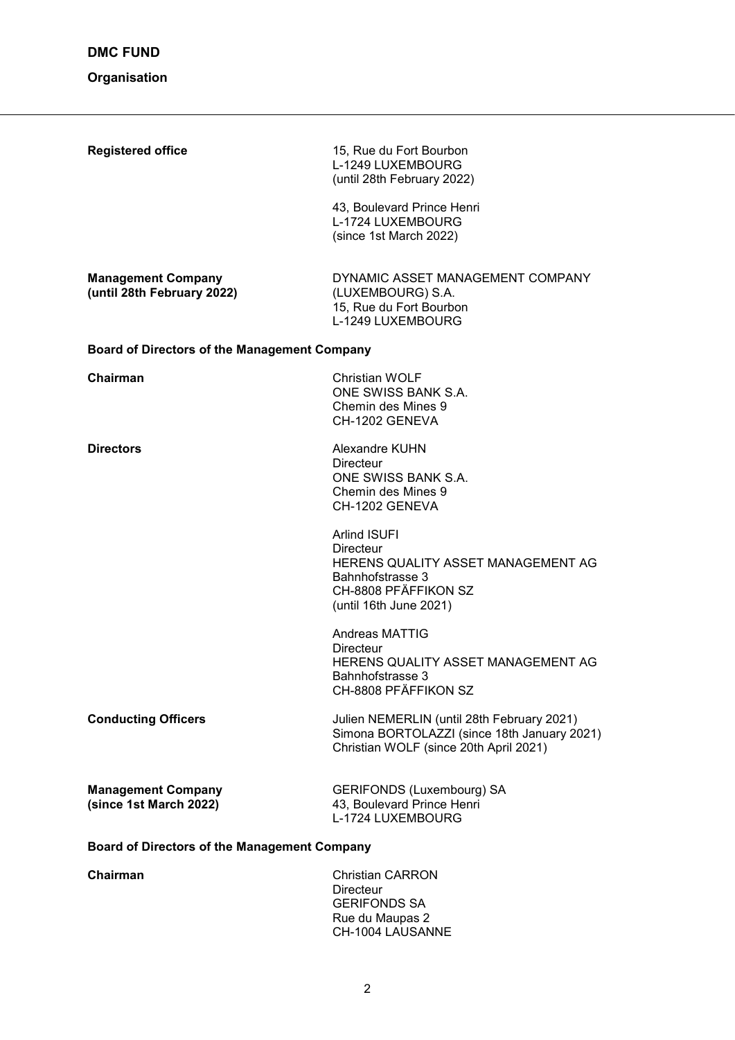# **Organisation**

| <b>Registered office</b>                                | 15, Rue du Fort Bourbon<br>L-1249 LUXEMBOURG<br>(until 28th February 2022)                                                                          |  |  |
|---------------------------------------------------------|-----------------------------------------------------------------------------------------------------------------------------------------------------|--|--|
|                                                         | 43, Boulevard Prince Henri<br>L-1724 LUXEMBOURG<br>(since 1st March 2022)                                                                           |  |  |
| <b>Management Company</b><br>(until 28th February 2022) | DYNAMIC ASSET MANAGEMENT COMPANY<br>(LUXEMBOURG) S.A.<br>15, Rue du Fort Bourbon<br>L-1249 LUXEMBOURG                                               |  |  |
| <b>Board of Directors of the Management Company</b>     |                                                                                                                                                     |  |  |
| Chairman                                                | <b>Christian WOLF</b><br>ONE SWISS BANK S.A.<br>Chemin des Mines 9<br>CH-1202 GENEVA                                                                |  |  |
| <b>Directors</b>                                        | Alexandre KUHN<br><b>Directeur</b><br>ONE SWISS BANK S.A.<br>Chemin des Mines 9<br>CH-1202 GENEVA                                                   |  |  |
|                                                         | <b>Arlind ISUFI</b><br><b>Directeur</b><br>HERENS QUALITY ASSET MANAGEMENT AG<br>Bahnhofstrasse 3<br>CH-8808 PFÄFFIKON SZ<br>(until 16th June 2021) |  |  |
|                                                         | <b>Andreas MATTIG</b><br>Directeur<br>HERENS QUALITY ASSET MANAGEMENT AG<br>Bahnhofstrasse 3<br>CH-8808 PFÄFFIKON SZ                                |  |  |
| <b>Conducting Officers</b>                              | Julien NEMERLIN (until 28th February 2021)<br>Simona BORTOLAZZI (since 18th January 2021)<br>Christian WOLF (since 20th April 2021)                 |  |  |
| <b>Management Company</b><br>(since 1st March 2022)     | <b>GERIFONDS (Luxembourg) SA</b><br>43, Boulevard Prince Henri<br>L-1724 LUXEMBOURG                                                                 |  |  |
| <b>Board of Directors of the Management Company</b>     |                                                                                                                                                     |  |  |
| Chairman                                                | <b>Christian CARRON</b><br><b>Directeur</b><br><b>GERIFONDS SA</b>                                                                                  |  |  |

Rue du Maupas 2 CH-1004 LAUSANNE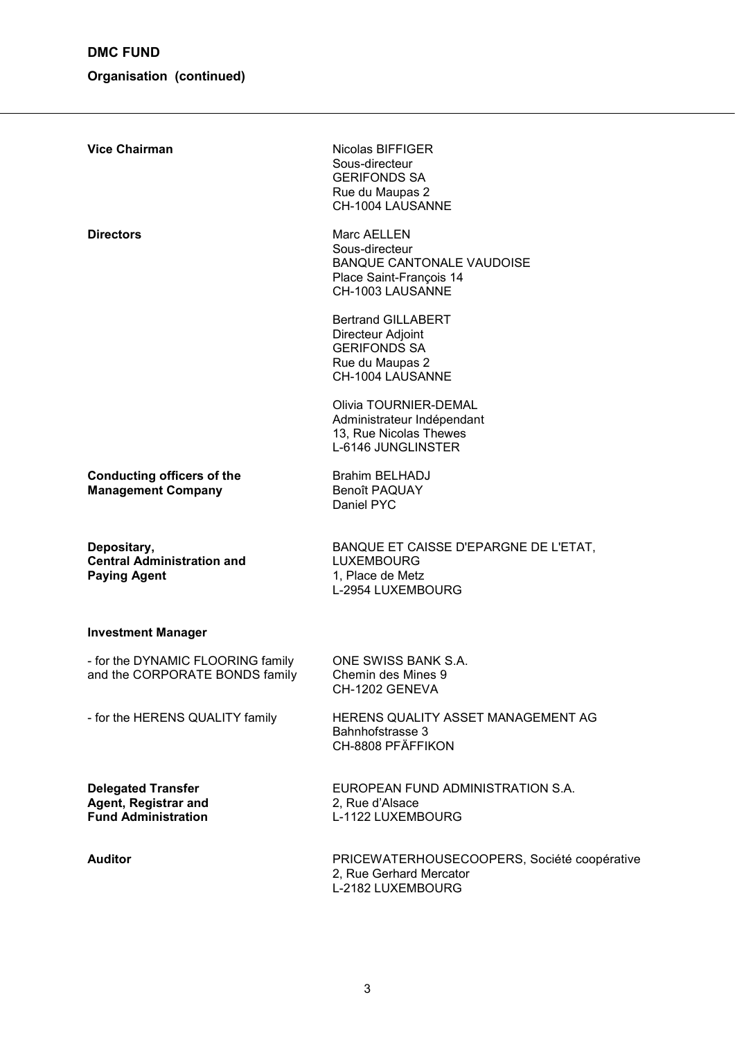# **Organisation (continued)**

| <b>Vice Chairman</b>                                                            | Nicolas BIFFIGER<br>Sous-directeur<br><b>GERIFONDS SA</b><br>Rue du Maupas 2<br>CH-1004 LAUSANNE                 |
|---------------------------------------------------------------------------------|------------------------------------------------------------------------------------------------------------------|
| <b>Directors</b>                                                                | Marc AELLEN<br>Sous-directeur<br><b>BANQUE CANTONALE VAUDOISE</b><br>Place Saint-François 14<br>CH-1003 LAUSANNE |
|                                                                                 | <b>Bertrand GILLABERT</b><br>Directeur Adjoint<br><b>GERIFONDS SA</b><br>Rue du Maupas 2<br>CH-1004 LAUSANNE     |
|                                                                                 | Olivia TOURNIER-DEMAL<br>Administrateur Indépendant<br>13, Rue Nicolas Thewes<br>L-6146 JUNGLINSTER              |
| <b>Conducting officers of the</b><br><b>Management Company</b>                  | <b>Brahim BELHADJ</b><br><b>Benoît PAQUAY</b><br>Daniel PYC                                                      |
| Depositary,<br><b>Central Administration and</b><br><b>Paying Agent</b>         | BANQUE ET CAISSE D'EPARGNE DE L'ETAT,<br><b>LUXEMBOURG</b><br>1, Place de Metz<br>L-2954 LUXEMBOURG              |
| <b>Investment Manager</b>                                                       |                                                                                                                  |
| - for the DYNAMIC FLOORING family<br>and the CORPORATE BONDS family             | ONE SWISS BANK S.A.<br>Chemin des Mines 9<br>CH-1202 GENEVA                                                      |
| - for the HERENS QUALITY family                                                 | HERENS QUALITY ASSET MANAGEMENT AG<br>Bahnhofstrasse 3<br>CH-8808 PFÄFFIKON                                      |
| <b>Delegated Transfer</b><br>Agent, Registrar and<br><b>Fund Administration</b> | EUROPEAN FUND ADMINISTRATION S.A.<br>2, Rue d'Alsace<br>L-1122 LUXEMBOURG                                        |
| <b>Auditor</b>                                                                  | PRICEWATERHOUSECOOPERS, Société coopérative<br>2, Rue Gerhard Mercator<br>L-2182 LUXEMBOURG                      |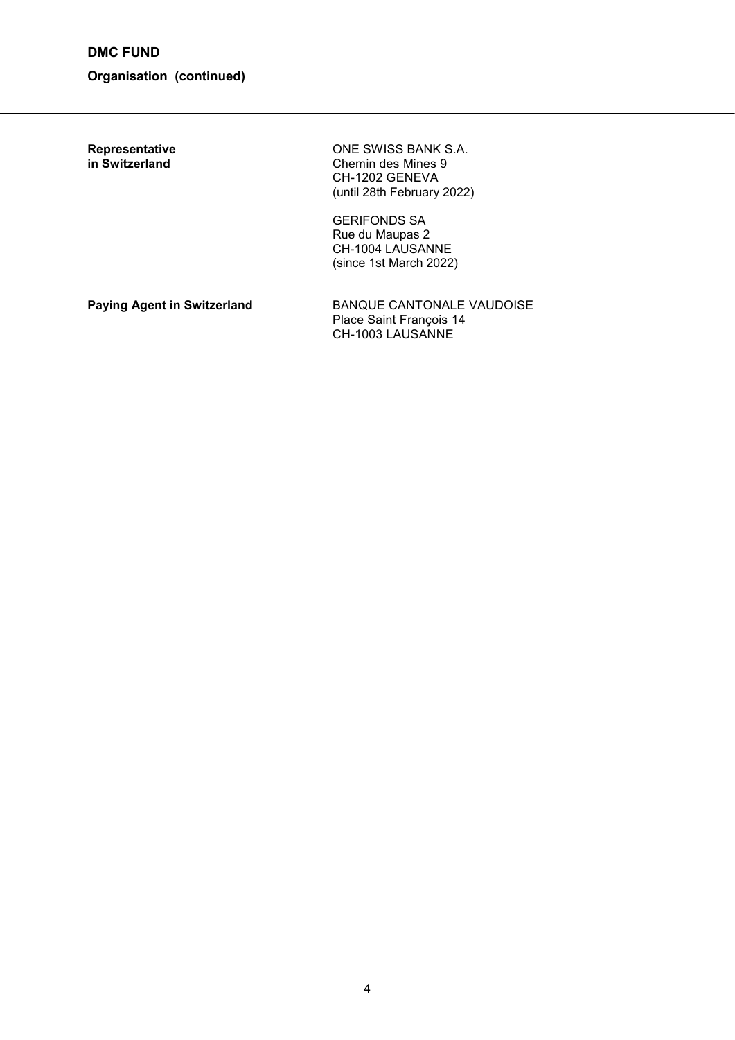**DMC FUND**

## **Organisation (continued)**

**Representative CONE SWISS BANK S.A.**<br> **in Switzerland Chemin des Mines 9 Chemin des Mines 9** CH-1202 GENEVA (until 28th February 2022)

> GERIFONDS SA Rue du Maupas 2 CH-1004 LAUSANNE (since 1st March 2022)

**Paying Agent in Switzerland BANQUE CANTONALE VAUDOISE** Place Saint François 14 CH-1003 LAUSANNE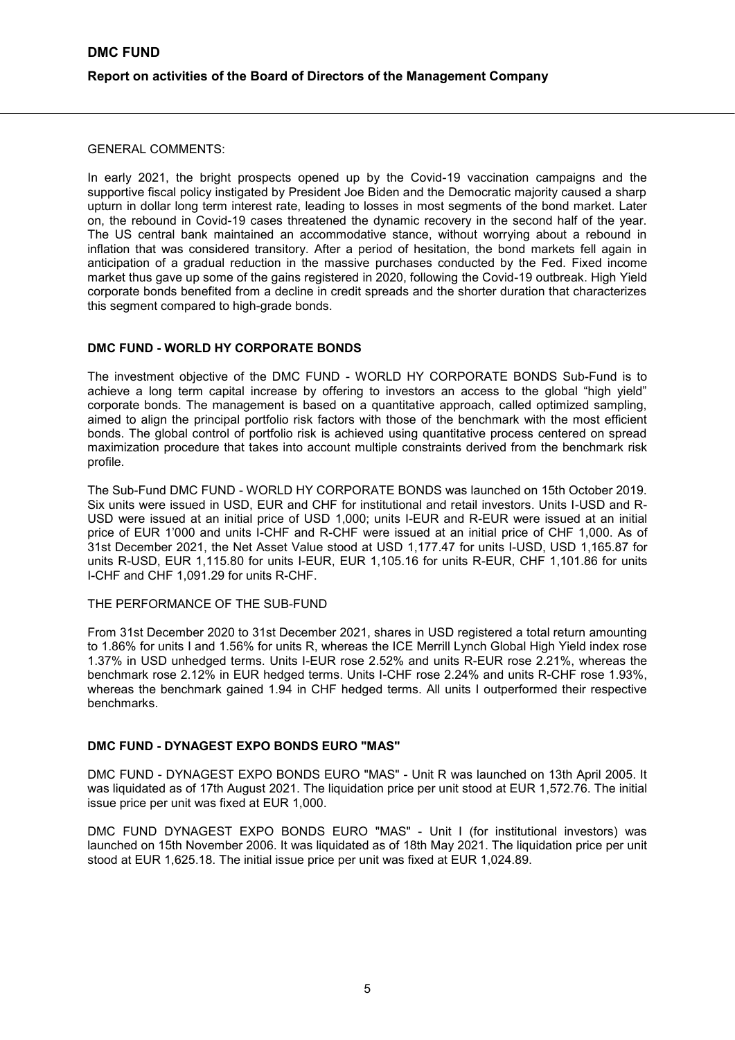GENERAL COMMENTS:

In early 2021, the bright prospects opened up by the Covid-19 vaccination campaigns and the supportive fiscal policy instigated by President Joe Biden and the Democratic majority caused a sharp upturn in dollar long term interest rate, leading to losses in most segments of the bond market. Later on, the rebound in Covid-19 cases threatened the dynamic recovery in the second half of the year. The US central bank maintained an accommodative stance, without worrying about a rebound in inflation that was considered transitory. After a period of hesitation, the bond markets fell again in anticipation of a gradual reduction in the massive purchases conducted by the Fed. Fixed income market thus gave up some of the gains registered in 2020, following the Covid-19 outbreak. High Yield corporate bonds benefited from a decline in credit spreads and the shorter duration that characterizes this segment compared to high-grade bonds.

#### **DMC FUND - WORLD HY CORPORATE BONDS**

The investment objective of the DMC FUND - WORLD HY CORPORATE BONDS Sub-Fund is to achieve a long term capital increase by offering to investors an access to the global "high yield" corporate bonds. The management is based on a quantitative approach, called optimized sampling, aimed to align the principal portfolio risk factors with those of the benchmark with the most efficient bonds. The global control of portfolio risk is achieved using quantitative process centered on spread maximization procedure that takes into account multiple constraints derived from the benchmark risk profile.

The Sub-Fund DMC FUND - WORLD HY CORPORATE BONDS was launched on 15th October 2019. Six units were issued in USD, EUR and CHF for institutional and retail investors. Units I-USD and R-USD were issued at an initial price of USD 1,000; units I-EUR and R-EUR were issued at an initial price of EUR 1'000 and units I-CHF and R-CHF were issued at an initial price of CHF 1,000. As of 31st December 2021, the Net Asset Value stood at USD 1,177.47 for units I-USD, USD 1,165.87 for units R-USD, EUR 1,115.80 for units I-EUR, EUR 1,105.16 for units R-EUR, CHF 1,101.86 for units I-CHF and CHF 1,091.29 for units R-CHF.

#### THE PERFORMANCE OF THE SUB-FUND

From 31st December 2020 to 31st December 2021, shares in USD registered a total return amounting to 1.86% for units I and 1.56% for units R, whereas the ICE Merrill Lynch Global High Yield index rose 1.37% in USD unhedged terms. Units I-EUR rose 2.52% and units R-EUR rose 2.21%, whereas the benchmark rose 2.12% in EUR hedged terms. Units I-CHF rose 2.24% and units R-CHF rose 1.93%, whereas the benchmark gained 1.94 in CHF hedged terms. All units I outperformed their respective benchmarks.

#### **DMC FUND - DYNAGEST EXPO BONDS EURO "MAS"**

DMC FUND - DYNAGEST EXPO BONDS EURO "MAS" - Unit R was launched on 13th April 2005. It was liquidated as of 17th August 2021. The liquidation price per unit stood at EUR 1,572.76. The initial issue price per unit was fixed at EUR 1,000.

DMC FUND DYNAGEST EXPO BONDS EURO "MAS" - Unit I (for institutional investors) was launched on 15th November 2006. It was liquidated as of 18th May 2021. The liquidation price per unit stood at EUR 1,625.18. The initial issue price per unit was fixed at EUR 1,024.89.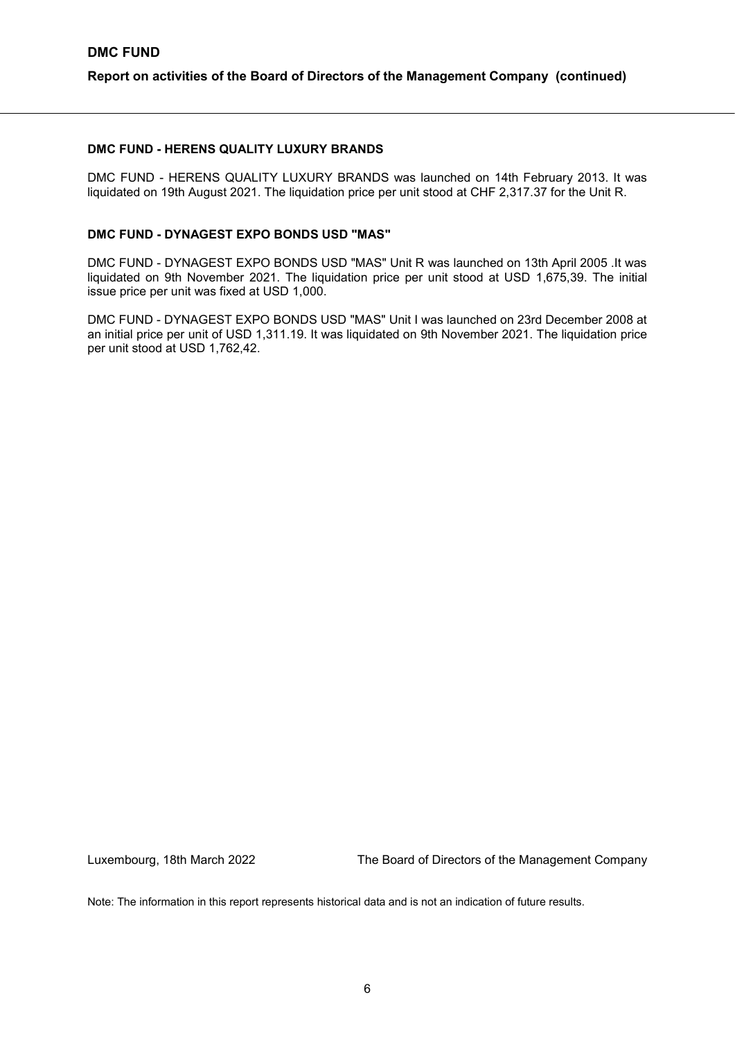DMC FUND - HERENS QUALITY LUXURY BRANDS was launched on 14th February 2013. It was liquidated on 19th August 2021. The liquidation price per unit stood at CHF 2,317.37 for the Unit R.

#### **DMC FUND - DYNAGEST EXPO BONDS USD "MAS"**

DMC FUND - DYNAGEST EXPO BONDS USD "MAS" Unit R was launched on 13th April 2005 .It was liquidated on 9th November 2021. The liquidation price per unit stood at USD 1,675,39. The initial issue price per unit was fixed at USD 1,000.

DMC FUND - DYNAGEST EXPO BONDS USD "MAS" Unit I was launched on 23rd December 2008 at an initial price per unit of USD 1,311.19. It was liquidated on 9th November 2021. The liquidation price per unit stood at USD 1,762,42.

Luxembourg, 18th March 2022 The Board of Directors of the Management Company

Note: The information in this report represents historical data and is not an indication of future results.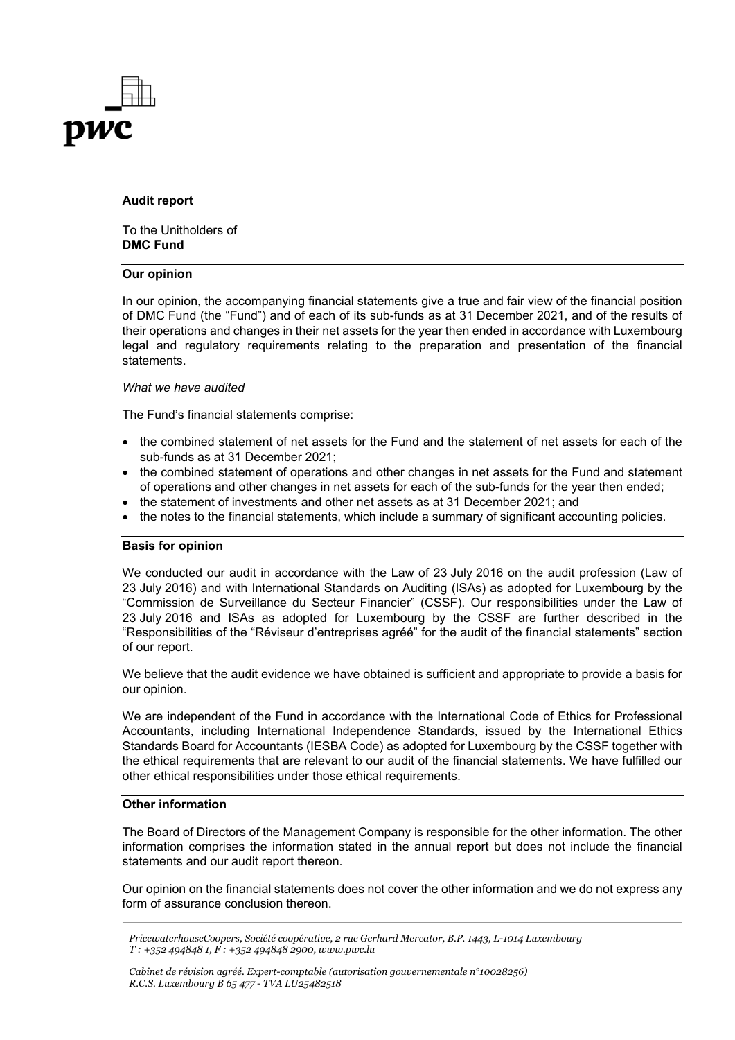

#### **Audit report**

To the Unitholders of **DMC Fund**

#### **Our opinion**

In our opinion, the accompanying financial statements give a true and fair view of the financial position of DMC Fund (the "Fund") and of each of its sub-funds as at 31 December 2021, and of the results of their operations and changes in their net assets for the year then ended in accordance with Luxembourg legal and regulatory requirements relating to the preparation and presentation of the financial statements.

#### *What we have audited*

The Fund's financial statements comprise:

- the combined statement of net assets for the Fund and the statement of net assets for each of the sub-funds as at 31 December 2021;
- the combined statement of operations and other changes in net assets for the Fund and statement of operations and other changes in net assets for each of the sub-funds for the year then ended;
- the statement of investments and other net assets as at 31 December 2021; and
- the notes to the financial statements, which include a summary of significant accounting policies.

#### **Basis for opinion**

We conducted our audit in accordance with the Law of 23 July 2016 on the audit profession (Law of 23 July 2016) and with International Standards on Auditing (ISAs) as adopted for Luxembourg by the "Commission de Surveillance du Secteur Financier" (CSSF). Our responsibilities under the Law of 23 July 2016 and ISAs as adopted for Luxembourg by the CSSF are further described in the "Responsibilities of the "Réviseur d'entreprises agréé" for the audit of the financial statements" section of our report.

We believe that the audit evidence we have obtained is sufficient and appropriate to provide a basis for our opinion.

We are independent of the Fund in accordance with the International Code of Ethics for Professional Accountants, including International Independence Standards, issued by the International Ethics Standards Board for Accountants (IESBA Code) as adopted for Luxembourg by the CSSF together with the ethical requirements that are relevant to our audit of the financial statements. We have fulfilled our other ethical responsibilities under those ethical requirements.

#### **Other information**

The Board of Directors of the Management Company is responsible for the other information. The other information comprises the information stated in the annual report but does not include the financial statements and our audit report thereon.

Our opinion on the financial statements does not cover the other information and we do not express any form of assurance conclusion thereon.

*PricewaterhouseCoopers, Société coopérative, 2 rue Gerhard Mercator, B.P. 1443, L-1014 Luxembourg T : +352 494848 1, F : +352 494848 2900, www.pwc.lu*

*Cabinet de révision agréé. Expert-comptable (autorisation gouvernementale n°10028256) R.C.S. Luxembourg B 65 477 - TVA LU25482518*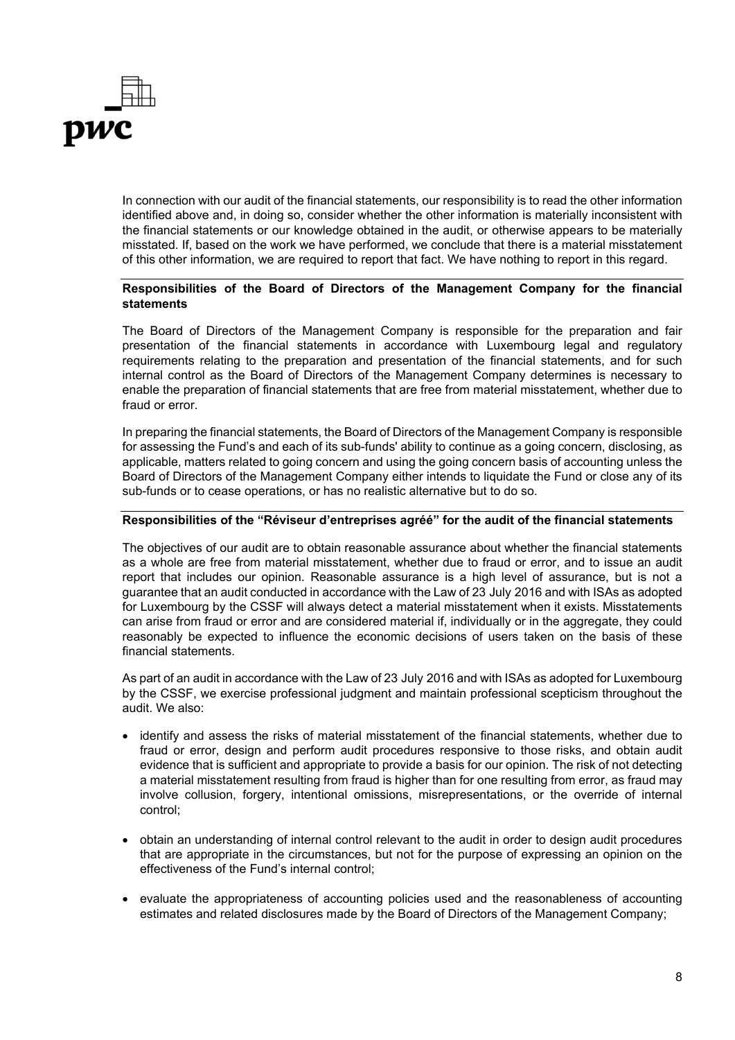

In connection with our audit of the financial statements, our responsibility is to read the other information identified above and, in doing so, consider whether the other information is materially inconsistent with the financial statements or our knowledge obtained in the audit, or otherwise appears to be materially misstated. If, based on the work we have performed, we conclude that there is a material misstatement of this other information, we are required to report that fact. We have nothing to report in this regard.

#### **Responsibilities of the Board of Directors of the Management Company for the financial statements**

The Board of Directors of the Management Company is responsible for the preparation and fair presentation of the financial statements in accordance with Luxembourg legal and regulatory requirements relating to the preparation and presentation of the financial statements, and for such internal control as the Board of Directors of the Management Company determines is necessary to enable the preparation of financial statements that are free from material misstatement, whether due to fraud or error.

In preparing the financial statements, the Board of Directors of the Management Company is responsible for assessing the Fund's and each of its sub-funds' ability to continue as a going concern, disclosing, as applicable, matters related to going concern and using the going concern basis of accounting unless the Board of Directors of the Management Company either intends to liquidate the Fund or close any of its sub-funds or to cease operations, or has no realistic alternative but to do so.

#### **Responsibilities of the "Réviseur d'entreprises agréé" for the audit of the financial statements**

The objectives of our audit are to obtain reasonable assurance about whether the financial statements as a whole are free from material misstatement, whether due to fraud or error, and to issue an audit report that includes our opinion. Reasonable assurance is a high level of assurance, but is not a guarantee that an audit conducted in accordance with the Law of 23 July 2016 and with ISAs as adopted for Luxembourg by the CSSF will always detect a material misstatement when it exists. Misstatements can arise from fraud or error and are considered material if, individually or in the aggregate, they could reasonably be expected to influence the economic decisions of users taken on the basis of these financial statements.

As part of an audit in accordance with the Law of 23 July 2016 and with ISAs as adopted for Luxembourg by the CSSF, we exercise professional judgment and maintain professional scepticism throughout the audit. We also:

- identify and assess the risks of material misstatement of the financial statements, whether due to fraud or error, design and perform audit procedures responsive to those risks, and obtain audit evidence that is sufficient and appropriate to provide a basis for our opinion. The risk of not detecting a material misstatement resulting from fraud is higher than for one resulting from error, as fraud may involve collusion, forgery, intentional omissions, misrepresentations, or the override of internal control;
- obtain an understanding of internal control relevant to the audit in order to design audit procedures that are appropriate in the circumstances, but not for the purpose of expressing an opinion on the effectiveness of the Fund's internal control;
- evaluate the appropriateness of accounting policies used and the reasonableness of accounting estimates and related disclosures made by the Board of Directors of the Management Company;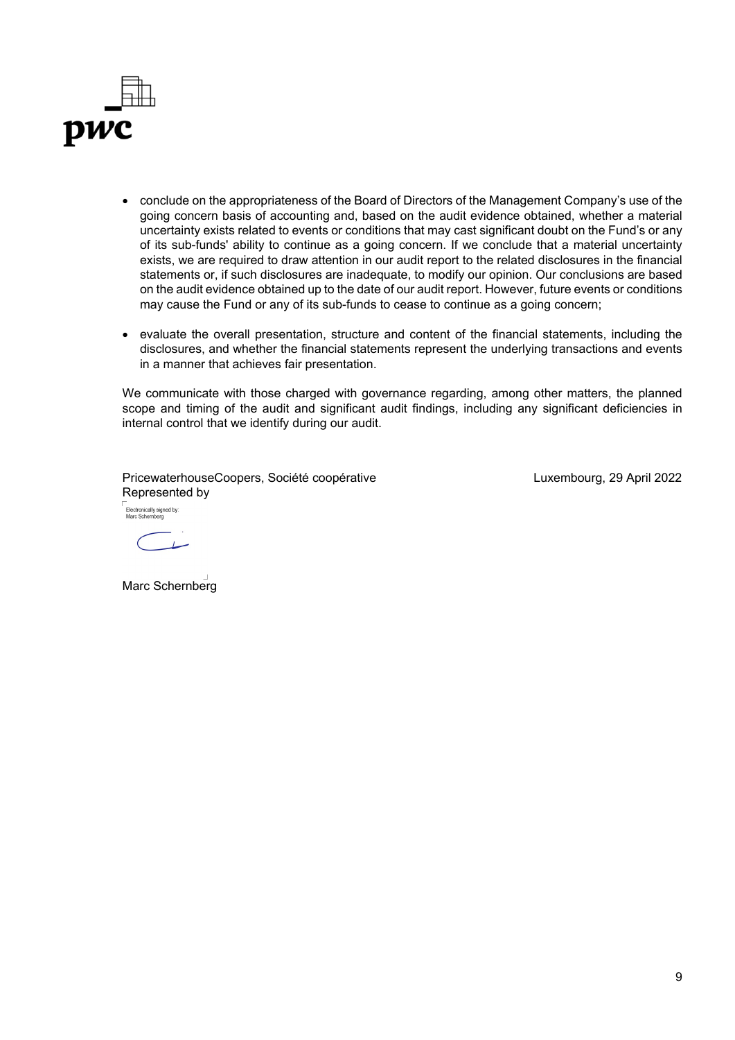

- conclude on the appropriateness of the Board of Directors of the Management Company's use of the going concern basis of accounting and, based on the audit evidence obtained, whether a material uncertainty exists related to events or conditions that may cast significant doubt on the Fund's or any of its sub-funds' ability to continue as a going concern. If we conclude that a material uncertainty exists, we are required to draw attention in our audit report to the related disclosures in the financial statements or, if such disclosures are inadequate, to modify our opinion. Our conclusions are based on the audit evidence obtained up to the date of our audit report. However, future events or conditions may cause the Fund or any of its sub-funds to cease to continue as a going concern;
- evaluate the overall presentation, structure and content of the financial statements, including the disclosures, and whether the financial statements represent the underlying transactions and events in a manner that achieves fair presentation.

We communicate with those charged with governance regarding, among other matters, the planned scope and timing of the audit and significant audit findings, including any significant deficiencies in internal control that we identify during our audit.

PricewaterhouseCoopers, Société coopérative Represented by Electronically signed by:<br>Marc Schernhern

Luxembourg, 29 April 2022

 $\sim$  1.00

Marc Schernberg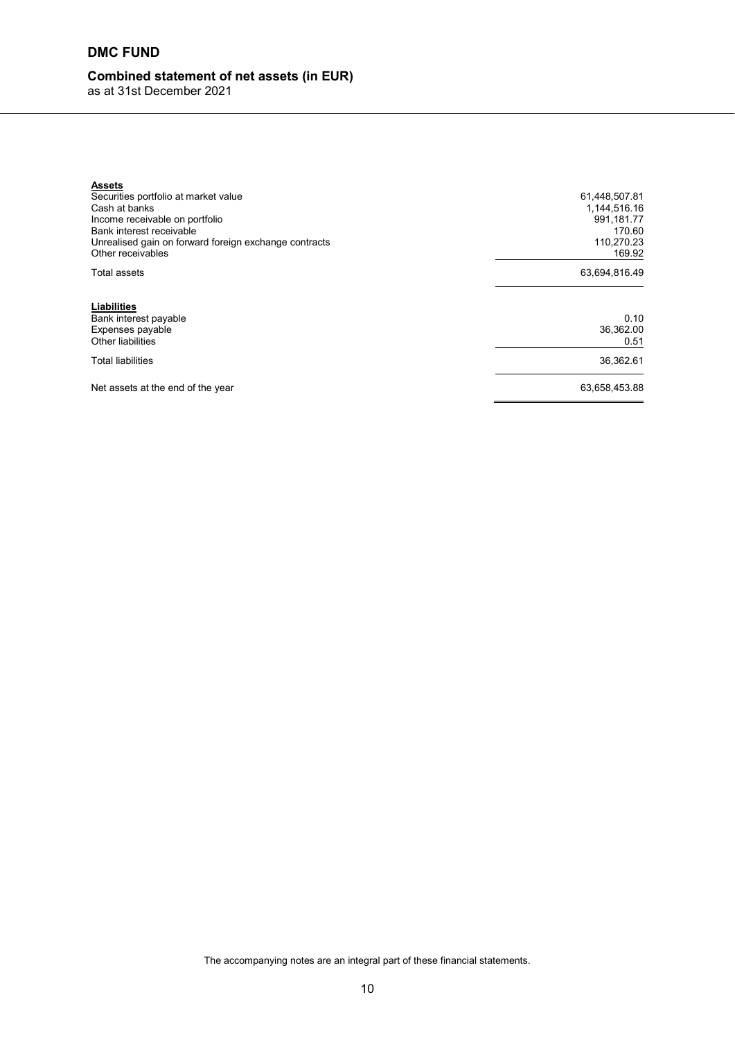# **DMC FUND**

# **Combined statement of net assets (in EUR)**

as at 31st December 2021

| <b>Assets</b><br>Securities portfolio at market value<br>Cash at banks<br>Income receivable on portfolio<br>Bank interest receivable<br>Unrealised gain on forward foreign exchange contracts<br>Other receivables | 61,448,507.81<br>1,144,516.16<br>991,181.77<br>170.60<br>110,270.23<br>169.92 |
|--------------------------------------------------------------------------------------------------------------------------------------------------------------------------------------------------------------------|-------------------------------------------------------------------------------|
| Total assets                                                                                                                                                                                                       | 63,694,816.49                                                                 |
| Liabilities<br>Bank interest payable<br>Expenses payable<br>Other liabilities                                                                                                                                      | 0.10<br>36,362.00<br>0.51                                                     |
| <b>Total liabilities</b>                                                                                                                                                                                           | 36,362.61                                                                     |
| Net assets at the end of the year                                                                                                                                                                                  | 63,658,453.88                                                                 |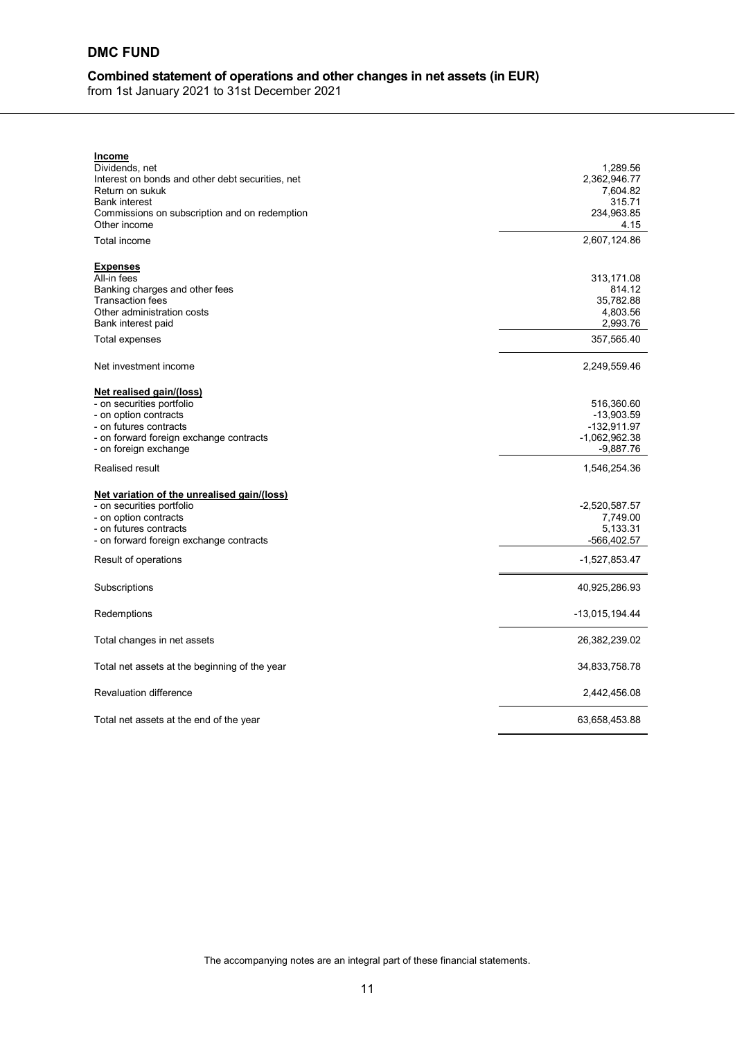# **DMC FUND**

# **Combined statement of operations and other changes in net assets (in EUR)**

from 1st January 2021 to 31st December 2021

| <b>Income</b>                                                                                                                                                                                         |                                                                           |
|-------------------------------------------------------------------------------------------------------------------------------------------------------------------------------------------------------|---------------------------------------------------------------------------|
| Dividends, net<br>Interest on bonds and other debt securities, net<br>Return on sukuk<br><b>Bank interest</b><br>Commissions on subscription and on redemption<br>Other income                        | 1,289.56<br>2,362,946.77<br>7,604.82<br>315.71<br>234,963.85<br>4.15      |
| Total income                                                                                                                                                                                          | 2,607,124.86                                                              |
| <b>Expenses</b><br>All-in fees<br>Banking charges and other fees<br><b>Transaction fees</b><br>Other administration costs<br>Bank interest paid<br>Total expenses                                     | 313,171.08<br>814.12<br>35,782.88<br>4,803.56<br>2,993.76<br>357,565.40   |
| Net investment income                                                                                                                                                                                 | 2,249,559.46                                                              |
| <u>Net realised gain/(loss)</u><br>- on securities portfolio<br>- on option contracts<br>- on futures contracts<br>- on forward foreign exchange contracts<br>- on foreign exchange                   | 516,360.60<br>$-13,903.59$<br>-132,911.97<br>-1,062,962.38<br>$-9,887.76$ |
| Realised result                                                                                                                                                                                       | 1,546,254.36                                                              |
| <u>Net variation of the unrealised gain/(loss)</u><br>- on securities portfolio<br>- on option contracts<br>- on futures contracts<br>- on forward foreign exchange contracts<br>Result of operations | $-2,520,587.57$<br>7,749.00<br>5,133.31<br>-566,402.57<br>-1,527,853.47   |
| Subscriptions                                                                                                                                                                                         | 40,925,286.93                                                             |
| Redemptions                                                                                                                                                                                           | -13,015,194.44                                                            |
| Total changes in net assets                                                                                                                                                                           | 26,382,239.02                                                             |
| Total net assets at the beginning of the year                                                                                                                                                         | 34,833,758.78                                                             |
| <b>Revaluation difference</b>                                                                                                                                                                         | 2,442,456.08                                                              |
| Total net assets at the end of the year                                                                                                                                                               | 63,658,453.88                                                             |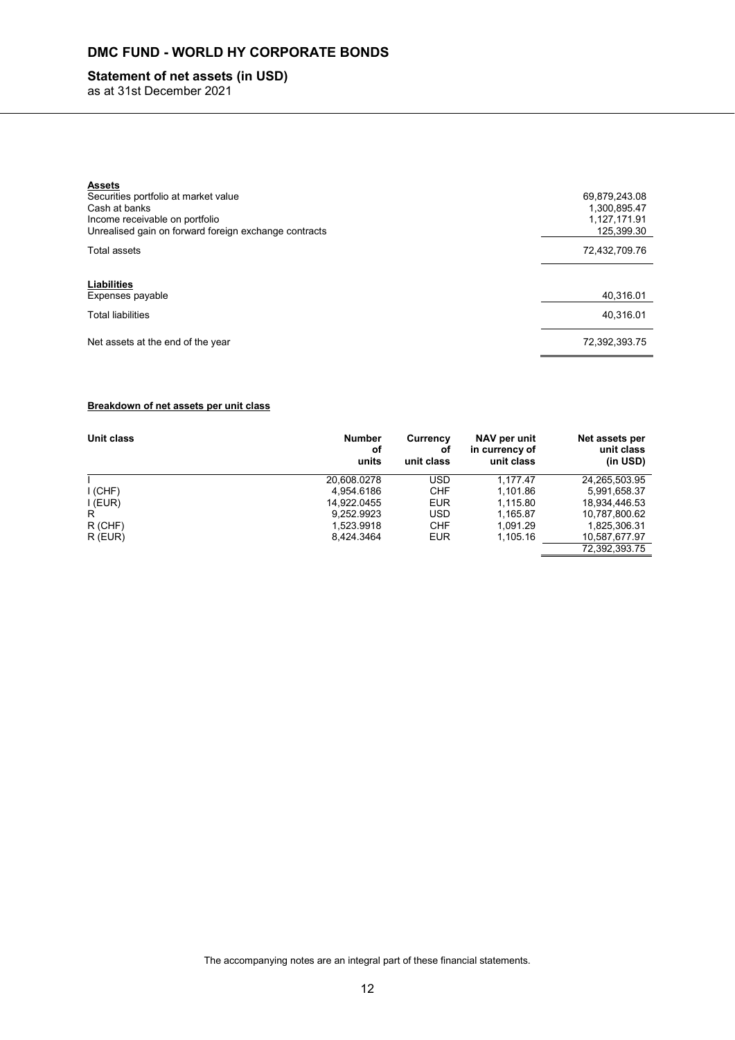## **Statement of net assets (in USD)**

as at 31st December 2021

| <b>Assets</b><br>Securities portfolio at market value<br>Cash at banks<br>Income receivable on portfolio<br>Unrealised gain on forward foreign exchange contracts | 69,879,243.08<br>1,300,895.47<br>1,127,171.91<br>125,399.30 |
|-------------------------------------------------------------------------------------------------------------------------------------------------------------------|-------------------------------------------------------------|
| Total assets                                                                                                                                                      | 72,432,709.76                                               |
|                                                                                                                                                                   |                                                             |
| Liabilities<br>Expenses payable                                                                                                                                   | 40.316.01                                                   |
| <b>Total liabilities</b>                                                                                                                                          | 40.316.01                                                   |
| Net assets at the end of the year                                                                                                                                 | 72.392.393.75                                               |

#### **Breakdown of net assets per unit class**

| Unit class | <b>Number</b><br>οf<br>units | Currency<br>οf<br>unit class | NAV per unit<br>in currency of<br>unit class | Net assets per<br>unit class<br>(in USD) |
|------------|------------------------------|------------------------------|----------------------------------------------|------------------------------------------|
|            | 20.608.0278                  | USD                          | 1.177.47                                     | 24,265,503.95                            |
| I (CHF)    | 4.954.6186                   | <b>CHF</b>                   | 1,101.86                                     | 5,991,658.37                             |
| I (EUR)    | 14.922.0455                  | <b>EUR</b>                   | 1.115.80                                     | 18.934.446.53                            |
| R          | 9.252.9923                   | <b>USD</b>                   | 1.165.87                                     | 10,787,800.62                            |
| $R$ (CHF)  | 1.523.9918                   | <b>CHF</b>                   | 1.091.29                                     | 1,825,306.31                             |
| $R$ (EUR)  | 8.424.3464                   | <b>EUR</b>                   | 1,105.16                                     | 10,587,677.97                            |
|            |                              |                              |                                              | 72.392.393.75                            |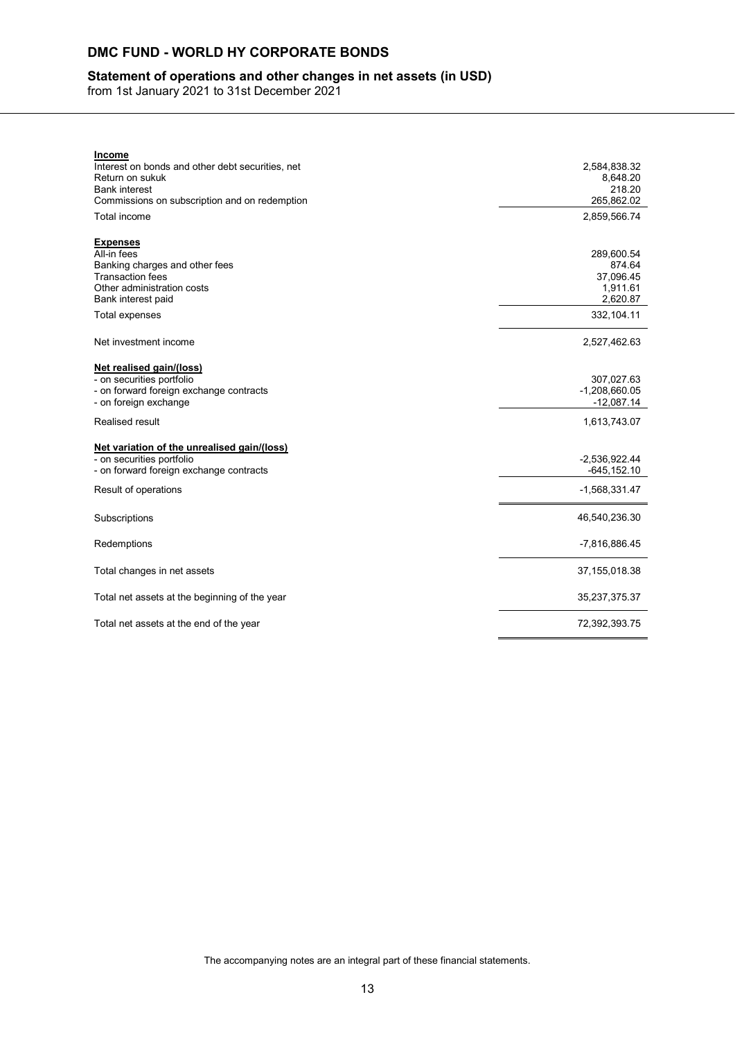## **Statement of operations and other changes in net assets (in USD)**

from 1st January 2021 to 31st December 2021

| <u>Income</u>                                    |                 |
|--------------------------------------------------|-----------------|
| Interest on bonds and other debt securities, net | 2,584,838.32    |
| Return on sukuk                                  | 8,648.20        |
| <b>Bank interest</b>                             | 218.20          |
| Commissions on subscription and on redemption    | 265.862.02      |
| Total income                                     | 2,859,566.74    |
| <b>Expenses</b>                                  |                 |
| All-in fees                                      | 289,600.54      |
| Banking charges and other fees                   | 874.64          |
| <b>Transaction fees</b>                          | 37,096.45       |
| Other administration costs                       | 1,911.61        |
| Bank interest paid                               | 2,620.87        |
| Total expenses                                   | 332,104.11      |
| Net investment income                            | 2,527,462.63    |
|                                                  |                 |
| Net realised gain/(loss)                         |                 |
| - on securities portfolio                        | 307,027.63      |
| - on forward foreign exchange contracts          | $-1,208,660.05$ |
| - on foreign exchange                            | $-12,087.14$    |
| Realised result                                  | 1,613,743.07    |
| Net variation of the unrealised gain/(loss)      |                 |
| - on securities portfolio                        | $-2,536,922.44$ |
| - on forward foreign exchange contracts          | $-645, 152.10$  |
| Result of operations                             | $-1,568,331.47$ |
|                                                  |                 |
| Subscriptions                                    | 46,540,236.30   |
| Redemptions                                      | -7,816,886.45   |
|                                                  |                 |
| Total changes in net assets                      | 37, 155, 018.38 |
| Total net assets at the beginning of the year    | 35,237,375.37   |
| Total net assets at the end of the year          | 72,392,393.75   |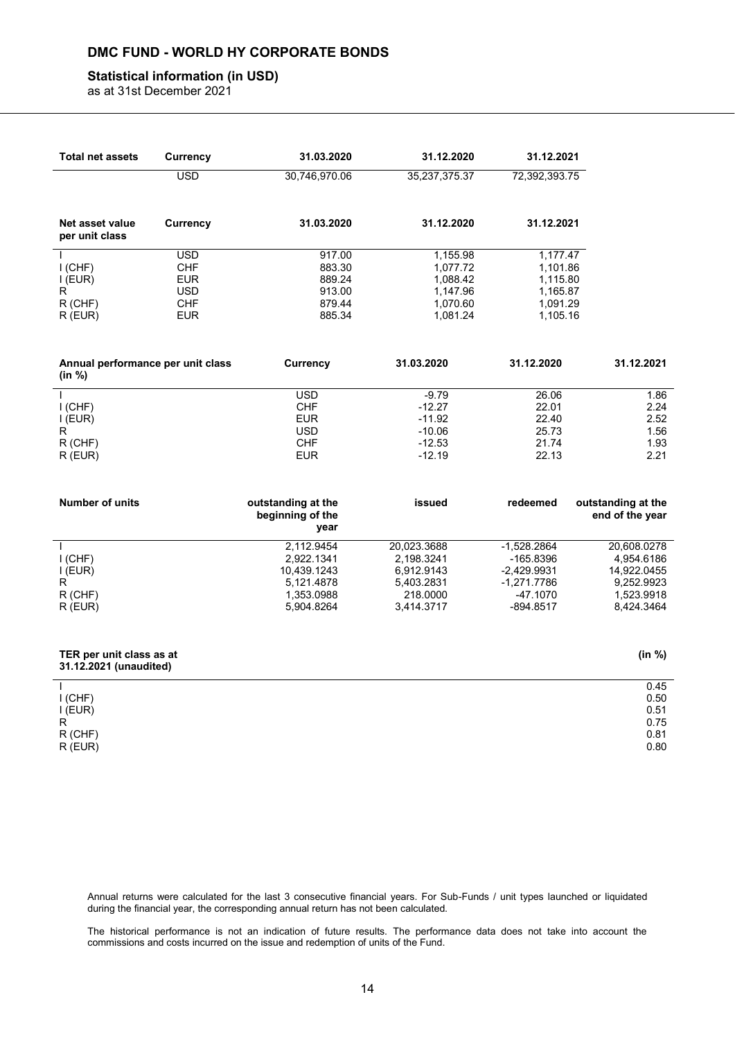#### **Statistical information (in USD)**

as at 31st December 2021

| <b>Total net assets</b>                              | <b>Currency</b>                                      | 31.03.2020                                                                        | 31.12.2020                                                                      | 31.12.2021                                                                                |                                                                                    |
|------------------------------------------------------|------------------------------------------------------|-----------------------------------------------------------------------------------|---------------------------------------------------------------------------------|-------------------------------------------------------------------------------------------|------------------------------------------------------------------------------------|
|                                                      | <b>USD</b>                                           | 30,746,970.06                                                                     | 35,237,375.37                                                                   | 72,392,393.75                                                                             |                                                                                    |
| Net asset value<br>per unit class                    | <b>Currency</b>                                      | 31.03.2020                                                                        | 31.12.2020                                                                      | 31.12.2021                                                                                |                                                                                    |
| $I$ (CHF)<br>I (EUR)<br>R                            | <b>USD</b><br><b>CHF</b><br><b>EUR</b><br><b>USD</b> | 917.00<br>883.30<br>889.24<br>913.00                                              | 1,155.98<br>1,077.72<br>1,088.42<br>1,147.96                                    | 1,177.47<br>1,101.86<br>1,115.80<br>1,165.87                                              |                                                                                    |
| $R$ (CHF)<br>$R$ (EUR)                               | <b>CHF</b><br><b>EUR</b>                             | 879.44<br>885.34                                                                  | 1,070.60<br>1,081.24                                                            | 1,091.29<br>1,105.16                                                                      |                                                                                    |
| Annual performance per unit class<br>(in %)          |                                                      | Currency                                                                          | 31.03.2020                                                                      | 31.12.2020                                                                                | 31.12.2021                                                                         |
| $I$ (CHF)<br>I (EUR)<br>R<br>R (CHF)<br>$R$ (EUR)    |                                                      | <b>USD</b><br><b>CHF</b><br><b>EUR</b><br><b>USD</b><br><b>CHF</b><br><b>EUR</b>  | $-9.79$<br>$-12.27$<br>$-11.92$<br>$-10.06$<br>$-12.53$<br>$-12.19$             | 26.06<br>22.01<br>22.40<br>25.73<br>21.74<br>22.13                                        | 1.86<br>2.24<br>2.52<br>1.56<br>1.93<br>2.21                                       |
| <b>Number of units</b>                               |                                                      | outstanding at the<br>beginning of the<br>year                                    | issued                                                                          | redeemed                                                                                  | outstanding at the<br>end of the year                                              |
| $I$ (CHF)<br>I (EUR)<br>R.<br>$R$ (CHF)<br>$R$ (EUR) |                                                      | 2,112.9454<br>2,922.1341<br>10,439.1243<br>5,121.4878<br>1,353.0988<br>5,904.8264 | 20,023.3688<br>2,198.3241<br>6,912.9143<br>5,403.2831<br>218.0000<br>3,414.3717 | $-1,528.2864$<br>-165.8396<br>$-2,429.9931$<br>$-1,271.7786$<br>$-47.1070$<br>$-894.8517$ | 20,608.0278<br>4,954.6186<br>14,922.0455<br>9,252.9923<br>1,523.9918<br>8,424.3464 |

| TER per unit class as at |
|--------------------------|
| 31.12.2021 (unaudited)   |

|           | 0.45 |
|-----------|------|
| $I$ (CHF) | 0.50 |
| I (EUR)   | 0.51 |
| R         | 0.75 |
| R (CHF)   | 0.81 |
| R (EUR)   | 0.80 |

**(in %)**

Annual returns were calculated for the last 3 consecutive financial years. For Sub-Funds / unit types launched or liquidated during the financial year, the corresponding annual return has not been calculated.

The historical performance is not an indication of future results. The performance data does not take into account the commissions and costs incurred on the issue and redemption of units of the Fund.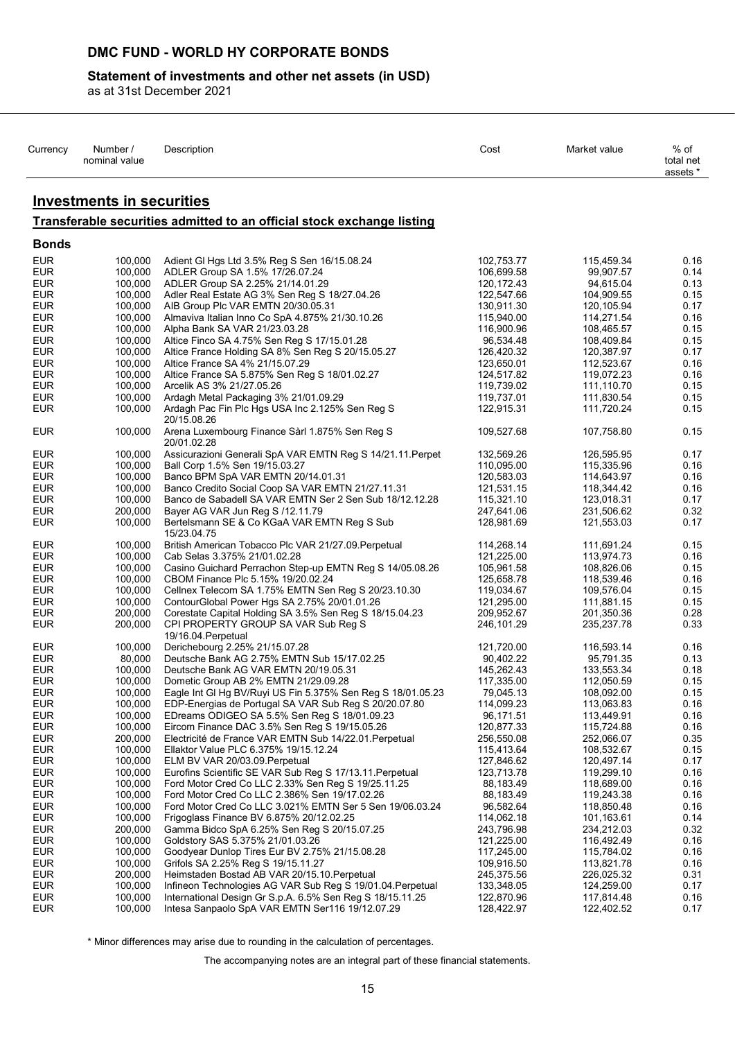## **Statement of investments and other net assets (in USD)**

as at 31st December 2021

| Currency                 | Number /<br>nominal value        | Description                                                                      | Cost                     | Market value             | $%$ of<br>total net<br>assets * |
|--------------------------|----------------------------------|----------------------------------------------------------------------------------|--------------------------|--------------------------|---------------------------------|
|                          | <b>Investments in securities</b> |                                                                                  |                          |                          |                                 |
|                          |                                  | Transferable securities admitted to an official stock exchange listing           |                          |                          |                                 |
| <b>Bonds</b>             |                                  |                                                                                  |                          |                          |                                 |
| <b>EUR</b>               | 100,000                          | Adient GI Hgs Ltd 3.5% Reg S Sen 16/15.08.24                                     | 102,753.77               | 115,459.34               | 0.16                            |
| <b>EUR</b>               | 100,000                          | ADLER Group SA 1.5% 17/26.07.24                                                  | 106,699.58               | 99.907.57                | 0.14                            |
| <b>EUR</b>               | 100,000                          | ADLER Group SA 2.25% 21/14.01.29                                                 | 120, 172. 43             | 94,615.04                | 0.13                            |
| <b>EUR</b>               | 100,000                          | Adler Real Estate AG 3% Sen Reg S 18/27.04.26                                    | 122,547.66               | 104,909.55               | 0.15                            |
| <b>EUR</b>               | 100,000                          | AIB Group Plc VAR EMTN 20/30.05.31                                               | 130,911.30               | 120,105.94               | 0.17                            |
| <b>EUR</b><br><b>EUR</b> | 100,000<br>100,000               | Almaviva Italian Inno Co SpA 4.875% 21/30.10.26<br>Alpha Bank SA VAR 21/23.03.28 | 115,940.00<br>116,900.96 | 114,271.54<br>108,465.57 | 0.16<br>0.15                    |
| <b>EUR</b>               | 100,000                          | Altice Finco SA 4.75% Sen Reg S 17/15.01.28                                      | 96,534.48                | 108,409.84               | 0.15                            |
| <b>EUR</b>               | 100,000                          | Altice France Holding SA 8% Sen Reg S 20/15.05.27                                | 126,420.32               | 120,387.97               | 0.17                            |
| <b>EUR</b>               | 100,000                          | Altice France SA 4% 21/15.07.29                                                  | 123,650.01               | 112,523.67               | 0.16                            |
| <b>EUR</b>               | 100,000                          | Altice France SA 5.875% Sen Reg S 18/01.02.27                                    | 124,517.82               | 119,072.23               | 0.16                            |
| <b>EUR</b>               | 100,000                          | Arcelik AS 3% 21/27.05.26                                                        | 119,739.02               | 111,110.70               | 0.15                            |
| <b>EUR</b>               | 100,000                          | Ardagh Metal Packaging 3% 21/01.09.29                                            | 119,737.01               | 111,830.54               | 0.15                            |
| <b>EUR</b>               | 100,000                          | Ardagh Pac Fin Plc Hgs USA Inc 2.125% Sen Reg S<br>20/15.08.26                   | 122,915.31               | 111,720.24               | 0.15                            |
| <b>EUR</b>               | 100,000                          | Arena Luxembourg Finance Sàrl 1.875% Sen Reg S<br>20/01.02.28                    | 109,527.68               | 107,758.80               | 0.15                            |
| <b>EUR</b>               | 100,000                          | Assicurazioni Generali SpA VAR EMTN Reg S 14/21.11. Perpet                       | 132,569.26               | 126,595.95               | 0.17                            |
| <b>EUR</b>               | 100,000                          | Ball Corp 1.5% Sen 19/15.03.27                                                   | 110,095.00               | 115,335.96               | 0.16                            |
| <b>EUR</b>               | 100,000                          | Banco BPM SpA VAR EMTN 20/14.01.31                                               | 120,583.03               | 114,643.97               | 0.16                            |
| <b>EUR</b>               | 100,000                          | Banco Credito Social Coop SA VAR EMTN 21/27.11.31                                | 121,531.15               | 118,344.42               | 0.16                            |
| <b>EUR</b>               | 100,000                          | Banco de Sabadell SA VAR EMTN Ser 2 Sen Sub 18/12.12.28                          | 115,321.10               | 123,018.31               | 0.17                            |
| <b>EUR</b>               | 200,000                          | Bayer AG VAR Jun Reg S /12.11.79                                                 | 247,641.06               | 231,506.62               | 0.32                            |
| <b>EUR</b>               | 100,000                          | Bertelsmann SE & Co KGaA VAR EMTN Reg S Sub<br>15/23.04.75                       | 128,981.69               | 121,553.03               | 0.17                            |
| <b>EUR</b>               | 100,000                          | British American Tobacco Plc VAR 21/27.09. Perpetual                             | 114,268.14               | 111,691.24               | 0.15                            |
| <b>EUR</b>               | 100,000                          | Cab Selas 3.375% 21/01.02.28                                                     | 121,225.00               | 113,974.73               | 0.16                            |
| <b>EUR</b>               | 100,000                          | Casino Guichard Perrachon Step-up EMTN Reg S 14/05.08.26                         | 105,961.58               | 108,826.06               | 0.15                            |
| <b>EUR</b>               | 100,000                          | CBOM Finance Plc 5.15% 19/20.02.24                                               | 125,658.78               | 118,539.46               | 0.16                            |
| <b>EUR</b>               | 100,000                          | Cellnex Telecom SA 1.75% EMTN Sen Reg S 20/23.10.30                              | 119,034.67               | 109,576.04               | 0.15                            |
| <b>EUR</b>               | 100,000                          | ContourGlobal Power Hgs SA 2.75% 20/01.01.26                                     | 121,295.00               | 111,881.15               | 0.15                            |
| <b>EUR</b>               | 200,000                          | Corestate Capital Holding SA 3.5% Sen Reg S 18/15.04.23                          | 209,952.67               | 201,350.36               | 0.28                            |
| <b>EUR</b>               | 200,000                          | CPI PROPERTY GROUP SA VAR Sub Reg S<br>19/16.04. Perpetual                       | 246,101.29               | 235,237.78               | 0.33                            |
| <b>EUR</b>               | 100,000                          | Derichebourg 2.25% 21/15.07.28                                                   | 121,720.00               | 116,593.14               | 0.16                            |
| <b>EUR</b>               | 80,000                           | Deutsche Bank AG 2.75% EMTN Sub 15/17.02.25                                      | 90,402.22                | 95,791.35                | 0.13                            |
| <b>EUR</b>               | 100,000                          | Deutsche Bank AG VAR EMTN 20/19.05.31                                            | 145,262.43               | 133,553.34               | 0.18                            |
| <b>EUR</b>               | 100,000                          | Dometic Group AB 2% EMTN 21/29.09.28                                             | 117,335.00               | 112,050.59               | 0.15                            |
| <b>EUR</b>               | 100,000                          | Eagle Int GI Hg BV/Ruyi US Fin 5.375% Sen Reg S 18/01.05.23                      | 79,045.13                | 108,092.00               | 0.15                            |
| <b>EUR</b>               | 100,000                          | EDP-Energias de Portugal SA VAR Sub Reg S 20/20.07.80                            | 114,099.23               | 113,063.83               | 0.16                            |
| <b>EUR</b>               | 100,000                          | EDreams ODIGEO SA 5.5% Sen Reg S 18/01.09.23                                     | 96,171.51                | 113,449.91               | 0.16                            |
| <b>EUR</b>               | 100,000                          | Eircom Finance DAC 3.5% Sen Reg S 19/15.05.26                                    | 120,877.33               | 115,724.88               | 0.16                            |
| <b>EUR</b>               | 200,000                          | Electricité de France VAR EMTN Sub 14/22.01. Perpetual                           | 256,550.08               | 252,066.07               | 0.35                            |
| <b>EUR</b><br>EUR.       | 100,000<br>100,000               | Ellaktor Value PLC 6.375% 19/15.12.24<br>ELM BV VAR 20/03.09 Perpetual           | 115,413.64<br>127,846.62 | 108,532.67<br>120,497.14 | 0.15<br>0.17                    |
| <b>EUR</b>               | 100,000                          | Eurofins Scientific SE VAR Sub Reg S 17/13.11. Perpetual                         | 123,713.78               | 119,299.10               | 0.16                            |
| <b>EUR</b>               | 100,000                          | Ford Motor Cred Co LLC 2.33% Sen Reg S 19/25.11.25                               | 88,183.49                | 118,689.00               | 0.16                            |
| <b>EUR</b>               | 100,000                          | Ford Motor Cred Co LLC 2.386% Sen 19/17.02.26                                    | 88,183.49                | 119,243.38               | 0.16                            |
| <b>EUR</b>               | 100,000                          | Ford Motor Cred Co LLC 3.021% EMTN Ser 5 Sen 19/06.03.24                         | 96,582.64                | 118,850.48               | 0.16                            |
| <b>EUR</b>               | 100,000                          | Frigoglass Finance BV 6.875% 20/12.02.25                                         | 114,062.18               | 101,163.61               | 0.14                            |
| <b>EUR</b>               | 200,000                          | Gamma Bidco SpA 6.25% Sen Reg S 20/15.07.25                                      | 243,796.98               | 234,212.03               | 0.32                            |
| <b>EUR</b>               | 100,000                          | Goldstory SAS 5.375% 21/01.03.26                                                 | 121,225.00               | 116,492.49               | 0.16                            |
| <b>EUR</b>               | 100,000                          | Goodyear Dunlop Tires Eur BV 2.75% 21/15.08.28                                   | 117,245.00               | 115,784.02               | 0.16                            |
| <b>EUR</b>               | 100,000                          | Grifols SA 2.25% Reg S 19/15.11.27                                               | 109,916.50               | 113,821.78               | 0.16                            |
| <b>EUR</b>               | 200,000                          | Heimstaden Bostad AB VAR 20/15.10. Perpetual                                     | 245,375.56               | 226,025.32               | 0.31                            |
| <b>EUR</b>               | 100,000                          | Infineon Technologies AG VAR Sub Reg S 19/01.04. Perpetual                       | 133,348.05               | 124,259.00               | 0.17                            |
| <b>EUR</b>               | 100,000                          | International Design Gr S.p.A. 6.5% Sen Reg S 18/15.11.25                        | 122,870.96               | 117,814.48               | 0.16                            |
| <b>EUR</b>               | 100,000                          | Intesa Sanpaolo SpA VAR EMTN Ser116 19/12.07.29                                  | 128,422.97               | 122,402.52               | 0.17                            |

\* Minor differences may arise due to rounding in the calculation of percentages.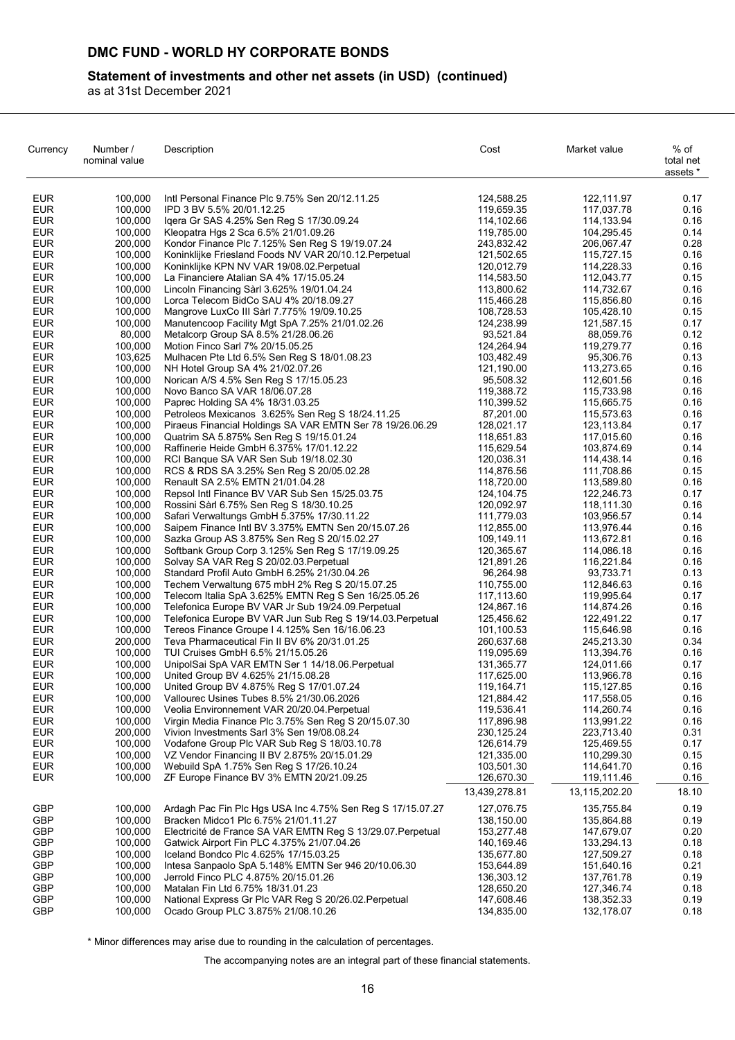## **Statement of investments and other net assets (in USD) (continued)**

as at 31st December 2021

| Currency                 | Number /<br>nominal value | Description                                                                                                       | Cost                     | Market value             | % of<br>total net<br>assets * |
|--------------------------|---------------------------|-------------------------------------------------------------------------------------------------------------------|--------------------------|--------------------------|-------------------------------|
| <b>EUR</b>               | 100,000                   | Intl Personal Finance Plc 9.75% Sen 20/12.11.25                                                                   | 124,588.25               | 122,111.97               | 0.17                          |
| <b>EUR</b>               | 100,000                   | IPD 3 BV 5.5% 20/01.12.25                                                                                         | 119,659.35               | 117,037.78               | 0.16                          |
| <b>EUR</b>               | 100.000                   | Igera Gr SAS 4.25% Sen Reg S 17/30.09.24                                                                          | 114,102.66               | 114,133.94               | 0.16                          |
| <b>EUR</b>               | 100,000                   | Kleopatra Hgs 2 Sca 6.5% 21/01.09.26                                                                              | 119,785.00               | 104,295.45               | 0.14                          |
| <b>EUR</b>               | 200,000                   | Kondor Finance Plc 7.125% Sen Reg S 19/19.07.24                                                                   | 243,832.42               | 206,067.47               | 0.28                          |
| <b>EUR</b>               | 100,000                   | Koninklijke Friesland Foods NV VAR 20/10.12. Perpetual                                                            | 121,502.65               | 115,727.15               | 0.16                          |
| <b>EUR</b>               | 100,000                   | Koninklijke KPN NV VAR 19/08.02. Perpetual                                                                        | 120,012.79               | 114,228.33               | 0.16                          |
| <b>EUR</b><br><b>EUR</b> | 100,000<br>100,000        | La Financiere Atalian SA 4% 17/15.05.24                                                                           | 114,583.50               | 112,043.77               | 0.15<br>0.16                  |
| <b>EUR</b>               | 100,000                   | Lincoln Financing Sàrl 3.625% 19/01.04.24<br>Lorca Telecom BidCo SAU 4% 20/18.09.27                               | 113,800.62<br>115,466.28 | 114,732.67<br>115,856.80 | 0.16                          |
| <b>EUR</b>               | 100,000                   | Mangrove LuxCo III Sàrl 7.775% 19/09.10.25                                                                        | 108,728.53               | 105,428.10               | 0.15                          |
| <b>EUR</b>               | 100,000                   | Manutencoop Facility Mgt SpA 7.25% 21/01.02.26                                                                    | 124,238.99               | 121,587.15               | 0.17                          |
| <b>EUR</b>               | 80,000                    | Metalcorp Group SA 8.5% 21/28.06.26                                                                               | 93,521.84                | 88,059.76                | 0.12                          |
| <b>EUR</b>               | 100,000                   | Motion Finco Sarl 7% 20/15.05.25                                                                                  | 124,264.94               | 119,279.77               | 0.16                          |
| <b>EUR</b>               | 103,625                   | Mulhacen Pte Ltd 6.5% Sen Reg S 18/01.08.23                                                                       | 103,482.49               | 95,306.76                | 0.13                          |
| <b>EUR</b>               | 100,000                   | NH Hotel Group SA 4% 21/02.07.26                                                                                  | 121,190.00               | 113,273.65               | 0.16                          |
| <b>EUR</b>               | 100,000                   | Norican A/S 4.5% Sen Reg S 17/15.05.23                                                                            | 95,508.32                | 112,601.56               | 0.16                          |
| <b>EUR</b>               | 100,000                   | Novo Banco SA VAR 18/06.07.28                                                                                     | 119,388.72               | 115,733.98               | 0.16                          |
| <b>EUR</b>               | 100,000                   | Paprec Holding SA 4% 18/31.03.25                                                                                  | 110,399.52               | 115,665.75               | 0.16                          |
| <b>EUR</b>               | 100,000                   | Petroleos Mexicanos 3.625% Sen Reg S 18/24.11.25                                                                  | 87,201.00                | 115,573.63               | 0.16                          |
| <b>EUR</b>               | 100,000                   | Piraeus Financial Holdings SA VAR EMTN Ser 78 19/26.06.29                                                         | 128,021.17               | 123,113.84               | 0.17                          |
| <b>EUR</b>               | 100,000                   | Quatrim SA 5.875% Sen Reg S 19/15.01.24                                                                           | 118,651.83               | 117,015.60               | 0.16                          |
| <b>EUR</b><br><b>EUR</b> | 100,000<br>100,000        | Raffinerie Heide GmbH 6.375% 17/01.12.22<br>RCI Banque SA VAR Sen Sub 19/18.02.30                                 | 115,629.54<br>120,036.31 | 103,874.69<br>114,438.14 | 0.14<br>0.16                  |
| <b>EUR</b>               | 100,000                   | RCS & RDS SA 3.25% Sen Reg S 20/05.02.28                                                                          | 114,876.56               | 111,708.86               | 0.15                          |
| <b>EUR</b>               | 100,000                   | Renault SA 2.5% EMTN 21/01.04.28                                                                                  | 118,720.00               | 113,589.80               | 0.16                          |
| <b>EUR</b>               | 100,000                   | Repsol Intl Finance BV VAR Sub Sen 15/25.03.75                                                                    | 124, 104. 75             | 122,246.73               | 0.17                          |
| <b>EUR</b>               | 100,000                   | Rossini Sàrl 6.75% Sen Reg S 18/30.10.25                                                                          | 120,092.97               | 118,111.30               | 0.16                          |
| <b>EUR</b>               | 100,000                   | Safari Verwaltungs GmbH 5.375% 17/30.11.22                                                                        | 111,779.03               | 103,956.57               | 0.14                          |
| <b>EUR</b>               | 100,000                   | Saipem Finance Intl BV 3.375% EMTN Sen 20/15.07.26                                                                | 112,855.00               | 113,976.44               | 0.16                          |
| <b>EUR</b>               | 100,000                   | Sazka Group AS 3.875% Sen Reg S 20/15.02.27                                                                       | 109,149.11               | 113,672.81               | 0.16                          |
| <b>EUR</b>               | 100,000                   | Softbank Group Corp 3.125% Sen Reg S 17/19.09.25                                                                  | 120,365.67               | 114,086.18               | 0.16                          |
| <b>EUR</b>               | 100,000                   | Solvay SA VAR Reg S 20/02.03. Perpetual                                                                           | 121,891.26               | 116,221.84               | 0.16                          |
| <b>EUR</b>               | 100,000                   | Standard Profil Auto GmbH 6.25% 21/30.04.26                                                                       | 96,264.98                | 93,733.71                | 0.13                          |
| <b>EUR</b>               | 100,000                   | Techem Verwaltung 675 mbH 2% Reg S 20/15.07.25                                                                    | 110,755.00               | 112,846.63               | 0.16                          |
| <b>EUR</b><br><b>EUR</b> | 100,000<br>100,000        | Telecom Italia SpA 3.625% EMTN Reg S Sen 16/25.05.26                                                              | 117,113.60               | 119,995.64               | 0.17<br>0.16                  |
| <b>EUR</b>               | 100,000                   | Telefonica Europe BV VAR Jr Sub 19/24.09. Perpetual<br>Telefonica Europe BV VAR Jun Sub Reg S 19/14.03. Perpetual | 124,867.16<br>125,456.62 | 114,874.26<br>122,491.22 | 0.17                          |
| <b>EUR</b>               | 100,000                   | Tereos Finance Groupe I 4.125% Sen 16/16.06.23                                                                    | 101,100.53               | 115,646.98               | 0.16                          |
| <b>EUR</b>               | 200,000                   | Teva Pharmaceutical Fin II BV 6% 20/31.01.25                                                                      | 260,637.68               | 245,213.30               | 0.34                          |
| <b>EUR</b>               | 100,000                   | TUI Cruises GmbH 6.5% 21/15.05.26                                                                                 | 119,095.69               | 113,394.76               | 0.16                          |
| <b>EUR</b>               | 100,000                   | UnipolSai SpA VAR EMTN Ser 1 14/18.06 Perpetual                                                                   | 131,365.77               | 124,011.66               | 0.17                          |
| <b>EUR</b>               | 100,000                   | United Group BV 4.625% 21/15.08.28                                                                                | 117,625.00               | 113,966.78               | 0.16                          |
| <b>EUR</b>               | 100,000                   | United Group BV 4.875% Reg S 17/01.07.24                                                                          | 119,164.71               | 115, 127.85              | 0.16                          |
| <b>EUR</b>               | 100,000                   | Vallourec Usines Tubes 8.5% 21/30.06.2026                                                                         | 121,884.42               | 117,558.05               | 0.16                          |
| <b>EUR</b>               | 100,000                   | Veolia Environnement VAR 20/20.04. Perpetual                                                                      | 119,536.41               | 114,260.74               | 0.16                          |
| <b>EUR</b>               | 100,000                   | Virgin Media Finance Plc 3.75% Sen Reg S 20/15.07.30                                                              | 117,896.98               | 113,991.22               | 0.16                          |
| <b>EUR</b>               | 200,000                   | Vivion Investments Sarl 3% Sen 19/08.08.24                                                                        | 230,125.24               | 223,713.40               | 0.31                          |
| <b>EUR</b>               | 100,000                   | Vodafone Group Plc VAR Sub Reg S 18/03.10.78                                                                      | 126,614.79               | 125,469.55               | 0.17                          |
| <b>EUR</b><br><b>EUR</b> | 100,000<br>100,000        | VZ Vendor Financing II BV 2.875% 20/15.01.29<br>Webuild SpA 1.75% Sen Reg S 17/26.10.24                           | 121,335.00<br>103,501.30 | 110,299.30<br>114,641.70 | 0.15<br>0.16                  |
| <b>EUR</b>               | 100,000                   | ZF Europe Finance BV 3% EMTN 20/21.09.25                                                                          | 126,670.30               | 119,111.46               | 0.16                          |
|                          |                           |                                                                                                                   | 13,439,278.81            | 13,115,202.20            | 18.10                         |
| <b>GBP</b>               | 100,000                   | Ardagh Pac Fin Plc Hgs USA Inc 4.75% Sen Reg S 17/15.07.27                                                        | 127,076.75               | 135,755.84               | 0.19                          |
| GBP                      | 100,000                   | Bracken Midco1 Plc 6.75% 21/01.11.27                                                                              | 138,150.00               | 135,864.88               | 0.19                          |
| GBP                      | 100,000                   | Electricité de France SA VAR EMTN Reg S 13/29.07. Perpetual                                                       | 153,277.48               | 147,679.07               | 0.20                          |
| GBP                      | 100,000                   | Gatwick Airport Fin PLC 4.375% 21/07.04.26                                                                        | 140,169.46               | 133,294.13               | 0.18                          |
| GBP                      | 100,000                   | Iceland Bondco Plc 4.625% 17/15.03.25                                                                             | 135,677.80               | 127,509.27               | 0.18                          |
| GBP                      | 100,000                   | Intesa Sanpaolo SpA 5.148% EMTN Ser 946 20/10.06.30                                                               | 153,644.89               | 151,640.16               | 0.21                          |
| GBP                      | 100,000                   | Jerrold Finco PLC 4.875% 20/15.01.26                                                                              | 136,303.12               | 137,761.78               | 0.19                          |
| GBP                      | 100,000                   | Matalan Fin Ltd 6.75% 18/31.01.23                                                                                 | 128,650.20               | 127,346.74               | 0.18                          |
| GBP                      | 100,000                   | National Express Gr Plc VAR Reg S 20/26.02. Perpetual                                                             | 147,608.46               | 138,352.33               | 0.19                          |
| GBP                      | 100,000                   | Ocado Group PLC 3.875% 21/08.10.26                                                                                | 134,835.00               | 132,178.07               | 0.18                          |

\* Minor differences may arise due to rounding in the calculation of percentages.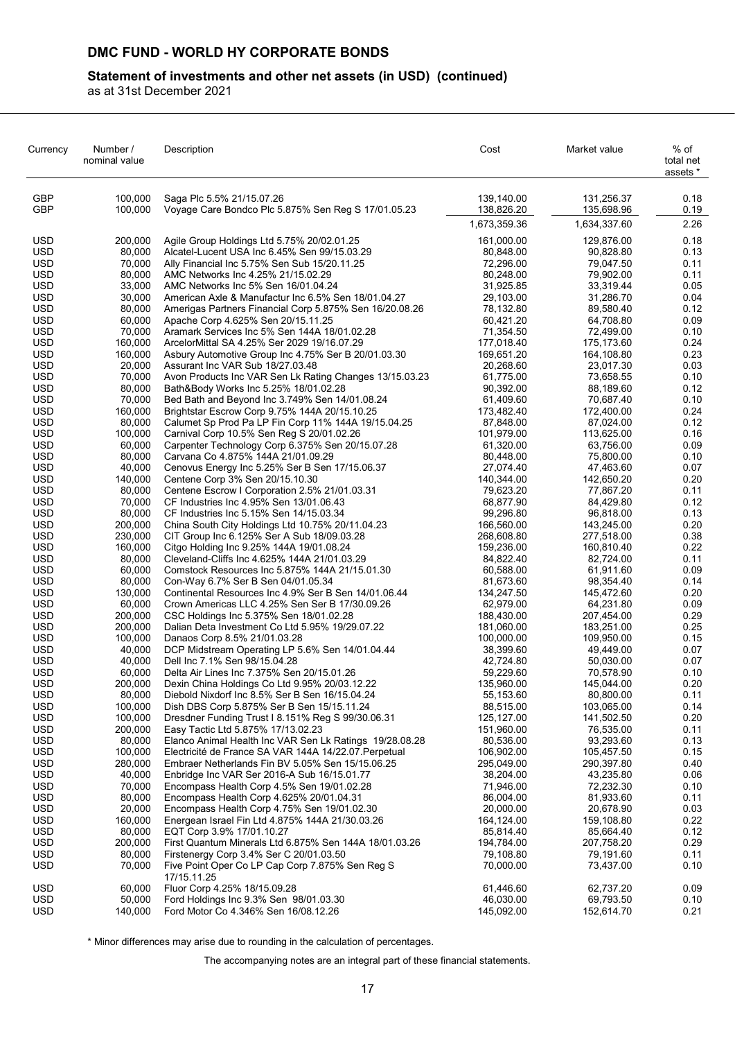## **Statement of investments and other net assets (in USD) (continued)**

as at 31st December 2021

| Currency                 | Number /<br>nominal value | Description                                                                                          | Cost                     | Market value             | % of<br>total net<br>assets * |
|--------------------------|---------------------------|------------------------------------------------------------------------------------------------------|--------------------------|--------------------------|-------------------------------|
| <b>GBP</b><br><b>GBP</b> | 100,000<br>100,000        | Saga Plc 5.5% 21/15.07.26<br>Voyage Care Bondco Plc 5.875% Sen Reg S 17/01.05.23                     | 139,140.00<br>138,826.20 | 131,256.37<br>135,698.96 | 0.18<br>0.19                  |
|                          |                           |                                                                                                      | 1,673,359.36             | 1,634,337.60             | 2.26                          |
| <b>USD</b>               | 200,000                   | Agile Group Holdings Ltd 5.75% 20/02.01.25                                                           | 161,000.00               | 129,876.00               | 0.18                          |
| <b>USD</b>               | 80,000                    | Alcatel-Lucent USA Inc 6.45% Sen 99/15.03.29                                                         | 80,848.00                | 90,828.80                | 0.13                          |
| <b>USD</b>               | 70,000                    | Ally Financial Inc 5.75% Sen Sub 15/20.11.25                                                         | 72,296.00                | 79,047.50                | 0.11                          |
| <b>USD</b>               | 80,000                    | AMC Networks Inc 4.25% 21/15.02.29                                                                   | 80,248.00                | 79,902.00                | 0.11                          |
| <b>USD</b><br><b>USD</b> | 33,000<br>30,000          | AMC Networks Inc 5% Sen 16/01.04.24<br>American Axle & Manufactur Inc 6.5% Sen 18/01.04.27           | 31,925.85<br>29,103.00   | 33,319.44<br>31,286.70   | 0.05<br>0.04                  |
| <b>USD</b>               | 80,000                    | Amerigas Partners Financial Corp 5.875% Sen 16/20.08.26                                              | 78,132.80                | 89,580.40                | 0.12                          |
| <b>USD</b>               | 60,000                    | Apache Corp 4.625% Sen 20/15.11.25                                                                   | 60,421.20                | 64,708.80                | 0.09                          |
| <b>USD</b>               | 70,000                    | Aramark Services Inc 5% Sen 144A 18/01.02.28                                                         | 71,354.50                | 72,499.00                | 0.10                          |
| <b>USD</b><br><b>USD</b> | 160,000<br>160,000        | ArcelorMittal SA 4.25% Ser 2029 19/16.07.29                                                          | 177,018.40<br>169,651.20 | 175,173.60<br>164,108.80 | 0.24<br>0.23                  |
| <b>USD</b>               | 20,000                    | Asbury Automotive Group Inc 4.75% Ser B 20/01.03.30<br>Assurant Inc VAR Sub 18/27.03.48              | 20,268.60                | 23,017.30                | 0.03                          |
| <b>USD</b>               | 70,000                    | Avon Products Inc VAR Sen Lk Rating Changes 13/15.03.23                                              | 61,775.00                | 73,658.55                | 0.10                          |
| <b>USD</b>               | 80,000                    | Bath&Body Works Inc 5.25% 18/01.02.28                                                                | 90,392.00                | 88,189.60                | 0.12                          |
| <b>USD</b>               | 70,000                    | Bed Bath and Beyond Inc 3.749% Sen 14/01.08.24                                                       | 61,409.60                | 70,687.40                | 0.10                          |
| <b>USD</b><br><b>USD</b> | 160,000<br>80,000         | Brightstar Escrow Corp 9.75% 144A 20/15.10.25<br>Calumet Sp Prod Pa LP Fin Corp 11% 144A 19/15.04.25 | 173,482.40<br>87,848.00  | 172,400.00<br>87,024.00  | 0.24<br>0.12                  |
| <b>USD</b>               | 100,000                   | Carnival Corp 10.5% Sen Reg S 20/01.02.26                                                            | 101,979.00               | 113,625.00               | 0.16                          |
| <b>USD</b>               | 60,000                    | Carpenter Technology Corp 6.375% Sen 20/15.07.28                                                     | 61,320.00                | 63,756.00                | 0.09                          |
| <b>USD</b>               | 80,000                    | Carvana Co 4.875% 144A 21/01.09.29                                                                   | 80,448.00                | 75,800.00                | 0.10                          |
| <b>USD</b>               | 40,000                    | Cenovus Energy Inc 5.25% Ser B Sen 17/15.06.37                                                       | 27,074.40                | 47,463.60                | 0.07                          |
| <b>USD</b><br><b>USD</b> | 140.000<br>80,000         | Centene Corp 3% Sen 20/15.10.30<br>Centene Escrow I Corporation 2.5% 21/01.03.31                     | 140,344.00<br>79,623.20  | 142,650.20<br>77,867.20  | 0.20<br>0.11                  |
| <b>USD</b>               | 70,000                    | CF Industries Inc 4.95% Sen 13/01.06.43                                                              | 68,877.90                | 84,429.80                | 0.12                          |
| <b>USD</b>               | 80,000                    | CF Industries Inc 5.15% Sen 14/15.03.34                                                              | 99,296.80                | 96,818.00                | 0.13                          |
| <b>USD</b>               | 200,000                   | China South City Holdings Ltd 10.75% 20/11.04.23                                                     | 166,560.00               | 143,245.00               | 0.20                          |
| <b>USD</b><br><b>USD</b> | 230,000<br>160,000        | CIT Group Inc 6.125% Ser A Sub 18/09.03.28<br>Citgo Holding Inc 9.25% 144A 19/01.08.24               | 268,608.80<br>159,236.00 | 277,518.00<br>160,810.40 | 0.38<br>0.22                  |
| <b>USD</b>               | 80,000                    | Cleveland-Cliffs Inc 4.625% 144A 21/01.03.29                                                         | 84,822.40                | 82,724.00                | 0.11                          |
| <b>USD</b>               | 60,000                    | Comstock Resources Inc 5.875% 144A 21/15.01.30                                                       | 60,588.00                | 61,911.60                | 0.09                          |
| <b>USD</b>               | 80,000                    | Con-Way 6.7% Ser B Sen 04/01.05.34                                                                   | 81,673.60                | 98,354.40                | 0.14                          |
| <b>USD</b>               | 130,000                   | Continental Resources Inc 4.9% Ser B Sen 14/01.06.44                                                 | 134,247.50               | 145,472.60               | 0.20                          |
| <b>USD</b><br><b>USD</b> | 60,000<br>200,000         | Crown Americas LLC 4.25% Sen Ser B 17/30.09.26<br>CSC Holdings Inc 5.375% Sen 18/01.02.28            | 62,979.00<br>188,430.00  | 64,231.80<br>207,454.00  | 0.09<br>0.29                  |
| <b>USD</b>               | 200,000                   | Dalian Deta Investment Co Ltd 5.95% 19/29.07.22                                                      | 181,060.00               | 183,251.00               | 0.25                          |
| <b>USD</b>               | 100,000                   | Danaos Corp 8.5% 21/01.03.28                                                                         | 100,000.00               | 109,950.00               | 0.15                          |
| <b>USD</b>               | 40,000                    | DCP Midstream Operating LP 5.6% Sen 14/01.04.44                                                      | 38,399.60                | 49,449.00                | 0.07                          |
| <b>USD</b>               | 40,000                    | Dell Inc 7.1% Sen 98/15.04.28                                                                        | 42,724.80                | 50,030.00                | 0.07                          |
| <b>USD</b><br><b>USD</b> | 60,000<br>200,000         | Delta Air Lines Inc 7.375% Sen 20/15.01.26<br>Dexin China Holdings Co Ltd 9.95% 20/03.12.22          | 59,229.60<br>135,960.00  | 70,578.90<br>145,044.00  | 0.10<br>0.20                  |
| <b>USD</b>               | 80,000                    | Diebold Nixdorf Inc 8.5% Ser B Sen 16/15.04.24                                                       | 55,153.60                | 80,800.00                | 0.11                          |
| <b>USD</b>               | 100,000                   | Dish DBS Corp 5.875% Ser B Sen 15/15.11.24                                                           | 88,515.00                | 103,065.00               | 0.14                          |
| <b>USD</b>               | 100,000                   | Dresdner Funding Trust I 8.151% Reg S 99/30.06.31                                                    | 125,127.00               | 141,502.50               | 0.20                          |
| <b>USD</b><br><b>USD</b> | 200,000<br>80,000         | Easy Tactic Ltd 5.875% 17/13.02.23<br>Elanco Animal Health Inc VAR Sen Lk Ratings 19/28.08.28        | 151,960.00<br>80,536.00  | 76,535.00<br>93,293.60   | 0.11<br>0.13                  |
| <b>USD</b>               | 100,000                   | Electricité de France SA VAR 144A 14/22.07. Perpetual                                                | 106,902.00               | 105,457.50               | 0.15                          |
| <b>USD</b>               | 280,000                   | Embraer Netherlands Fin BV 5.05% Sen 15/15.06.25                                                     | 295,049.00               | 290,397.80               | 0.40                          |
| <b>USD</b>               | 40,000                    | Enbridge Inc VAR Ser 2016-A Sub 16/15.01.77                                                          | 38,204.00                | 43,235.80                | 0.06                          |
| <b>USD</b>               | 70,000                    | Encompass Health Corp 4.5% Sen 19/01.02.28                                                           | 71,946.00                | 72,232.30                | 0.10                          |
| <b>USD</b><br><b>USD</b> | 80,000<br>20,000          | Encompass Health Corp 4.625% 20/01.04.31<br>Encompass Health Corp 4.75% Sen 19/01.02.30              | 86,004.00<br>20,000.00   | 81,933.60<br>20,678.90   | 0.11<br>0.03                  |
| USD                      | 160,000                   | Energean Israel Fin Ltd 4.875% 144A 21/30.03.26                                                      | 164,124.00               | 159,108.80               | 0.22                          |
| <b>USD</b>               | 80,000                    | EQT Corp 3.9% 17/01.10.27                                                                            | 85,814.40                | 85,664.40                | 0.12                          |
| <b>USD</b>               | 200,000                   | First Quantum Minerals Ltd 6.875% Sen 144A 18/01.03.26                                               | 194,784.00               | 207,758.20               | 0.29                          |
| <b>USD</b>               | 80,000                    | Firstenergy Corp 3.4% Ser C 20/01.03.50                                                              | 79,108.80                | 79,191.60                | 0.11                          |
| <b>USD</b>               | 70,000                    | Five Point Oper Co LP Cap Corp 7.875% Sen Reg S<br>17/15.11.25                                       | 70,000.00                | 73,437.00                | 0.10                          |
| <b>USD</b>               | 60,000                    | Fluor Corp 4.25% 18/15.09.28                                                                         | 61,446.60                | 62,737.20                | 0.09                          |
| <b>USD</b><br><b>USD</b> | 50,000<br>140,000         | Ford Holdings Inc 9.3% Sen 98/01.03.30<br>Ford Motor Co 4.346% Sen 16/08.12.26                       | 46,030.00<br>145,092.00  | 69,793.50<br>152,614.70  | 0.10<br>0.21                  |

\* Minor differences may arise due to rounding in the calculation of percentages.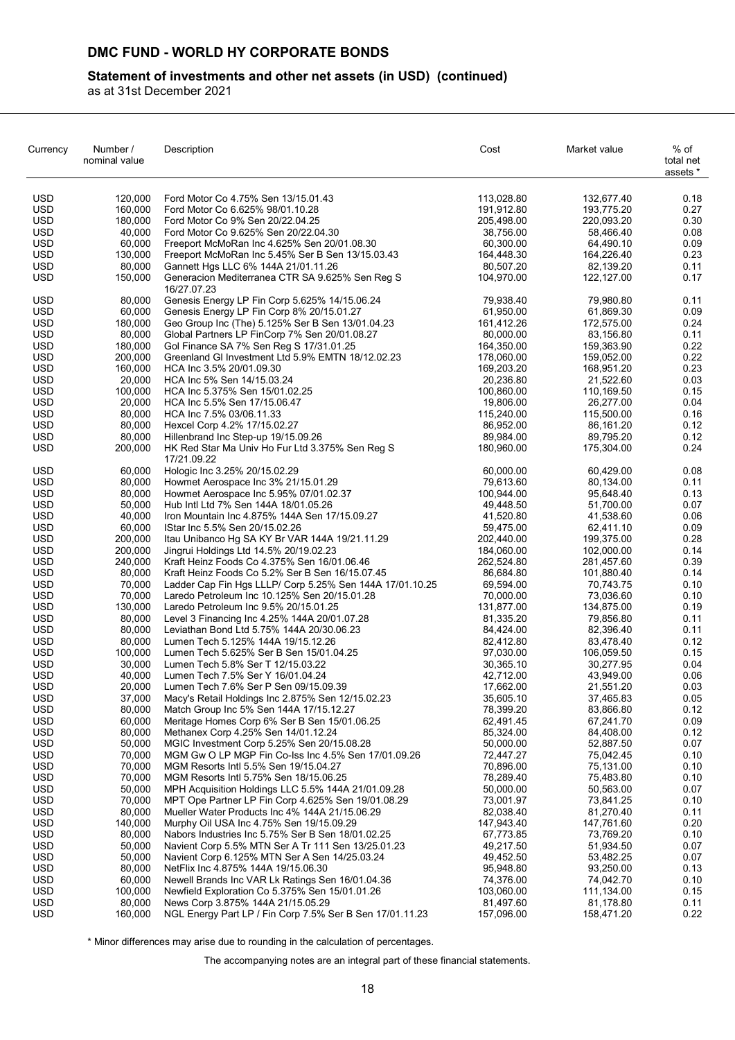## **Statement of investments and other net assets (in USD) (continued)**

as at 31st December 2021

| Currency                 | Number /<br>nominal value | Description                                                                                           | Cost                     | Market value             | % of<br>total net<br>assets * |
|--------------------------|---------------------------|-------------------------------------------------------------------------------------------------------|--------------------------|--------------------------|-------------------------------|
| <b>USD</b>               | 120,000                   | Ford Motor Co 4.75% Sen 13/15.01.43                                                                   | 113,028.80               | 132,677.40               | 0.18                          |
| <b>USD</b>               | 160,000                   | Ford Motor Co 6.625% 98/01.10.28                                                                      | 191,912.80               | 193,775.20               | 0.27                          |
| USD                      | 180,000                   | Ford Motor Co 9% Sen 20/22.04.25                                                                      | 205,498.00               | 220,093.20               | 0.30                          |
| <b>USD</b>               | 40,000                    | Ford Motor Co 9.625% Sen 20/22.04.30                                                                  | 38,756.00                | 58,466.40                | 0.08                          |
| USD                      | 60,000                    | Freeport McMoRan Inc 4.625% Sen 20/01.08.30                                                           | 60,300.00                | 64,490.10                | 0.09                          |
| USD                      | 130,000                   | Freeport McMoRan Inc 5.45% Ser B Sen 13/15.03.43                                                      | 164,448.30               | 164,226.40               | 0.23                          |
| <b>USD</b><br><b>USD</b> | 80,000<br>150,000         | Gannett Hgs LLC 6% 144A 21/01.11.26<br>Generacion Mediterranea CTR SA 9.625% Sen Reg S<br>16/27.07.23 | 80.507.20<br>104,970.00  | 82,139.20<br>122,127.00  | 0.11<br>0.17                  |
| <b>USD</b>               | 80,000                    | Genesis Energy LP Fin Corp 5.625% 14/15.06.24                                                         | 79,938.40                | 79,980.80                | 0.11                          |
| <b>USD</b>               | 60,000                    | Genesis Energy LP Fin Corp 8% 20/15.01.27                                                             | 61,950.00                | 61,869.30                | 0.09                          |
| USD                      | 180,000                   | Geo Group Inc (The) 5.125% Ser B Sen 13/01.04.23                                                      | 161,412.26               | 172,575.00               | 0.24                          |
| <b>USD</b>               | 80,000                    | Global Partners LP FinCorp 7% Sen 20/01.08.27                                                         | 80,000.00                | 83,156.80                | 0.11                          |
| <b>USD</b>               | 180,000                   | Gol Finance SA 7% Sen Reg S 17/31.01.25                                                               | 164,350.00               | 159,363.90               | 0.22                          |
| <b>USD</b>               | 200,000                   | Greenland GI Investment Ltd 5.9% EMTN 18/12.02.23                                                     | 178,060.00               | 159,052.00               | 0.22                          |
| <b>USD</b>               | 160,000                   | HCA Inc 3.5% 20/01.09.30                                                                              | 169,203.20               | 168,951.20               | 0.23                          |
| <b>USD</b>               | 20,000                    | HCA Inc 5% Sen 14/15.03.24                                                                            | 20,236.80                | 21,522.60                | 0.03                          |
| USD                      | 100,000                   | HCA Inc 5.375% Sen 15/01.02.25                                                                        | 100,860.00               | 110,169.50               | 0.15                          |
| USD                      | 20,000<br>80,000          | HCA Inc 5.5% Sen 17/15.06.47                                                                          | 19,806.00                | 26,277.00                | 0.04                          |
| USD<br><b>USD</b>        | 80,000                    | HCA Inc 7.5% 03/06.11.33<br>Hexcel Corp 4.2% 17/15.02.27                                              | 115,240.00<br>86,952.00  | 115,500.00<br>86,161.20  | 0.16<br>0.12                  |
| <b>USD</b>               | 80,000                    | Hillenbrand Inc Step-up 19/15.09.26                                                                   | 89,984.00                | 89,795.20                | 0.12                          |
| <b>USD</b>               | 200,000                   | HK Red Star Ma Univ Ho Fur Ltd 3.375% Sen Reg S<br>17/21.09.22                                        | 180,960.00               | 175,304.00               | 0.24                          |
| <b>USD</b>               | 60,000                    | Hologic Inc 3.25% 20/15.02.29                                                                         | 60,000.00                | 60,429.00                | 0.08                          |
| <b>USD</b>               | 80,000                    | Howmet Aerospace Inc 3% 21/15.01.29                                                                   | 79,613.60                | 80,134.00                | 0.11                          |
| USD                      | 80,000                    | Howmet Aerospace Inc 5.95% 07/01.02.37                                                                | 100,944.00               | 95.648.40                | 0.13                          |
| <b>USD</b>               | 50,000                    | Hub Intl Ltd 7% Sen 144A 18/01.05.26                                                                  | 49,448.50                | 51,700.00                | 0.07                          |
| <b>USD</b>               | 40,000                    | Iron Mountain Inc 4.875% 144A Sen 17/15.09.27                                                         | 41,520.80                | 41,538.60                | 0.06                          |
| <b>USD</b>               | 60,000                    | IStar Inc 5.5% Sen 20/15.02.26                                                                        | 59,475.00                | 62,411.10                | 0.09                          |
| <b>USD</b>               | 200,000                   | Itau Unibanco Hg SA KY Br VAR 144A 19/21.11.29                                                        | 202,440.00               | 199,375.00               | 0.28                          |
| <b>USD</b><br>USD        | 200,000<br>240,000        | Jingrui Holdings Ltd 14.5% 20/19.02.23<br>Kraft Heinz Foods Co 4.375% Sen 16/01.06.46                 | 184,060.00<br>262,524.80 | 102,000.00<br>281,457.60 | 0.14<br>0.39                  |
| <b>USD</b>               | 80,000                    | Kraft Heinz Foods Co 5.2% Ser B Sen 16/15.07.45                                                       | 86,684.80                | 101,880.40               | 0.14                          |
| USD                      | 70,000                    | Ladder Cap Fin Hgs LLLP/ Corp 5.25% Sen 144A 17/01.10.25                                              | 69,594.00                | 70,743.75                | 0.10                          |
| <b>USD</b>               | 70,000                    | Laredo Petroleum Inc 10.125% Sen 20/15.01.28                                                          | 70,000.00                | 73,036.60                | 0.10                          |
| <b>USD</b>               | 130,000                   | Laredo Petroleum Inc 9.5% 20/15.01.25                                                                 | 131,877.00               | 134,875.00               | 0.19                          |
| <b>USD</b>               | 80,000                    | Level 3 Financing Inc 4.25% 144A 20/01.07.28                                                          | 81,335.20                | 79,856.80                | 0.11                          |
| <b>USD</b>               | 80,000                    | Leviathan Bond Ltd 5.75% 144A 20/30.06.23                                                             | 84,424.00                | 82,396.40                | 0.11                          |
| USD                      | 80.000                    | Lumen Tech 5.125% 144A 19/15.12.26                                                                    | 82,412.80                | 83,478.40                | 0.12                          |
| <b>USD</b>               | 100,000                   | Lumen Tech 5.625% Ser B Sen 15/01.04.25                                                               | 97,030.00                | 106,059.50               | 0.15                          |
| <b>USD</b>               | 30,000                    | Lumen Tech 5.8% Ser T 12/15.03.22                                                                     | 30,365.10                | 30,277.95                | 0.04                          |
| <b>USD</b>               | 40,000                    | Lumen Tech 7.5% Ser Y 16/01.04.24                                                                     | 42,712.00                | 43,949.00                | 0.06                          |
| <b>USD</b><br><b>USD</b> | 20,000<br>37,000          | Lumen Tech 7.6% Ser P Sen 09/15.09.39<br>Macy's Retail Holdings Inc 2.875% Sen 12/15.02.23            | 17,662.00<br>35,605.10   | 21,551.20<br>37,465.83   | 0.03<br>0.05                  |
| <b>USD</b>               | 80,000                    | Match Group Inc 5% Sen 144A 17/15.12.27                                                               | 78,399.20                | 83,866.80                | 0.12                          |
| <b>USD</b>               | 60,000                    | Meritage Homes Corp 6% Ser B Sen 15/01.06.25                                                          | 62,491.45                | 67,241.70                | 0.09                          |
| USD.                     | 80,000                    | Methanex Corp 4.25% Sen 14/01.12.24                                                                   | 85,324.00                | 84,408.00                | 0.12                          |
| <b>USD</b>               | 50,000                    | MGIC Investment Corp 5.25% Sen 20/15.08.28                                                            | 50,000.00                | 52,887.50                | 0.07                          |
| <b>USD</b>               | 70,000                    | MGM Gw O LP MGP Fin Co-Iss Inc 4.5% Sen 17/01.09.26                                                   | 72,447.27                | 75,042.45                | 0.10                          |
| <b>USD</b>               | 70,000                    | MGM Resorts Intl 5.5% Sen 19/15.04.27                                                                 | 70,896.00                | 75,131.00                | 0.10                          |
| <b>USD</b>               | 70,000                    | MGM Resorts Intl 5.75% Sen 18/15.06.25                                                                | 78,289.40                | 75,483.80                | 0.10                          |
| <b>USD</b>               | 50,000                    | MPH Acquisition Holdings LLC 5.5% 144A 21/01.09.28                                                    | 50,000.00                | 50,563.00                | 0.07                          |
| <b>USD</b>               | 70,000                    | MPT Ope Partner LP Fin Corp 4.625% Sen 19/01.08.29                                                    | 73,001.97                | 73,841.25                | 0.10                          |
| USD.                     | 80,000                    | Mueller Water Products Inc 4% 144A 21/15.06.29                                                        | 82,038.40                | 81,270.40                | 0.11                          |
| <b>USD</b>               | 140,000                   | Murphy Oil USA Inc 4.75% Sen 19/15.09.29                                                              | 147,943.40               | 147,761.60               | 0.20                          |
| USD<br><b>USD</b>        | 80,000<br>50,000          | Nabors Industries Inc 5.75% Ser B Sen 18/01.02.25                                                     | 67,773.85<br>49,217.50   | 73,769.20<br>51,934.50   | 0.10<br>0.07                  |
| <b>USD</b>               | 50,000                    | Navient Corp 5.5% MTN Ser A Tr 111 Sen 13/25.01.23<br>Navient Corp 6.125% MTN Ser A Sen 14/25.03.24   | 49,452.50                | 53,482.25                | 0.07                          |
| <b>USD</b>               | 80,000                    | NetFlix Inc 4.875% 144A 19/15.06.30                                                                   | 95,948.80                | 93,250.00                | 0.13                          |
| <b>USD</b>               | 60,000                    | Newell Brands Inc VAR Lk Ratings Sen 16/01.04.36                                                      | 74,376.00                | 74,042.70                | 0.10                          |
| <b>USD</b>               | 100,000                   | Newfield Exploration Co 5.375% Sen 15/01.01.26                                                        | 103,060.00               | 111,134.00               | 0.15                          |
| <b>USD</b>               | 80,000                    | News Corp 3.875% 144A 21/15.05.29                                                                     | 81,497.60                | 81,178.80                | 0.11                          |
| <b>USD</b>               | 160,000                   | NGL Energy Part LP / Fin Corp 7.5% Ser B Sen 17/01.11.23                                              | 157,096.00               | 158,471.20               | 0.22                          |

\* Minor differences may arise due to rounding in the calculation of percentages.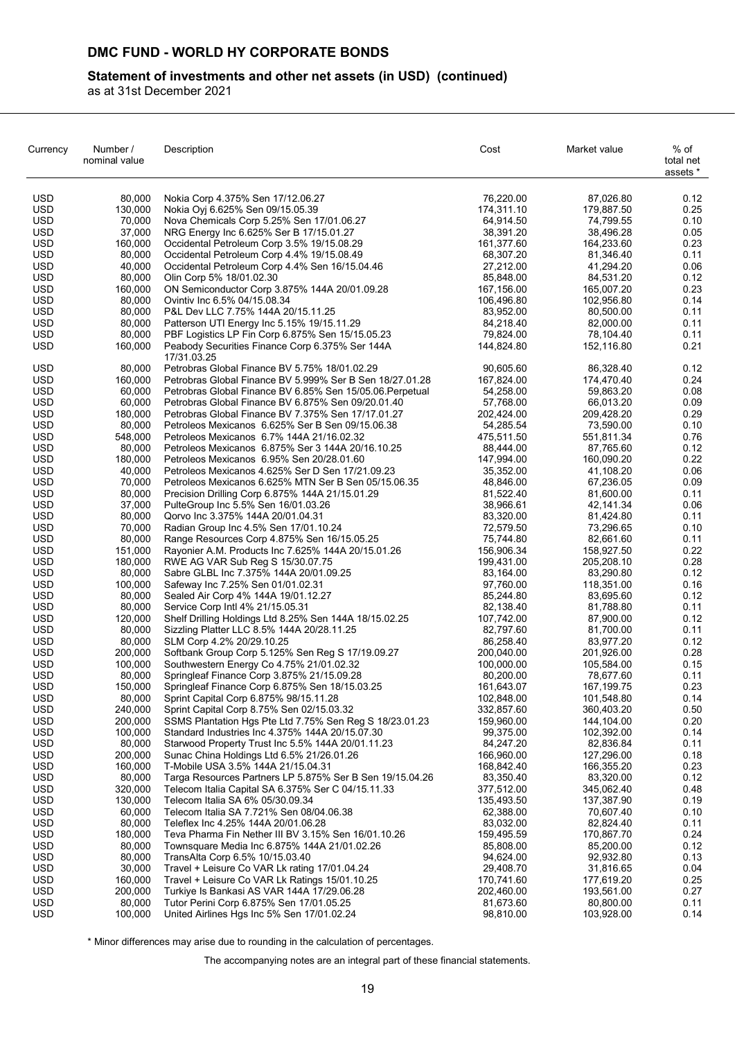## **Statement of investments and other net assets (in USD) (continued)**

as at 31st December 2021

| Currency                 | Number /<br>nominal value | Description                                                                                              | Cost                     | Market value             | % of<br>total net<br>assets * |
|--------------------------|---------------------------|----------------------------------------------------------------------------------------------------------|--------------------------|--------------------------|-------------------------------|
| USD                      | 80,000                    | Nokia Corp 4.375% Sen 17/12.06.27                                                                        | 76,220.00                | 87,026.80                | 0.12                          |
| USD                      | 130,000                   | Nokia Oyi 6.625% Sen 09/15.05.39                                                                         | 174,311.10               | 179,887.50               | 0.25                          |
| USD                      | 70,000                    | Nova Chemicals Corp 5.25% Sen 17/01.06.27                                                                | 64,914.50                | 74,799.55                | 0.10                          |
| USD                      | 37,000                    | NRG Energy Inc 6.625% Ser B 17/15.01.27                                                                  | 38,391.20                | 38,496.28                | 0.05                          |
| <b>USD</b>               | 160,000                   | Occidental Petroleum Corp 3.5% 19/15.08.29                                                               | 161,377.60               | 164,233.60               | 0.23                          |
| <b>USD</b>               | 80,000                    | Occidental Petroleum Corp 4.4% 19/15.08.49                                                               | 68,307.20                | 81,346.40                | 0.11                          |
| <b>USD</b><br><b>USD</b> | 40,000<br>80,000          | Occidental Petroleum Corp 4.4% Sen 16/15.04.46<br>Olin Corp 5% 18/01.02.30                               | 27,212.00<br>85,848.00   | 41,294.20<br>84,531.20   | 0.06<br>0.12                  |
| <b>USD</b>               | 160,000                   | ON Semiconductor Corp 3.875% 144A 20/01.09.28                                                            | 167,156.00               | 165,007.20               | 0.23                          |
| <b>USD</b>               | 80,000                    | Ovintiv Inc 6.5% 04/15.08.34                                                                             | 106,496.80               | 102,956.80               | 0.14                          |
| USD                      | 80.000                    | P&L Dev LLC 7.75% 144A 20/15.11.25                                                                       | 83,952.00                | 80,500.00                | 0.11                          |
| <b>USD</b>               | 80,000                    | Patterson UTI Energy Inc 5.15% 19/15.11.29                                                               | 84,218.40                | 82,000.00                | 0.11                          |
| <b>USD</b>               | 80,000                    | PBF Logistics LP Fin Corp 6.875% Sen 15/15.05.23                                                         | 79,824.00                | 78,104.40                | 0.11                          |
| <b>USD</b>               | 160,000                   | Peabody Securities Finance Corp 6.375% Ser 144A<br>17/31.03.25                                           | 144,824.80               | 152,116.80               | 0.21                          |
| <b>USD</b>               | 80,000                    | Petrobras Global Finance BV 5.75% 18/01.02.29                                                            | 90,605.60                | 86,328.40                | 0.12                          |
| USD                      | 160,000                   | Petrobras Global Finance BV 5.999% Ser B Sen 18/27.01.28                                                 | 167,824.00               | 174,470.40               | 0.24                          |
| USD                      | 60,000                    | Petrobras Global Finance BV 6.85% Sen 15/05.06. Perpetual                                                | 54,258.00                | 59,863.20                | 0.08                          |
| USD<br><b>USD</b>        | 60,000<br>180.000         | Petrobras Global Finance BV 6.875% Sen 09/20.01.40<br>Petrobras Global Finance BV 7.375% Sen 17/17.01.27 | 57,768.00<br>202,424.00  | 66,013.20<br>209,428.20  | 0.09<br>0.29                  |
| <b>USD</b>               | 80,000                    | Petroleos Mexicanos 6.625% Ser B Sen 09/15.06.38                                                         | 54,285.54                | 73,590.00                | 0.10                          |
| <b>USD</b>               | 548,000                   | Petroleos Mexicanos 6.7% 144A 21/16.02.32                                                                | 475,511.50               | 551,811.34               | 0.76                          |
| USD                      | 80,000                    | Petroleos Mexicanos 6.875% Ser 3 144A 20/16.10.25                                                        | 88.444.00                | 87,765.60                | 0.12                          |
| <b>USD</b>               | 180,000                   | Petroleos Mexicanos 6.95% Sen 20/28.01.60                                                                | 147,994.00               | 160,090.20               | 0.22                          |
| USD                      | 40,000                    | Petroleos Mexicanos 4.625% Ser D Sen 17/21.09.23                                                         | 35,352.00                | 41,108.20                | 0.06                          |
| <b>USD</b>               | 70,000                    | Petroleos Mexicanos 6.625% MTN Ser B Sen 05/15.06.35                                                     | 48,846.00                | 67,236.05                | 0.09                          |
| <b>USD</b>               | 80,000                    | Precision Drilling Corp 6.875% 144A 21/15.01.29                                                          | 81,522.40                | 81,600.00                | 0.11                          |
| <b>USD</b>               | 37,000                    | PulteGroup Inc 5.5% Sen 16/01.03.26                                                                      | 38,966.61                | 42,141.34                | 0.06                          |
| <b>USD</b>               | 80,000                    | Qorvo Inc 3.375% 144A 20/01.04.31                                                                        | 83,320.00                | 81,424.80                | 0.11                          |
| <b>USD</b>               | 70,000                    | Radian Group Inc 4.5% Sen 17/01.10.24                                                                    | 72,579.50                | 73,296.65                | 0.10                          |
| USD                      | 80,000                    | Range Resources Corp 4.875% Sen 16/15.05.25                                                              | 75,744.80                | 82,661.60                | 0.11                          |
| USD<br><b>USD</b>        | 151,000<br>180,000        | Rayonier A.M. Products Inc 7.625% 144A 20/15.01.26<br>RWE AG VAR Sub Reg S 15/30.07.75                   | 156,906.34<br>199,431.00 | 158,927.50<br>205,208.10 | 0.22<br>0.28                  |
| USD                      | 80,000                    | Sabre GLBL Inc 7.375% 144A 20/01.09.25                                                                   | 83,164.00                | 83,290.80                | 0.12                          |
| <b>USD</b>               | 100,000                   | Safeway Inc 7.25% Sen 01/01.02.31                                                                        | 97,760.00                | 118,351.00               | 0.16                          |
| <b>USD</b>               | 80,000                    | Sealed Air Corp 4% 144A 19/01.12.27                                                                      | 85,244.80                | 83,695.60                | 0.12                          |
| <b>USD</b>               | 80,000                    | Service Corp Intl 4% 21/15.05.31                                                                         | 82,138.40                | 81,788.80                | 0.11                          |
| USD                      | 120,000                   | Shelf Drilling Holdings Ltd 8.25% Sen 144A 18/15.02.25                                                   | 107,742.00               | 87,900.00                | 0.12                          |
| <b>USD</b>               | 80,000                    | Sizzling Platter LLC 8.5% 144A 20/28.11.25                                                               | 82,797.60                | 81,700.00                | 0.11                          |
| <b>USD</b>               | 80.000                    | SLM Corp 4.2% 20/29.10.25                                                                                | 86,258.40                | 83,977.20                | 0.12                          |
| <b>USD</b>               | 200,000                   | Softbank Group Corp 5.125% Sen Reg S 17/19.09.27                                                         | 200,040.00               | 201,926.00               | 0.28                          |
| <b>USD</b>               | 100,000                   | Southwestern Energy Co 4.75% 21/01.02.32                                                                 | 100,000.00               | 105,584.00               | 0.15                          |
| <b>USD</b>               | 80,000                    | Springleaf Finance Corp 3.875% 21/15.09.28                                                               | 80,200.00                | 78,677.60                | 0.11                          |
| USD                      | 150,000                   | Springleaf Finance Corp 6.875% Sen 18/15.03.25                                                           | 161,643.07               | 167, 199. 75             | 0.23                          |
| <b>USD</b><br><b>USD</b> | 80,000<br>240,000         | Sprint Capital Corp 6.875% 98/15.11.28<br>Sprint Capital Corp 8.75% Sen 02/15.03.32                      | 102,848.00<br>332,857.60 | 101,548.80<br>360,403.20 | 0.14<br>0.50                  |
| <b>USD</b>               | 200,000                   | SSMS Plantation Hgs Pte Ltd 7.75% Sen Reg S 18/23.01.23                                                  | 159,960.00               | 144,104.00               | 0.20                          |
| <b>USD</b>               | 100,000                   | Standard Industries Inc 4.375% 144A 20/15.07.30                                                          | 99,375.00                | 102,392.00               | 0.14                          |
| <b>USD</b>               | 80,000                    | Starwood Property Trust Inc 5.5% 144A 20/01.11.23                                                        | 84,247.20                | 82,836.84                | 0.11                          |
| <b>USD</b>               | 200,000                   | Sunac China Holdings Ltd 6.5% 21/26.01.26                                                                | 166,960.00               | 127,296.00               | 0.18                          |
| <b>USD</b>               | 160,000                   | T-Mobile USA 3.5% 144A 21/15.04.31                                                                       | 168,842.40               | 166,355.20               | 0.23                          |
| <b>USD</b>               | 80,000                    | Targa Resources Partners LP 5.875% Ser B Sen 19/15.04.26                                                 | 83,350.40                | 83,320.00                | 0.12                          |
| <b>USD</b>               | 320,000                   | Telecom Italia Capital SA 6.375% Ser C 04/15.11.33                                                       | 377,512.00               | 345,062.40               | 0.48                          |
| <b>USD</b>               | 130,000                   | Telecom Italia SA 6% 05/30.09.34                                                                         | 135,493.50               | 137,387.90               | 0.19                          |
| USD                      | 60,000                    | Telecom Italia SA 7.721% Sen 08/04.06.38                                                                 | 62,388.00                | 70,607.40                | 0.10                          |
| <b>USD</b>               | 80,000                    | Teleflex Inc 4.25% 144A 20/01.06.28                                                                      | 83,032.00                | 82,824.40                | 0.11                          |
| <b>USD</b>               | 180,000                   | Teva Pharma Fin Nether III BV 3.15% Sen 16/01.10.26                                                      | 159,495.59               | 170,867.70               | 0.24                          |
| <b>USD</b><br><b>USD</b> | 80,000<br>80,000          | Townsquare Media Inc 6.875% 144A 21/01.02.26<br>TransAlta Corp 6.5% 10/15.03.40                          | 85,808.00<br>94,624.00   | 85,200.00<br>92,932.80   | 0.12<br>0.13                  |
| <b>USD</b>               | 30,000                    | Travel + Leisure Co VAR Lk rating 17/01.04.24                                                            | 29,408.70                | 31,816.65                | 0.04                          |
| USD.                     | 160,000                   | Travel + Leisure Co VAR Lk Ratings 15/01.10.25                                                           | 170,741.60               | 177,619.20               | 0.25                          |
| <b>USD</b>               | 200,000                   | Turkiye Is Bankasi AS VAR 144A 17/29.06.28                                                               | 202,460.00               | 193,561.00               | 0.27                          |
| <b>USD</b>               | 80,000                    | Tutor Perini Corp 6.875% Sen 17/01.05.25                                                                 | 81,673.60                | 80,800.00                | 0.11                          |
| <b>USD</b>               | 100,000                   | United Airlines Hgs Inc 5% Sen 17/01.02.24                                                               | 98,810.00                | 103,928.00               | 0.14                          |

\* Minor differences may arise due to rounding in the calculation of percentages.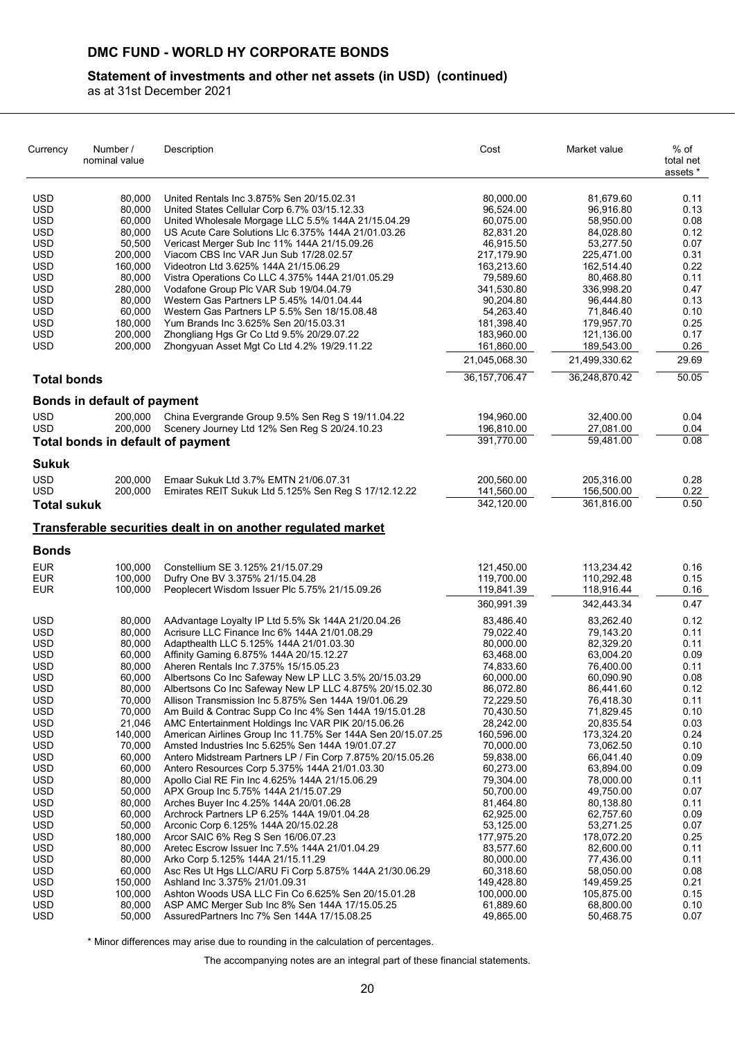## **Statement of investments and other net assets (in USD) (continued)**

as at 31st December 2021

| Currency                 | Number /<br>nominal value         | Description                                                                                     | Cost                     | Market value             | % of<br>total net<br>assets * |
|--------------------------|-----------------------------------|-------------------------------------------------------------------------------------------------|--------------------------|--------------------------|-------------------------------|
| <b>USD</b>               | 80,000                            | United Rentals Inc 3.875% Sen 20/15.02.31                                                       | 80,000.00                | 81,679.60                | 0.11                          |
| <b>USD</b>               | 80,000                            | United States Cellular Corp 6.7% 03/15.12.33                                                    | 96,524.00                | 96,916.80                | 0.13                          |
| <b>USD</b>               | 60,000                            | United Wholesale Morgage LLC 5.5% 144A 21/15.04.29                                              | 60,075.00                | 58,950.00                | 0.08                          |
| <b>USD</b>               | 80,000                            | US Acute Care Solutions Llc 6.375% 144A 21/01.03.26                                             | 82,831.20                | 84,028.80                | 0.12                          |
| <b>USD</b>               | 50,500                            | Vericast Merger Sub Inc 11% 144A 21/15.09.26                                                    | 46,915.50                | 53,277.50                | 0.07                          |
| <b>USD</b>               | 200,000                           | Viacom CBS Inc VAR Jun Sub 17/28.02.57                                                          | 217,179.90               | 225,471.00               | 0.31                          |
| <b>USD</b>               | 160,000                           | Videotron Ltd 3.625% 144A 21/15.06.29                                                           | 163,213.60               | 162,514.40               | 0.22                          |
| <b>USD</b>               | 80,000                            | Vistra Operations Co LLC 4.375% 144A 21/01.05.29                                                | 79,589.60                | 80,468.80                | 0.11                          |
| USD<br><b>USD</b>        | 280,000<br>80,000                 | Vodafone Group Plc VAR Sub 19/04.04.79<br>Western Gas Partners LP 5.45% 14/01.04.44             | 341,530.80<br>90,204.80  | 336,998.20<br>96,444.80  | 0.47<br>0.13                  |
| <b>USD</b>               | 60,000                            | Western Gas Partners LP 5.5% Sen 18/15.08.48                                                    | 54,263.40                | 71,846.40                | 0.10                          |
| <b>USD</b>               | 180,000                           | Yum Brands Inc 3.625% Sen 20/15.03.31                                                           | 181,398.40               | 179,957.70               | 0.25                          |
| USD                      | 200,000                           | Zhongliang Hgs Gr Co Ltd 9.5% 20/29.07.22                                                       | 183,960.00               | 121,136.00               | 0.17                          |
| <b>USD</b>               | 200,000                           | Zhongyuan Asset Mgt Co Ltd 4.2% 19/29.11.22                                                     | 161,860.00               | 189,543.00               | 0.26                          |
|                          |                                   |                                                                                                 | 21,045,068.30            | 21,499,330.62            | 29.69                         |
| <b>Total bonds</b>       |                                   |                                                                                                 | 36, 157, 706. 47         | 36.248.870.42            | 50.05                         |
|                          | Bonds in default of payment       |                                                                                                 |                          |                          |                               |
| <b>USD</b>               | 200,000                           | China Evergrande Group 9.5% Sen Reg S 19/11.04.22                                               | 194,960.00               | 32,400.00                | 0.04                          |
| <b>USD</b>               | 200,000                           | Scenery Journey Ltd 12% Sen Reg S 20/24.10.23                                                   | 196,810.00               | 27,081.00                | 0.04                          |
|                          | Total bonds in default of payment |                                                                                                 | 391,770.00               | 59,481.00                | 0.08                          |
| <b>Sukuk</b>             |                                   |                                                                                                 |                          |                          |                               |
| <b>USD</b>               | 200,000                           | Emaar Sukuk Ltd 3.7% EMTN 21/06.07.31                                                           | 200,560.00               | 205,316.00               | 0.28                          |
| <b>USD</b>               | 200,000                           | Emirates REIT Sukuk Ltd 5.125% Sen Reg S 17/12.12.22                                            | 141,560.00               | 156,500.00               | 0.22                          |
| <b>Total sukuk</b>       |                                   |                                                                                                 | 342,120.00               | 361,816.00               | 0.50                          |
|                          |                                   | Transferable securities dealt in on another regulated market                                    |                          |                          |                               |
| <b>Bonds</b>             |                                   |                                                                                                 |                          |                          |                               |
| <b>EUR</b>               | 100,000                           | Constellium SE 3.125% 21/15.07.29                                                               | 121,450.00               | 113,234.42               | 0.16                          |
| <b>EUR</b>               | 100,000                           | Dufry One BV 3.375% 21/15.04.28                                                                 | 119,700.00               | 110,292.48               | 0.15                          |
| <b>EUR</b>               | 100,000                           | Peoplecert Wisdom Issuer Plc 5.75% 21/15.09.26                                                  | 119,841.39               | 118,916.44               | 0.16                          |
|                          |                                   |                                                                                                 | 360,991.39               | 342,443.34               | 0.47                          |
| <b>USD</b>               | 80,000                            | AAdvantage Loyalty IP Ltd 5.5% Sk 144A 21/20.04.26                                              | 83,486.40                | 83,262.40                | 0.12                          |
| <b>USD</b>               | 80,000                            | Acrisure LLC Finance Inc 6% 144A 21/01.08.29                                                    | 79,022.40                | 79,143.20                | 0.11                          |
| <b>USD</b>               | 80,000                            | Adapthealth LLC 5.125% 144A 21/01.03.30                                                         | 80,000.00                | 82,329.20                | 0.11                          |
| <b>USD</b>               | 60,000                            | Affinity Gaming 6.875% 144A 20/15.12.27                                                         | 63,468.00                | 63,004.20                | 0.09                          |
| USD<br><b>USD</b>        | 80,000<br>60,000                  | Aheren Rentals Inc 7.375% 15/15.05.23<br>Albertsons Co Inc Safeway New LP LLC 3.5% 20/15.03.29  | 74,833.60<br>60,000.00   | 76,400.00<br>60,090.90   | 0.11<br>0.08                  |
| <b>USD</b>               | 80,000                            | Albertsons Co Inc Safeway New LP LLC 4.875% 20/15.02.30                                         | 86,072.80                | 86,441.60                | 0.12                          |
| <b>USD</b>               | 70,000                            | Allison Transmission Inc 5.875% Sen 144A 19/01.06.29                                            | 72,229.50                | 76,418.30                | 0.11                          |
| <b>USD</b>               | 70,000                            | Am Build & Contrac Supp Co Inc 4% Sen 144A 19/15.01.28                                          | 70,430.50                | 71,829.45                | 0.10                          |
| <b>USD</b>               | 21,046                            | AMC Entertainment Holdings Inc VAR PIK 20/15.06.26                                              | 28,242.00                | 20,835.54                | 0.03                          |
| <b>USD</b>               | 140,000                           | American Airlines Group Inc 11.75% Ser 144A Sen 20/15.07.25                                     | 160,596.00               | 173,324.20               | 0.24                          |
| <b>USD</b>               | 70,000                            | Amsted Industries Inc 5.625% Sen 144A 19/01.07.27                                               | 70,000.00                | 73,062.50                | 0.10                          |
| <b>USD</b>               | 60,000                            | Antero Midstream Partners LP / Fin Corp 7.875% 20/15.05.26                                      | 59,838.00                | 66,041.40                | 0.09                          |
| <b>USD</b><br><b>USD</b> | 60,000<br>80,000                  | Antero Resources Corp 5.375% 144A 21/01.03.30<br>Apollo Cial RE Fin Inc 4.625% 144A 21/15.06.29 | 60,273.00<br>79,304.00   | 63,894.00<br>78,000.00   | 0.09<br>0.11                  |
| <b>USD</b>               | 50,000                            | APX Group Inc 5.75% 144A 21/15.07.29                                                            | 50,700.00                | 49,750.00                | 0.07                          |
| <b>USD</b>               | 80,000                            | Arches Buyer Inc 4.25% 144A 20/01.06.28                                                         | 81,464.80                | 80,138.80                | 0.11                          |
| <b>USD</b>               | 60,000                            | Archrock Partners LP 6.25% 144A 19/01.04.28                                                     | 62,925.00                | 62,757.60                | 0.09                          |
| <b>USD</b>               | 50,000                            | Arconic Corp 6.125% 144A 20/15.02.28                                                            | 53,125.00                | 53,271.25                | 0.07                          |
| <b>USD</b>               | 180,000                           | Arcor SAIC 6% Reg S Sen 16/06.07.23                                                             | 177,975.20               | 178,072.20               | 0.25                          |
| <b>USD</b>               | 80,000                            | Aretec Escrow Issuer Inc 7.5% 144A 21/01.04.29                                                  | 83,577.60                | 82,600.00                | 0.11                          |
| <b>USD</b>               | 80,000                            | Arko Corp 5.125% 144A 21/15.11.29                                                               | 80,000.00                | 77,436.00                | 0.11                          |
| <b>USD</b><br><b>USD</b> | 60,000<br>150,000                 | Asc Res Ut Hgs LLC/ARU Fi Corp 5.875% 144A 21/30.06.29                                          | 60,318.60                | 58,050.00                | 0.08                          |
| <b>USD</b>               | 100,000                           | Ashland Inc 3.375% 21/01.09.31<br>Ashton Woods USA LLC Fin Co 6.625% Sen 20/15.01.28            | 149,428.80<br>100,000.00 | 149,459.25<br>105,875.00 | 0.21<br>0.15                  |
| <b>USD</b>               | 80,000                            | ASP AMC Merger Sub Inc 8% Sen 144A 17/15.05.25                                                  | 61,889.60                | 68,800.00                | 0.10                          |
| <b>USD</b>               | 50,000                            | AssuredPartners Inc 7% Sen 144A 17/15.08.25                                                     | 49,865.00                | 50,468.75                | 0.07                          |

\* Minor differences may arise due to rounding in the calculation of percentages.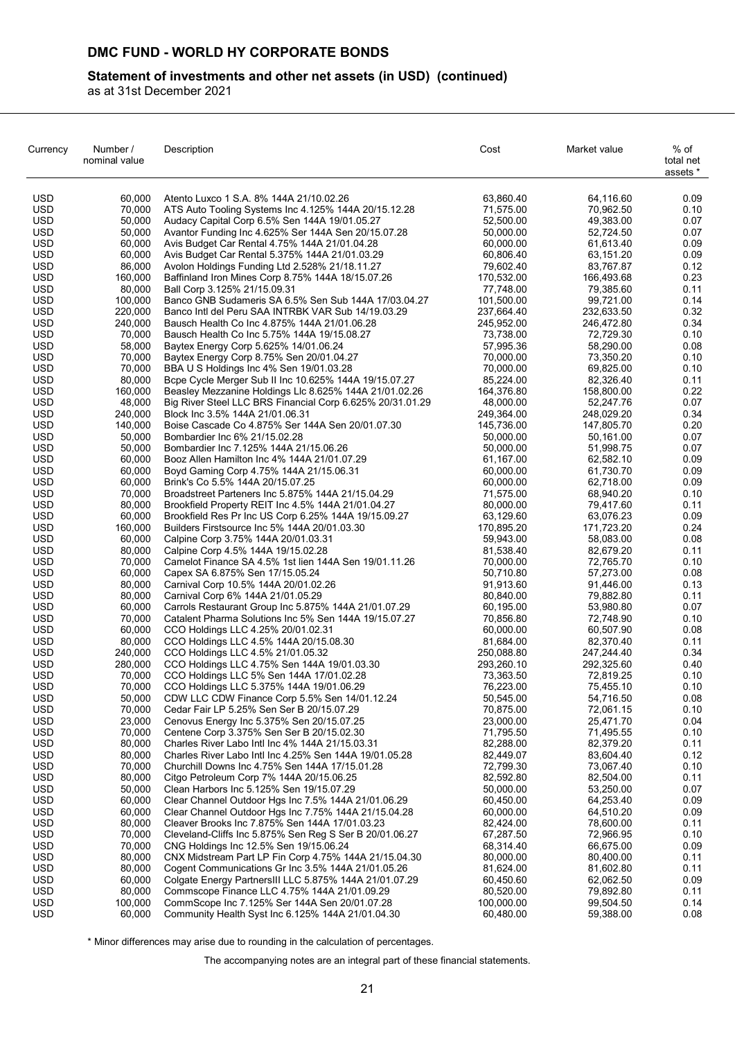## **Statement of investments and other net assets (in USD) (continued)**

as at 31st December 2021

| Currency                 | Number /<br>nominal value | Description                                                                                   | Cost                     | Market value            | % of<br>total net<br>assets * |
|--------------------------|---------------------------|-----------------------------------------------------------------------------------------------|--------------------------|-------------------------|-------------------------------|
| <b>USD</b>               | 60,000                    | Atento Luxco 1 S.A. 8% 144A 21/10.02.26                                                       | 63,860.40                | 64,116.60               | 0.09                          |
| <b>USD</b>               | 70,000                    | ATS Auto Tooling Systems Inc 4.125% 144A 20/15.12.28                                          | 71,575.00                | 70,962.50               | 0.10                          |
| <b>USD</b>               | 50.000                    | Audacy Capital Corp 6.5% Sen 144A 19/01.05.27                                                 | 52,500.00                | 49,383.00               | 0.07                          |
| USD                      | 50,000                    | Avantor Funding Inc 4.625% Ser 144A Sen 20/15.07.28                                           | 50,000.00                | 52,724.50               | 0.07                          |
| <b>USD</b>               | 60,000                    | Avis Budget Car Rental 4.75% 144A 21/01.04.28                                                 | 60,000.00                | 61,613.40               | 0.09                          |
| <b>USD</b>               | 60,000                    | Avis Budget Car Rental 5.375% 144A 21/01.03.29                                                | 60,806.40                | 63,151.20               | 0.09                          |
| <b>USD</b>               | 86,000                    | Avolon Holdings Funding Ltd 2.528% 21/18.11.27                                                | 79,602.40                | 83,767.87               | 0.12                          |
| <b>USD</b>               | 160,000                   | Baffinland Iron Mines Corp 8.75% 144A 18/15.07.26                                             | 170,532.00               | 166,493.68              | 0.23                          |
| <b>USD</b>               | 80,000                    | Ball Corp 3.125% 21/15.09.31                                                                  | 77,748.00                | 79,385.60               | 0.11                          |
| <b>USD</b>               | 100,000                   | Banco GNB Sudameris SA 6.5% Sen Sub 144A 17/03.04.27                                          | 101,500.00               | 99,721.00<br>232,633.50 | 0.14                          |
| <b>USD</b><br><b>USD</b> | 220,000<br>240,000        | Banco Intl del Peru SAA INTRBK VAR Sub 14/19.03.29                                            | 237,664.40<br>245,952.00 | 246,472.80              | 0.32<br>0.34                  |
| <b>USD</b>               | 70,000                    | Bausch Health Co Inc 4.875% 144A 21/01.06.28<br>Bausch Health Co Inc 5.75% 144A 19/15.08.27   | 73,738.00                | 72,729.30               | 0.10                          |
| <b>USD</b>               | 58,000                    | Baytex Energy Corp 5.625% 14/01.06.24                                                         | 57,995.36                | 58,290.00               | 0.08                          |
| <b>USD</b>               | 70,000                    | Baytex Energy Corp 8.75% Sen 20/01.04.27                                                      | 70,000.00                | 73,350.20               | 0.10                          |
| <b>USD</b>               | 70,000                    | BBA U S Holdings Inc 4% Sen 19/01.03.28                                                       | 70,000.00                | 69,825.00               | 0.10                          |
| <b>USD</b>               | 80,000                    | Bcpe Cycle Merger Sub II Inc 10.625% 144A 19/15.07.27                                         | 85,224.00                | 82,326.40               | 0.11                          |
| USD                      | 160,000                   | Beasley Mezzanine Holdings Llc 8.625% 144A 21/01.02.26                                        | 164,376.80               | 158,800.00              | 0.22                          |
| USD                      | 48,000                    | Big River Steel LLC BRS Financial Corp 6.625% 20/31.01.29                                     | 48,000.00                | 52,247.76               | 0.07                          |
| <b>USD</b>               | 240,000                   | Block Inc 3.5% 144A 21/01.06.31                                                               | 249,364.00               | 248,029.20              | 0.34                          |
| <b>USD</b>               | 140,000                   | Boise Cascade Co 4.875% Ser 144A Sen 20/01.07.30                                              | 145,736.00               | 147,805.70              | 0.20                          |
| <b>USD</b>               | 50,000                    | Bombardier Inc 6% 21/15.02.28                                                                 | 50,000.00                | 50,161.00               | 0.07                          |
| <b>USD</b>               | 50,000                    | Bombardier Inc 7.125% 144A 21/15.06.26                                                        | 50,000.00                | 51,998.75               | 0.07                          |
| <b>USD</b>               | 60,000                    | Booz Allen Hamilton Inc 4% 144A 21/01.07.29                                                   | 61,167.00                | 62,582.10               | 0.09                          |
| <b>USD</b>               | 60.000                    | Boyd Gaming Corp 4.75% 144A 21/15.06.31                                                       | 60,000.00                | 61,730.70               | 0.09                          |
| <b>USD</b>               | 60,000                    | Brink's Co 5.5% 144A 20/15.07.25                                                              | 60,000.00                | 62,718.00               | 0.09                          |
| <b>USD</b>               | 70,000                    | Broadstreet Parteners Inc 5.875% 144A 21/15.04.29                                             | 71,575.00                | 68,940.20               | 0.10                          |
| <b>USD</b>               | 80,000                    | Brookfield Property REIT Inc 4.5% 144A 21/01.04.27                                            | 80,000.00                | 79,417.60               | 0.11                          |
| <b>USD</b>               | 60,000                    | Brookfield Res Pr Inc US Corp 6.25% 144A 19/15.09.27                                          | 63,129.60                | 63,076.23               | 0.09                          |
| <b>USD</b><br><b>USD</b> | 160,000<br>60,000         | Builders Firstsource Inc 5% 144A 20/01.03.30                                                  | 170,895.20               | 171,723.20<br>58,083.00 | 0.24<br>0.08                  |
| <b>USD</b>               | 80,000                    | Calpine Corp 3.75% 144A 20/01.03.31<br>Calpine Corp 4.5% 144A 19/15.02.28                     | 59,943.00<br>81,538.40   | 82,679.20               | 0.11                          |
| <b>USD</b>               | 70,000                    | Camelot Finance SA 4.5% 1st lien 144A Sen 19/01.11.26                                         | 70,000.00                | 72,765.70               | 0.10                          |
| USD                      | 60,000                    | Capex SA 6.875% Sen 17/15.05.24                                                               | 50,710.80                | 57,273.00               | 0.08                          |
| <b>USD</b>               | 80,000                    | Carnival Corp 10.5% 144A 20/01.02.26                                                          | 91,913.60                | 91,446.00               | 0.13                          |
| <b>USD</b>               | 80,000                    | Carnival Corp 6% 144A 21/01.05.29                                                             | 80,840.00                | 79,882.80               | 0.11                          |
| <b>USD</b>               | 60,000                    | Carrols Restaurant Group Inc 5.875% 144A 21/01.07.29                                          | 60,195.00                | 53,980.80               | 0.07                          |
| <b>USD</b>               | 70,000                    | Catalent Pharma Solutions Inc 5% Sen 144A 19/15.07.27                                         | 70,856.80                | 72,748.90               | 0.10                          |
| <b>USD</b>               | 60,000                    | CCO Holdings LLC 4.25% 20/01.02.31                                                            | 60,000.00                | 60,507.90               | 0.08                          |
| USD                      | 80,000                    | CCO Holdings LLC 4.5% 144A 20/15.08.30                                                        | 81,684.00                | 82,370.40               | 0.11                          |
| <b>USD</b>               | 240,000                   | CCO Holdings LLC 4.5% 21/01.05.32                                                             | 250,088.80               | 247,244.40              | 0.34                          |
| <b>USD</b>               | 280.000                   | CCO Holdings LLC 4.75% Sen 144A 19/01.03.30                                                   | 293,260.10               | 292,325.60              | 0.40                          |
| <b>USD</b>               | 70,000                    | CCO Holdings LLC 5% Sen 144A 17/01.02.28                                                      | 73,363.50                | 72,819.25               | 0.10                          |
| <b>USD</b>               | 70,000                    | CCO Holdings LLC 5.375% 144A 19/01.06.29                                                      | 76,223.00                | 75,455.10               | 0.10                          |
| <b>USD</b><br><b>USD</b> | 50,000<br>70,000          | CDW LLC CDW Finance Corp 5.5% Sen 14/01.12.24<br>Cedar Fair LP 5.25% Sen Ser B 20/15.07.29    | 50,545.00<br>70,875.00   | 54,716.50<br>72,061.15  | 0.08<br>0.10                  |
| <b>USD</b>               | 23,000                    | Cenovus Energy Inc 5.375% Sen 20/15.07.25                                                     | 23,000.00                | 25,471.70               | 0.04                          |
| USD.                     | 70,000                    | Centene Corp 3.375% Sen Ser B 20/15.02.30                                                     | 71,795.50                | 71,495.55               | 0.10                          |
| <b>USD</b>               | 80,000                    | Charles River Labo Intl Inc 4% 144A 21/15.03.31                                               | 82,288.00                | 82,379.20               | 0.11                          |
| <b>USD</b>               | 80,000                    | Charles River Labo Intl Inc 4.25% Sen 144A 19/01.05.28                                        | 82,449.07                | 83,604.40               | 0.12                          |
| <b>USD</b>               | 70,000                    | Churchill Downs Inc 4.75% Sen 144A 17/15.01.28                                                | 72,799.30                | 73,067.40               | 0.10                          |
| <b>USD</b>               | 80,000                    | Citgo Petroleum Corp 7% 144A 20/15.06.25                                                      | 82,592.80                | 82,504.00               | 0.11                          |
| <b>USD</b>               | 50,000                    | Clean Harbors Inc 5.125% Sen 19/15.07.29                                                      | 50,000.00                | 53,250.00               | 0.07                          |
| <b>USD</b>               | 60,000                    | Clear Channel Outdoor Hgs Inc 7.5% 144A 21/01.06.29                                           | 60,450.00                | 64,253.40               | 0.09                          |
| USD                      | 60,000                    | Clear Channel Outdoor Hgs Inc 7.75% 144A 21/15.04.28                                          | 60,000.00                | 64,510.20               | 0.09                          |
| <b>USD</b>               | 80,000                    | Cleaver Brooks Inc 7.875% Sen 144A 17/01.03.23                                                | 82,424.00                | 78,600.00               | 0.11                          |
| USD                      | 70,000                    | Cleveland-Cliffs Inc 5.875% Sen Reg S Ser B 20/01.06.27                                       | 67,287.50                | 72,966.95               | 0.10                          |
| <b>USD</b>               | 70,000                    | CNG Holdings Inc 12.5% Sen 19/15.06.24                                                        | 68,314.40                | 66,675.00               | 0.09                          |
| USD                      | 80,000                    | CNX Midstream Part LP Fin Corp 4.75% 144A 21/15.04.30                                         | 80,000.00                | 80,400.00               | 0.11                          |
| <b>USD</b>               | 80,000                    | Cogent Communications Gr Inc 3.5% 144A 21/01.05.26                                            | 81,624.00                | 81,602.80               | 0.11                          |
| <b>USD</b>               | 60,000                    | Colgate Energy PartnersIII LLC 5.875% 144A 21/01.07.29                                        | 60,450.60                | 62,062.50               | 0.09                          |
| <b>USD</b><br>USD.       | 80,000<br>100,000         | Commscope Finance LLC 4.75% 144A 21/01.09.29<br>CommScope Inc 7.125% Ser 144A Sen 20/01.07.28 | 80,520.00<br>100,000.00  | 79,892.80<br>99,504.50  | 0.11<br>0.14                  |
| <b>USD</b>               | 60,000                    | Community Health Syst Inc 6.125% 144A 21/01.04.30                                             | 60,480.00                | 59,388.00               | 0.08                          |
|                          |                           |                                                                                               |                          |                         |                               |

\* Minor differences may arise due to rounding in the calculation of percentages.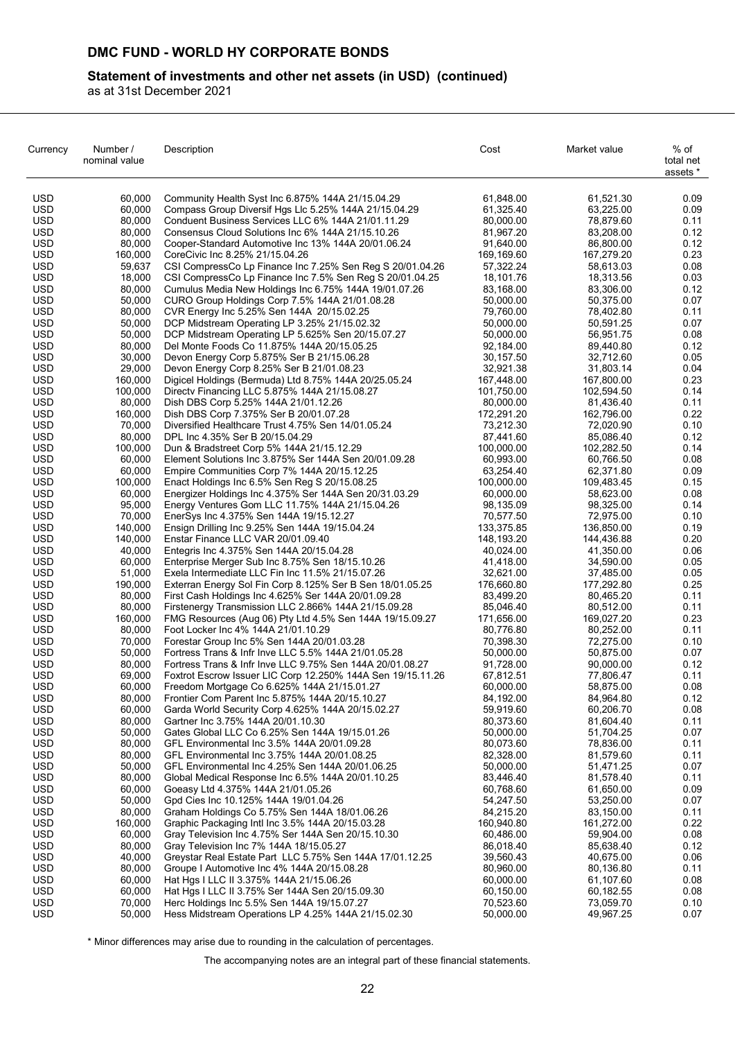## **Statement of investments and other net assets (in USD) (continued)**

as at 31st December 2021

| Currency                 | Number /<br>nominal value | Description                                                                                                 | Cost                    | Market value            | % of<br>total net<br>assets * |
|--------------------------|---------------------------|-------------------------------------------------------------------------------------------------------------|-------------------------|-------------------------|-------------------------------|
| <b>USD</b>               | 60,000                    | Community Health Syst Inc 6.875% 144A 21/15.04.29                                                           | 61,848.00               | 61,521.30               | 0.09                          |
| <b>USD</b>               | 60,000                    | Compass Group Diversif Hgs Llc 5.25% 144A 21/15.04.29                                                       | 61,325.40               | 63,225.00               | 0.09                          |
| <b>USD</b>               | 80,000                    | Conduent Business Services LLC 6% 144A 21/01.11.29                                                          | 80,000.00               | 78,879.60               | 0.11                          |
| <b>USD</b>               | 80,000                    | Consensus Cloud Solutions Inc 6% 144A 21/15.10.26                                                           | 81,967.20               | 83,208.00               | 0.12                          |
| <b>USD</b>               | 80,000                    | Cooper-Standard Automotive Inc 13% 144A 20/01.06.24                                                         | 91,640.00               | 86,800.00               | 0.12                          |
| <b>USD</b>               | 160,000                   | CoreCivic Inc 8.25% 21/15.04.26                                                                             | 169,169.60              | 167,279.20              | 0.23                          |
| <b>USD</b>               | 59,637                    | CSI CompressCo Lp Finance Inc 7.25% Sen Reg S 20/01.04.26                                                   | 57,322.24               | 58,613.03               | 0.08                          |
| <b>USD</b>               | 18,000                    | CSI CompressCo Lp Finance Inc 7.5% Sen Reg S 20/01.04.25                                                    | 18,101.76               | 18,313.56               | 0.03                          |
| <b>USD</b>               | 80,000                    | Cumulus Media New Holdings Inc 6.75% 144A 19/01.07.26                                                       | 83,168.00               | 83,306.00               | 0.12                          |
| <b>USD</b>               | 50,000                    | CURO Group Holdings Corp 7.5% 144A 21/01.08.28                                                              | 50,000.00               | 50,375.00               | 0.07                          |
| <b>USD</b>               | 80,000                    | CVR Energy Inc 5.25% Sen 144A 20/15.02.25                                                                   | 79,760.00               | 78,402.80               | 0.11                          |
| <b>USD</b>               | 50,000                    | DCP Midstream Operating LP 3.25% 21/15.02.32                                                                | 50,000.00               | 50,591.25               | 0.07                          |
| <b>USD</b><br><b>USD</b> | 50,000<br>80,000          | DCP Midstream Operating LP 5.625% Sen 20/15.07.27                                                           | 50,000.00<br>92,184.00  | 56,951.75<br>89,440.80  | 0.08<br>0.12                  |
| <b>USD</b>               | 30,000                    | Del Monte Foods Co 11.875% 144A 20/15.05.25<br>Devon Energy Corp 5.875% Ser B 21/15.06.28                   | 30,157.50               | 32,712.60               | 0.05                          |
| <b>USD</b>               | 29,000                    | Devon Energy Corp 8.25% Ser B 21/01.08.23                                                                   | 32,921.38               | 31,803.14               | 0.04                          |
| <b>USD</b>               | 160,000                   | Digicel Holdings (Bermuda) Ltd 8.75% 144A 20/25.05.24                                                       | 167,448.00              | 167,800.00              | 0.23                          |
| <b>USD</b>               | 100,000                   | Directy Financing LLC 5.875% 144A 21/15.08.27                                                               | 101,750.00              | 102,594.50              | 0.14                          |
| <b>USD</b>               | 80,000                    | Dish DBS Corp 5.25% 144A 21/01.12.26                                                                        | 80,000.00               | 81,436.40               | 0.11                          |
| <b>USD</b>               | 160,000                   | Dish DBS Corp 7.375% Ser B 20/01.07.28                                                                      | 172,291.20              | 162,796.00              | 0.22                          |
| <b>USD</b>               | 70,000                    | Diversified Healthcare Trust 4.75% Sen 14/01.05.24                                                          | 73,212.30               | 72,020.90               | 0.10                          |
| <b>USD</b>               | 80,000                    | DPL Inc 4.35% Ser B 20/15.04.29                                                                             | 87,441.60               | 85,086.40               | 0.12                          |
| <b>USD</b>               | 100,000                   | Dun & Bradstreet Corp 5% 144A 21/15.12.29                                                                   | 100,000.00              | 102,282.50              | 0.14                          |
| <b>USD</b>               | 60,000                    | Element Solutions Inc 3.875% Ser 144A Sen 20/01.09.28                                                       | 60,993.00               | 60,766.50               | 0.08                          |
| <b>USD</b>               | 60,000                    | Empire Communities Corp 7% 144A 20/15.12.25                                                                 | 63,254.40               | 62,371.80               | 0.09                          |
| <b>USD</b>               | 100,000                   | Enact Holdings Inc 6.5% Sen Reg S 20/15.08.25                                                               | 100,000.00              | 109,483.45              | 0.15                          |
| <b>USD</b>               | 60,000                    | Energizer Holdings Inc 4.375% Ser 144A Sen 20/31.03.29                                                      | 60,000.00               | 58,623.00               | 0.08                          |
| <b>USD</b>               | 95,000                    | Energy Ventures Gom LLC 11.75% 144A 21/15.04.26                                                             | 98,135.09               | 98,325.00               | 0.14                          |
| <b>USD</b>               | 70,000                    | EnerSys Inc 4.375% Sen 144A 19/15.12.27                                                                     | 70,577.50               | 72,975.00               | 0.10                          |
| <b>USD</b>               | 140,000                   | Ensign Drilling Inc 9.25% Sen 144A 19/15.04.24                                                              | 133,375.85              | 136,850.00              | 0.19                          |
| <b>USD</b>               | 140,000                   | Enstar Finance LLC VAR 20/01.09.40                                                                          | 148,193.20              | 144,436.88              | 0.20                          |
| <b>USD</b>               | 40,000                    | Entegris Inc 4.375% Sen 144A 20/15.04.28                                                                    | 40,024.00               | 41,350.00               | 0.06                          |
| <b>USD</b>               | 60,000                    | Enterprise Merger Sub Inc 8.75% Sen 18/15.10.26                                                             | 41,418.00               | 34,590.00               | 0.05                          |
| <b>USD</b>               | 51,000                    | Exela Intermediate LLC Fin Inc 11.5% 21/15.07.26                                                            | 32,621.00               | 37,485.00               | 0.05                          |
| <b>USD</b><br><b>USD</b> | 190,000<br>80,000         | Exterran Energy Sol Fin Corp 8.125% Ser B Sen 18/01.05.25                                                   | 176,660.80<br>83,499.20 | 177,292.80<br>80,465.20 | 0.25<br>0.11                  |
| <b>USD</b>               | 80,000                    | First Cash Holdings Inc 4.625% Ser 144A 20/01.09.28<br>Firstenergy Transmission LLC 2.866% 144A 21/15.09.28 | 85,046.40               | 80,512.00               | 0.11                          |
| <b>USD</b>               | 160,000                   | FMG Resources (Aug 06) Pty Ltd 4.5% Sen 144A 19/15.09.27                                                    | 171,656.00              | 169,027.20              | 0.23                          |
| <b>USD</b>               | 80,000                    | Foot Locker Inc 4% 144A 21/01.10.29                                                                         | 80,776.80               | 80,252.00               | 0.11                          |
| <b>USD</b>               | 70,000                    | Forestar Group Inc 5% Sen 144A 20/01.03.28                                                                  | 70,398.30               | 72,275.00               | 0.10                          |
| <b>USD</b>               | 50,000                    | Fortress Trans & Infr Inve LLC 5.5% 144A 21/01.05.28                                                        | 50,000.00               | 50,875.00               | 0.07                          |
| <b>USD</b>               | 80,000                    | Fortress Trans & Infr Inve LLC 9.75% Sen 144A 20/01.08.27                                                   | 91,728.00               | 90,000.00               | 0.12                          |
| <b>USD</b>               | 69,000                    | Foxtrot Escrow Issuer LIC Corp 12.250% 144A Sen 19/15.11.26                                                 | 67,812.51               | 77,806.47               | 0.11                          |
| <b>USD</b>               | 60,000                    | Freedom Mortgage Co 6.625% 144A 21/15.01.27                                                                 | 60,000.00               | 58,875.00               | 0.08                          |
| <b>USD</b>               | 80,000                    | Frontier Com Parent Inc 5.875% 144A 20/15.10.27                                                             | 84,192.00               | 84,964.80               | 0.12                          |
| <b>USD</b>               | 60,000                    | Garda World Security Corp 4.625% 144A 20/15.02.27                                                           | 59,919.60               | 60,206.70               | 0.08                          |
| <b>USD</b>               | 80,000                    | Gartner Inc 3.75% 144A 20/01.10.30                                                                          | 80,373.60               | 81,604.40               | 0.11                          |
| <b>USD</b>               | 50,000                    | Gates Global LLC Co 6.25% Sen 144A 19/15.01.26                                                              | 50,000.00               | 51,704.25               | 0.07                          |
| <b>USD</b>               | 80,000                    | GFL Environmental Inc 3.5% 144A 20/01.09.28                                                                 | 80,073.60               | 78,836.00               | 0.11                          |
| <b>USD</b>               | 80,000                    | GFL Environmental Inc 3.75% 144A 20/01.08.25                                                                | 82,328.00               | 81,579.60               | 0.11                          |
| <b>USD</b>               | 50,000                    | GFL Environmental Inc 4.25% Sen 144A 20/01.06.25                                                            | 50,000.00               | 51,471.25               | 0.07                          |
| <b>USD</b>               | 80,000                    | Global Medical Response Inc 6.5% 144A 20/01.10.25                                                           | 83,446.40               | 81,578.40               | 0.11                          |
| <b>USD</b>               | 60,000                    | Goeasy Ltd 4.375% 144A 21/01.05.26                                                                          | 60,768.60               | 61,650.00               | 0.09                          |
| <b>USD</b>               | 50,000                    | Gpd Cies Inc 10.125% 144A 19/01.04.26                                                                       | 54,247.50               | 53,250.00               | 0.07                          |
| <b>USD</b><br><b>USD</b> | 80,000<br>160,000         | Graham Holdings Co 5.75% Sen 144A 18/01.06.26<br>Graphic Packaging Intl Inc 3.5% 144A 20/15.03.28           | 84,215.20<br>160,940.80 | 83,150.00<br>161,272.00 | 0.11<br>0.22                  |
| <b>USD</b>               | 60,000                    | Gray Television Inc 4.75% Ser 144A Sen 20/15.10.30                                                          | 60,486.00               | 59,904.00               | 0.08                          |
| <b>USD</b>               | 80,000                    | Gray Television Inc 7% 144A 18/15.05.27                                                                     | 86,018.40               | 85,638.40               | 0.12                          |
| <b>USD</b>               | 40,000                    | Greystar Real Estate Part LLC 5.75% Sen 144A 17/01.12.25                                                    | 39,560.43               | 40,675.00               | 0.06                          |
| <b>USD</b>               | 80,000                    | Groupe I Automotive Inc 4% 144A 20/15.08.28                                                                 | 80,960.00               | 80,136.80               | 0.11                          |
| <b>USD</b>               | 60,000                    | Hat Hgs I LLC II 3.375% 144A 21/15.06.26                                                                    | 60,000.00               | 61,107.60               | 0.08                          |
| <b>USD</b>               | 60,000                    | Hat Hgs I LLC II 3.75% Ser 144A Sen 20/15.09.30                                                             | 60,150.00               | 60,182.55               | 0.08                          |
| <b>USD</b>               | 70,000                    | Herc Holdings Inc 5.5% Sen 144A 19/15.07.27                                                                 | 70,523.60               | 73,059.70               | 0.10                          |
| <b>USD</b>               | 50,000                    | Hess Midstream Operations LP 4.25% 144A 21/15.02.30                                                         | 50,000.00               | 49,967.25               | 0.07                          |

\* Minor differences may arise due to rounding in the calculation of percentages.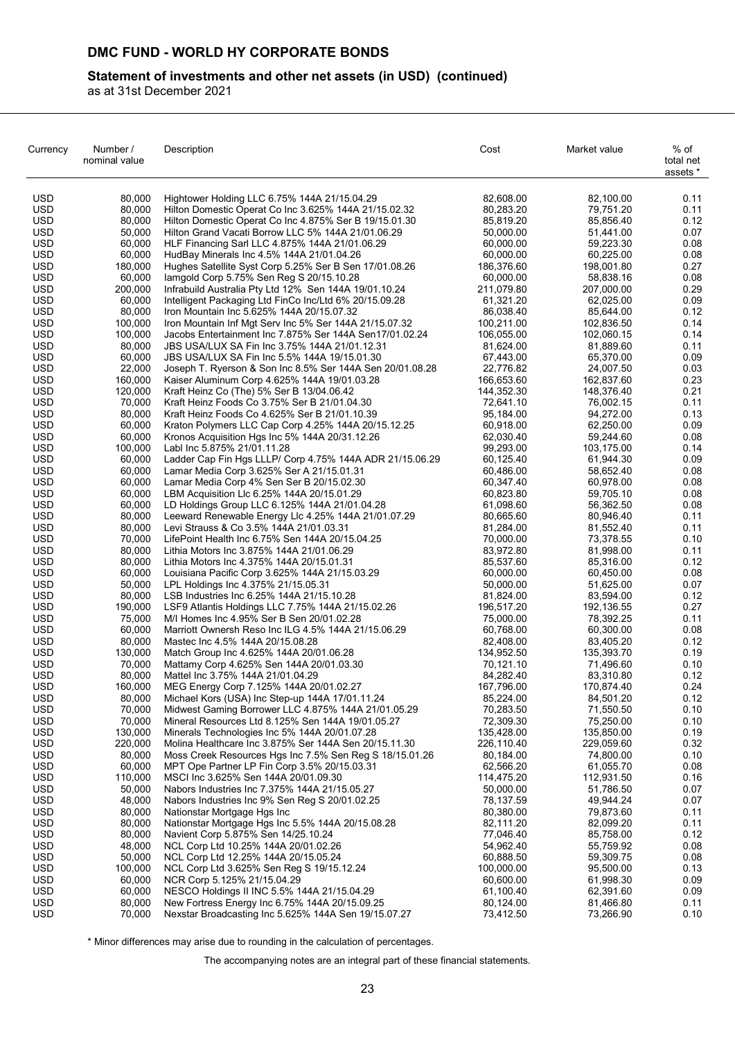## **Statement of investments and other net assets (in USD) (continued)**

as at 31st December 2021

| Currency                 | Number /<br>nominal value | Description                                                                                               | Cost                    | Market value            | % of<br>total net<br>assets * |
|--------------------------|---------------------------|-----------------------------------------------------------------------------------------------------------|-------------------------|-------------------------|-------------------------------|
| <b>USD</b>               | 80,000                    | Hightower Holding LLC 6.75% 144A 21/15.04.29                                                              | 82,608.00               | 82,100.00               | 0.11                          |
| <b>USD</b>               | 80.000                    | Hilton Domestic Operat Co Inc 3.625% 144A 21/15.02.32                                                     | 80,283.20               | 79,751.20               | 0.11                          |
| <b>USD</b>               | 80,000                    | Hilton Domestic Operat Co Inc 4.875% Ser B 19/15.01.30                                                    | 85,819.20               | 85,856.40               | 0.12                          |
| <b>USD</b>               | 50,000                    | Hilton Grand Vacati Borrow LLC 5% 144A 21/01.06.29                                                        | 50,000.00               | 51,441.00               | 0.07                          |
| <b>USD</b><br><b>USD</b> | 60,000<br>60,000          | HLF Financing Sarl LLC 4.875% 144A 21/01.06.29                                                            | 60,000.00               | 59,223.30<br>60,225.00  | 0.08<br>0.08                  |
| <b>USD</b>               | 180.000                   | HudBay Minerals Inc 4.5% 144A 21/01.04.26<br>Hughes Satellite Syst Corp 5.25% Ser B Sen 17/01.08.26       | 60,000.00<br>186,376.60 | 198,001.80              | 0.27                          |
| USD                      | 60,000                    | lamgold Corp 5.75% Sen Reg S 20/15.10.28                                                                  | 60,000.00               | 58,838.16               | 0.08                          |
| <b>USD</b>               | 200.000                   | Infrabuild Australia Pty Ltd 12% Sen 144A 19/01.10.24                                                     | 211,079.80              | 207,000.00              | 0.29                          |
| <b>USD</b>               | 60,000                    | Intelligent Packaging Ltd FinCo Inc/Ltd 6% 20/15.09.28                                                    | 61,321.20               | 62,025.00               | 0.09                          |
| <b>USD</b>               | 80,000                    | Iron Mountain Inc 5.625% 144A 20/15.07.32                                                                 | 86,038.40               | 85,644.00               | 0.12                          |
| <b>USD</b>               | 100,000                   | Iron Mountain Inf Mgt Serv Inc 5% Ser 144A 21/15.07.32                                                    | 100,211.00              | 102,836.50              | 0.14                          |
| <b>USD</b>               | 100,000                   | Jacobs Entertainment Inc 7.875% Ser 144A Sen17/01.02.24                                                   | 106,055.00              | 102,060.15              | 0.14                          |
| <b>USD</b>               | 80,000                    | JBS USA/LUX SA Fin Inc 3.75% 144A 21/01.12.31                                                             | 81,624.00               | 81,889.60               | 0.11                          |
| <b>USD</b>               | 60,000                    | JBS USA/LUX SA Fin Inc 5.5% 144A 19/15.01.30                                                              | 67,443.00               | 65,370.00               | 0.09                          |
| <b>USD</b><br><b>USD</b> | 22,000<br>160,000         | Joseph T. Ryerson & Son Inc 8.5% Ser 144A Sen 20/01.08.28<br>Kaiser Aluminum Corp 4.625% 144A 19/01.03.28 | 22,776.82<br>166,653.60 | 24,007.50<br>162,837.60 | 0.03<br>0.23                  |
| <b>USD</b>               | 120,000                   | Kraft Heinz Co (The) 5% Ser B 13/04.06.42                                                                 | 144,352.30              | 148,376.40              | 0.21                          |
| <b>USD</b>               | 70,000                    | Kraft Heinz Foods Co 3.75% Ser B 21/01.04.30                                                              | 72,641.10               | 76,002.15               | 0.11                          |
| <b>USD</b>               | 80,000                    | Kraft Heinz Foods Co 4.625% Ser B 21/01.10.39                                                             | 95,184.00               | 94,272.00               | 0.13                          |
| USD                      | 60,000                    | Kraton Polymers LLC Cap Corp 4.25% 144A 20/15.12.25                                                       | 60,918.00               | 62,250.00               | 0.09                          |
| <b>USD</b>               | 60,000                    | Kronos Acquisition Hgs Inc 5% 144A 20/31.12.26                                                            | 62,030.40               | 59,244.60               | 0.08                          |
| <b>USD</b>               | 100,000                   | Labl Inc 5.875% 21/01.11.28                                                                               | 99,293.00               | 103,175.00              | 0.14                          |
| <b>USD</b>               | 60,000                    | Ladder Cap Fin Hgs LLLP/ Corp 4.75% 144A ADR 21/15.06.29                                                  | 60,125.40               | 61,944.30               | 0.09                          |
| <b>USD</b>               | 60,000                    | Lamar Media Corp 3.625% Ser A 21/15.01.31                                                                 | 60,486.00               | 58,652.40               | 0.08                          |
| <b>USD</b><br><b>USD</b> | 60,000                    | Lamar Media Corp 4% Sen Ser B 20/15.02.30                                                                 | 60,347.40               | 60,978.00               | 0.08                          |
| <b>USD</b>               | 60,000<br>60,000          | LBM Acquisition Llc 6.25% 144A 20/15.01.29<br>LD Holdings Group LLC 6.125% 144A 21/01.04.28               | 60,823.80<br>61,098.60  | 59,705.10<br>56,362.50  | 0.08<br>0.08                  |
| <b>USD</b>               | 80,000                    | Leeward Renewable Energy Llc 4.25% 144A 21/01.07.29                                                       | 80,665.60               | 80,946.40               | 0.11                          |
| <b>USD</b>               | 80,000                    | Levi Strauss & Co 3.5% 144A 21/01.03.31                                                                   | 81,284.00               | 81,552.40               | 0.11                          |
| <b>USD</b>               | 70,000                    | LifePoint Health Inc 6.75% Sen 144A 20/15.04.25                                                           | 70,000.00               | 73,378.55               | 0.10                          |
| <b>USD</b>               | 80,000                    | Lithia Motors Inc 3.875% 144A 21/01.06.29                                                                 | 83,972.80               | 81,998.00               | 0.11                          |
| <b>USD</b>               | 80,000                    | Lithia Motors Inc 4.375% 144A 20/15.01.31                                                                 | 85,537.60               | 85,316.00               | 0.12                          |
| <b>USD</b>               | 60,000                    | Louisiana Pacific Corp 3.625% 144A 21/15.03.29                                                            | 60,000.00               | 60,450.00               | 0.08                          |
| <b>USD</b>               | 50,000                    | LPL Holdings Inc 4.375% 21/15.05.31                                                                       | 50,000.00               | 51,625.00               | 0.07                          |
| USD                      | 80,000                    | LSB Industries Inc 6.25% 144A 21/15.10.28                                                                 | 81,824.00               | 83,594.00               | 0.12                          |
| <b>USD</b><br><b>USD</b> | 190,000<br>75,000         | LSF9 Atlantis Holdings LLC 7.75% 144A 21/15.02.26<br>M/I Homes Inc 4.95% Ser B Sen 20/01.02.28            | 196,517.20<br>75,000.00 | 192,136.55<br>78,392.25 | 0.27<br>0.11                  |
| <b>USD</b>               | 60,000                    | Marriott Ownersh Reso Inc ILG 4.5% 144A 21/15.06.29                                                       | 60,768.00               | 60,300.00               | 0.08                          |
| <b>USD</b>               | 80,000                    | Mastec Inc 4.5% 144A 20/15.08.28                                                                          | 82,408.00               | 83,405.20               | 0.12                          |
| <b>USD</b>               | 130,000                   | Match Group Inc 4.625% 144A 20/01.06.28                                                                   | 134,952.50              | 135,393.70              | 0.19                          |
| <b>USD</b>               | 70,000                    | Mattamy Corp 4.625% Sen 144A 20/01.03.30                                                                  | 70,121.10               | 71,496.60               | 0.10                          |
| <b>USD</b>               | 80,000                    | Mattel Inc 3.75% 144A 21/01.04.29                                                                         | 84,282.40               | 83,310.80               | 0.12                          |
| <b>USD</b>               | 160,000                   | MEG Energy Corp 7.125% 144A 20/01.02.27                                                                   | 167,796.00              | 170,874.40              | 0.24                          |
| <b>USD</b>               | 80,000                    | Michael Kors (USA) Inc Step-up 144A 17/01.11.24                                                           | 85,224.00               | 84,501.20               | 0.12                          |
| <b>USD</b>               | 70,000                    | Midwest Gaming Borrower LLC 4.875% 144A 21/01.05.29                                                       | 70,283.50<br>72,309.30  | 71,550.50               | 0.10                          |
| <b>USD</b><br><b>USD</b> | 70,000<br>130,000         | Mineral Resources Ltd 8.125% Sen 144A 19/01.05.27<br>Minerals Technologies Inc 5% 144A 20/01.07.28        | 135,428.00              | 75,250.00<br>135,850.00 | 0.10<br>0.19                  |
| <b>USD</b>               | 220,000                   | Molina Healthcare Inc 3.875% Ser 144A Sen 20/15.11.30                                                     | 226,110.40              | 229,059.60              | 0.32                          |
| <b>USD</b>               | 80,000                    | Moss Creek Resources Hgs Inc 7.5% Sen Reg S 18/15.01.26                                                   | 80,184.00               | 74,800.00               | 0.10                          |
| <b>USD</b>               | 60,000                    | MPT Ope Partner LP Fin Corp 3.5% 20/15.03.31                                                              | 62,566.20               | 61,055.70               | 0.08                          |
| USD.                     | 110,000                   | MSCI Inc 3.625% Sen 144A 20/01.09.30                                                                      | 114,475.20              | 112,931.50              | 0.16                          |
| <b>USD</b>               | 50,000                    | Nabors Industries Inc 7.375% 144A 21/15.05.27                                                             | 50,000.00               | 51,786.50               | 0.07                          |
| <b>USD</b>               | 48,000                    | Nabors Industries Inc 9% Sen Reg S 20/01.02.25                                                            | 78,137.59               | 49,944.24               | 0.07                          |
| <b>USD</b>               | 80,000                    | Nationstar Mortgage Hgs Inc                                                                               | 80,380.00               | 79,873.60               | 0.11                          |
| <b>USD</b>               | 80,000                    | Nationstar Mortgage Hgs Inc 5.5% 144A 20/15.08.28                                                         | 82,111.20               | 82,099.20               | 0.11                          |
| <b>USD</b><br><b>USD</b> | 80,000                    | Navient Corp 5.875% Sen 14/25.10.24                                                                       | 77,046.40               | 85,758.00               | 0.12                          |
| USD                      | 48,000<br>50,000          | NCL Corp Ltd 10.25% 144A 20/01.02.26<br>NCL Corp Ltd 12.25% 144A 20/15.05.24                              | 54,962.40<br>60,888.50  | 55,759.92<br>59,309.75  | 0.08<br>0.08                  |
| <b>USD</b>               | 100,000                   | NCL Corp Ltd 3.625% Sen Reg S 19/15.12.24                                                                 | 100,000.00              | 95,500.00               | 0.13                          |
| <b>USD</b>               | 60,000                    | NCR Corp 5.125% 21/15.04.29                                                                               | 60,600.00               | 61,998.30               | 0.09                          |
| <b>USD</b>               | 60,000                    | NESCO Holdings II INC 5.5% 144A 21/15.04.29                                                               | 61,100.40               | 62,391.60               | 0.09                          |
| <b>USD</b>               | 80,000                    | New Fortress Energy Inc 6.75% 144A 20/15.09.25                                                            | 80,124.00               | 81,466.80               | 0.11                          |
| <b>USD</b>               | 70,000                    | Nexstar Broadcasting Inc 5.625% 144A Sen 19/15.07.27                                                      | 73,412.50               | 73,266.90               | 0.10                          |

\* Minor differences may arise due to rounding in the calculation of percentages.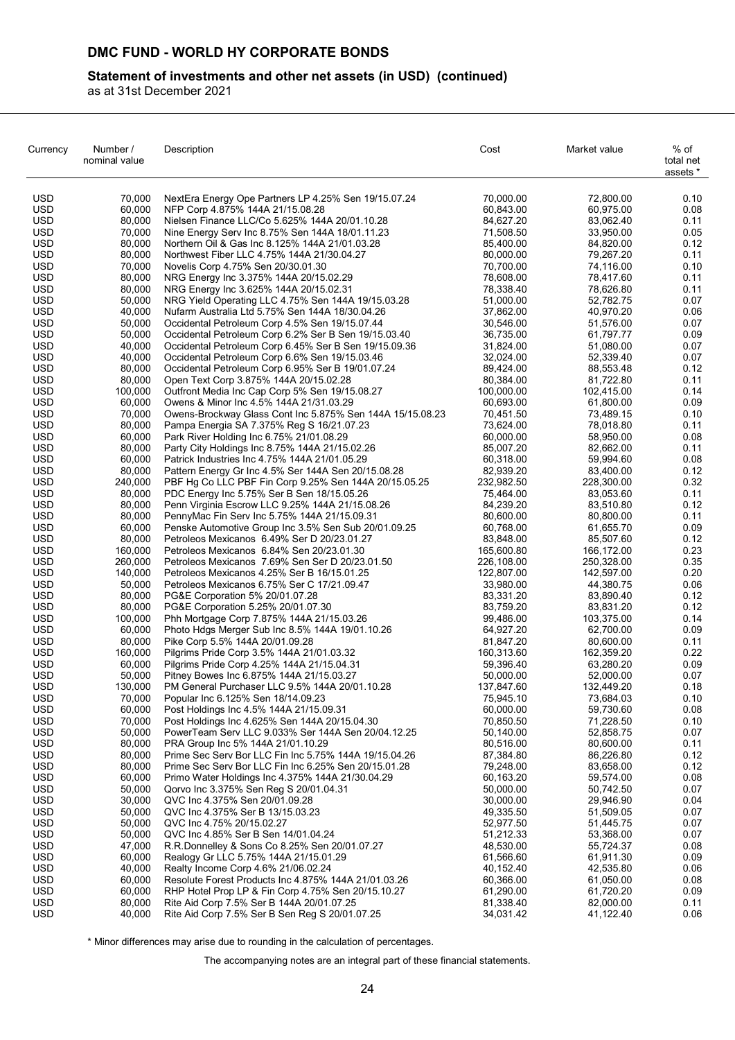## **Statement of investments and other net assets (in USD) (continued)**

as at 31st December 2021

| Currency                 | Number /<br>nominal value | Description                                                                                     | Cost                   | Market value           | % of<br>total net<br>assets * |
|--------------------------|---------------------------|-------------------------------------------------------------------------------------------------|------------------------|------------------------|-------------------------------|
| <b>USD</b>               | 70,000                    | NextEra Energy Ope Partners LP 4.25% Sen 19/15.07.24                                            | 70,000.00              | 72,800.00              | 0.10                          |
| <b>USD</b>               | 60.000                    | NFP Corp 4.875% 144A 21/15.08.28                                                                | 60,843.00              | 60,975.00              | 0.08                          |
| <b>USD</b>               | 80,000                    | Nielsen Finance LLC/Co 5.625% 144A 20/01.10.28                                                  | 84,627.20              | 83.062.40              | 0.11                          |
| <b>USD</b>               | 70,000                    | Nine Energy Serv Inc 8.75% Sen 144A 18/01.11.23                                                 | 71,508.50              | 33,950.00              | 0.05                          |
| <b>USD</b>               | 80,000                    | Northern Oil & Gas Inc 8.125% 144A 21/01.03.28                                                  | 85,400.00              | 84,820.00              | 0.12                          |
| <b>USD</b>               | 80,000                    | Northwest Fiber LLC 4.75% 144A 21/30.04.27                                                      | 80,000.00              | 79,267.20              | 0.11                          |
| <b>USD</b><br>USD        | 70,000<br>80,000          | Novelis Corp 4.75% Sen 20/30.01.30<br>NRG Energy Inc 3.375% 144A 20/15.02.29                    | 70,700.00<br>78,608.00 | 74,116.00<br>78,417.60 | 0.10<br>0.11                  |
| <b>USD</b>               | 80,000                    | NRG Energy Inc 3.625% 144A 20/15.02.31                                                          | 78,338.40              | 78,626.80              | 0.11                          |
| <b>USD</b>               | 50,000                    | NRG Yield Operating LLC 4.75% Sen 144A 19/15.03.28                                              | 51,000.00              | 52,782.75              | 0.07                          |
| <b>USD</b>               | 40,000                    | Nufarm Australia Ltd 5.75% Sen 144A 18/30.04.26                                                 | 37,862.00              | 40,970.20              | 0.06                          |
| <b>USD</b>               | 50,000                    | Occidental Petroleum Corp 4.5% Sen 19/15.07.44                                                  | 30,546.00              | 51,576.00              | 0.07                          |
| <b>USD</b>               | 50,000                    | Occidental Petroleum Corp 6.2% Ser B Sen 19/15.03.40                                            | 36,735.00              | 61,797.77              | 0.09                          |
| <b>USD</b>               | 40,000                    | Occidental Petroleum Corp 6.45% Ser B Sen 19/15.09.36                                           | 31,824.00              | 51,080.00              | 0.07                          |
| <b>USD</b>               | 40,000                    | Occidental Petroleum Corp 6.6% Sen 19/15.03.46                                                  | 32,024.00              | 52,339.40              | 0.07                          |
| <b>USD</b>               | 80,000                    | Occidental Petroleum Corp 6.95% Ser B 19/01.07.24                                               | 89,424.00              | 88,553.48              | 0.12                          |
| <b>USD</b>               | 80,000                    | Open Text Corp 3.875% 144A 20/15.02.28                                                          | 80,384.00              | 81,722.80              | 0.11                          |
| <b>USD</b>               | 100,000                   | Outfront Media Inc Cap Corp 5% Sen 19/15.08.27                                                  | 100,000.00             | 102,415.00             | 0.14                          |
| <b>USD</b>               | 60,000                    | Owens & Minor Inc 4.5% 144A 21/31.03.29                                                         | 60,693.00              | 61,800.00              | 0.09                          |
| <b>USD</b>               | 70,000                    | Owens-Brockway Glass Cont Inc 5.875% Sen 144A 15/15.08.23                                       | 70,451.50              | 73,489.15              | 0.10                          |
| <b>USD</b>               | 80,000                    | Pampa Energia SA 7.375% Reg S 16/21.07.23                                                       | 73,624.00              | 78,018.80              | 0.11                          |
| <b>USD</b>               | 60,000                    | Park River Holding Inc 6.75% 21/01.08.29                                                        | 60,000.00              | 58,950.00              | 0.08                          |
| <b>USD</b><br><b>USD</b> | 80,000<br>60,000          | Party City Holdings Inc 8.75% 144A 21/15.02.26<br>Patrick Industries Inc 4.75% 144A 21/01.05.29 | 85,007.20<br>60,318.00 | 82,662.00<br>59,994.60 | 0.11<br>0.08                  |
| <b>USD</b>               | 80,000                    | Pattern Energy Gr Inc 4.5% Ser 144A Sen 20/15.08.28                                             | 82,939.20              | 83,400.00              | 0.12                          |
| <b>USD</b>               | 240,000                   | PBF Hg Co LLC PBF Fin Corp 9.25% Sen 144A 20/15.05.25                                           | 232,982.50             | 228,300.00             | 0.32                          |
| <b>USD</b>               | 80,000                    | PDC Energy Inc 5.75% Ser B Sen 18/15.05.26                                                      | 75,464.00              | 83,053.60              | 0.11                          |
| <b>USD</b>               | 80,000                    | Penn Virginia Escrow LLC 9.25% 144A 21/15.08.26                                                 | 84,239.20              | 83,510.80              | 0.12                          |
| <b>USD</b>               | 80,000                    | PennyMac Fin Serv Inc 5.75% 144A 21/15.09.31                                                    | 80,600.00              | 80,800.00              | 0.11                          |
| <b>USD</b>               | 60,000                    | Penske Automotive Group Inc 3.5% Sen Sub 20/01.09.25                                            | 60,768.00              | 61,655.70              | 0.09                          |
| <b>USD</b>               | 80,000                    | Petroleos Mexicanos 6.49% Ser D 20/23.01.27                                                     | 83,848.00              | 85,507.60              | 0.12                          |
| <b>USD</b>               | 160,000                   | Petroleos Mexicanos 6.84% Sen 20/23.01.30                                                       | 165,600.80             | 166,172.00             | 0.23                          |
| <b>USD</b>               | 260,000                   | Petroleos Mexicanos 7.69% Sen Ser D 20/23.01.50                                                 | 226,108.00             | 250,328.00             | 0.35                          |
| <b>USD</b>               | 140,000                   | Petroleos Mexicanos 4.25% Ser B 16/15.01.25                                                     | 122,807.00             | 142,597.00             | 0.20                          |
| <b>USD</b>               | 50,000                    | Petroleos Mexicanos 6.75% Ser C 17/21.09.47                                                     | 33,980.00              | 44,380.75              | 0.06                          |
| USD                      | 80,000                    | PG&E Corporation 5% 20/01.07.28                                                                 | 83,331.20              | 83,890.40              | 0.12                          |
| <b>USD</b>               | 80,000                    | PG&E Corporation 5.25% 20/01.07.30                                                              | 83,759.20              | 83,831.20              | 0.12                          |
| <b>USD</b>               | 100,000                   | Phh Mortgage Corp 7.875% 144A 21/15.03.26                                                       | 99,486.00              | 103,375.00             | 0.14                          |
| <b>USD</b><br><b>USD</b> | 60,000<br>80,000          | Photo Hdgs Merger Sub Inc 8.5% 144A 19/01.10.26                                                 | 64,927.20<br>81,847.20 | 62,700.00<br>80,600.00 | 0.09<br>0.11                  |
| <b>USD</b>               | 160,000                   | Pike Corp 5.5% 144A 20/01.09.28<br>Pilgrims Pride Corp 3.5% 144A 21/01.03.32                    | 160,313.60             | 162,359.20             | 0.22                          |
| <b>USD</b>               | 60,000                    | Pilgrims Pride Corp 4.25% 144A 21/15.04.31                                                      | 59,396.40              | 63,280.20              | 0.09                          |
| <b>USD</b>               | 50,000                    | Pitney Bowes Inc 6.875% 144A 21/15.03.27                                                        | 50,000.00              | 52,000.00              | 0.07                          |
| <b>USD</b>               | 130,000                   | PM General Purchaser LLC 9.5% 144A 20/01.10.28                                                  | 137,847.60             | 132,449.20             | 0.18                          |
| <b>USD</b>               | 70.000                    | Popular Inc 6.125% Sen 18/14.09.23                                                              | 75,945.10              | 73,684.03              | 0.10                          |
| <b>USD</b>               | 60,000                    | Post Holdings Inc 4.5% 144A 21/15.09.31                                                         | 60,000.00              | 59,730.60              | 0.08                          |
| <b>USD</b>               | 70,000                    | Post Holdings Inc 4.625% Sen 144A 20/15.04.30                                                   | 70,850.50              | 71,228.50              | 0.10                          |
| USD                      | 50,000                    | PowerTeam Serv LLC 9.033% Ser 144A Sen 20/04.12.25                                              | 50,140.00              | 52,858.75              | 0.07                          |
| <b>USD</b>               | 80,000                    | PRA Group Inc 5% 144A 21/01.10.29                                                               | 80,516.00              | 80,600.00              | 0.11                          |
| <b>USD</b>               | 80,000                    | Prime Sec Serv Bor LLC Fin Inc 5.75% 144A 19/15.04.26                                           | 87,384.80              | 86,226.80              | 0.12                          |
| <b>USD</b>               | 80,000                    | Prime Sec Serv Bor LLC Fin Inc 6.25% Sen 20/15.01.28                                            | 79,248.00              | 83,658.00              | 0.12                          |
| <b>USD</b>               | 60,000                    | Primo Water Holdings Inc 4.375% 144A 21/30.04.29                                                | 60,163.20              | 59,574.00              | 0.08                          |
| <b>USD</b>               | 50,000                    | Qorvo Inc 3.375% Sen Reg S 20/01.04.31                                                          | 50,000.00              | 50,742.50              | 0.07                          |
| <b>USD</b><br><b>USD</b> | 30,000<br>50,000          | QVC Inc 4.375% Sen 20/01.09.28                                                                  | 30,000.00              | 29,946.90              | 0.04<br>0.07                  |
| <b>USD</b>               | 50,000                    | QVC Inc 4.375% Ser B 13/15.03.23<br>QVC Inc 4.75% 20/15.02.27                                   | 49,335.50<br>52,977.50 | 51,509.05<br>51,445.75 | 0.07                          |
| <b>USD</b>               | 50,000                    | QVC Inc 4.85% Ser B Sen 14/01.04.24                                                             | 51,212.33              | 53,368.00              | 0.07                          |
| <b>USD</b>               | 47,000                    | R.R.Donnelley & Sons Co 8.25% Sen 20/01.07.27                                                   | 48,530.00              | 55,724.37              | 0.08                          |
| <b>USD</b>               | 60,000                    | Realogy Gr LLC 5.75% 144A 21/15.01.29                                                           | 61,566.60              | 61,911.30              | 0.09                          |
| <b>USD</b>               | 40,000                    | Realty Income Corp 4.6% 21/06.02.24                                                             | 40,152.40              | 42,535.80              | 0.06                          |
| USD                      | 60,000                    | Resolute Forest Products Inc 4.875% 144A 21/01.03.26                                            | 60,366.00              | 61,050.00              | 0.08                          |
| <b>USD</b>               | 60,000                    | RHP Hotel Prop LP & Fin Corp 4.75% Sen 20/15.10.27                                              | 61,290.00              | 61,720.20              | 0.09                          |
| <b>USD</b>               | 80,000                    | Rite Aid Corp 7.5% Ser B 144A 20/01.07.25                                                       | 81,338.40              | 82,000.00              | 0.11                          |
| <b>USD</b>               | 40,000                    | Rite Aid Corp 7.5% Ser B Sen Reg S 20/01.07.25                                                  | 34,031.42              | 41,122.40              | 0.06                          |

\* Minor differences may arise due to rounding in the calculation of percentages.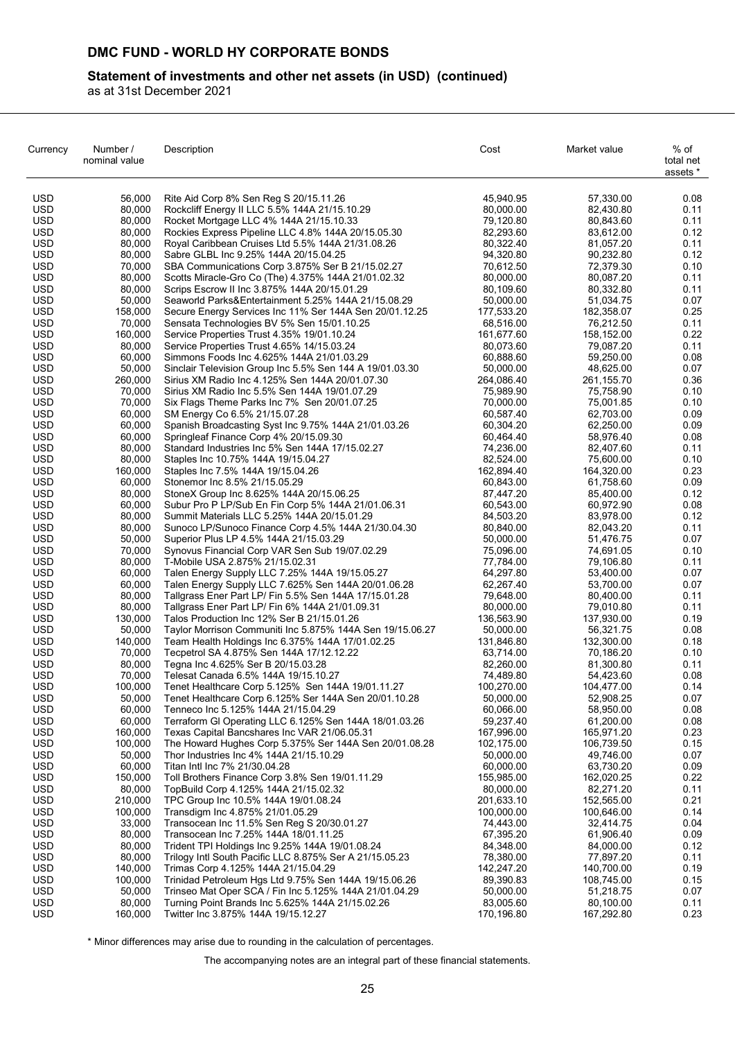## **Statement of investments and other net assets (in USD) (continued)**

as at 31st December 2021

| Currency                 | Number /<br>nominal value | Description                                                                                                | Cost                    | Market value            | % of<br>total net<br>assets * |
|--------------------------|---------------------------|------------------------------------------------------------------------------------------------------------|-------------------------|-------------------------|-------------------------------|
| <b>USD</b>               | 56,000                    | Rite Aid Corp 8% Sen Reg S 20/15.11.26                                                                     | 45,940.95               | 57,330.00               | 0.08                          |
| <b>USD</b>               | 80,000                    | Rockcliff Energy II LLC 5.5% 144A 21/15.10.29                                                              | 80,000.00               | 82,430.80               | 0.11                          |
| <b>USD</b>               | 80,000                    | Rocket Mortgage LLC 4% 144A 21/15.10.33                                                                    | 79,120.80               | 80,843.60               | 0.11                          |
| <b>USD</b>               | 80,000                    | Rockies Express Pipeline LLC 4.8% 144A 20/15.05.30                                                         | 82,293.60               | 83,612.00               | 0.12                          |
| <b>USD</b>               | 80,000                    | Royal Caribbean Cruises Ltd 5.5% 144A 21/31.08.26                                                          | 80,322.40               | 81,057.20               | 0.11                          |
| USD                      | 80,000                    | Sabre GLBL Inc 9.25% 144A 20/15.04.25                                                                      | 94,320.80               | 90,232.80               | 0.12<br>0.10                  |
| <b>USD</b><br><b>USD</b> | 70,000<br>80,000          | SBA Communications Corp 3.875% Ser B 21/15.02.27<br>Scotts Miracle-Gro Co (The) 4.375% 144A 21/01.02.32    | 70,612.50<br>80,000.00  | 72,379.30<br>80,087.20  | 0.11                          |
| <b>USD</b>               | 80,000                    | Scrips Escrow II Inc 3.875% 144A 20/15.01.29                                                               | 80,109.60               | 80,332.80               | 0.11                          |
| <b>USD</b>               | 50,000                    | Seaworld Parks&Entertainment 5.25% 144A 21/15.08.29                                                        | 50,000.00               | 51,034.75               | 0.07                          |
| <b>USD</b>               | 158,000                   | Secure Energy Services Inc 11% Ser 144A Sen 20/01.12.25                                                    | 177,533.20              | 182,358.07              | 0.25                          |
| <b>USD</b>               | 70,000                    | Sensata Technologies BV 5% Sen 15/01.10.25                                                                 | 68,516.00               | 76,212.50               | 0.11                          |
| <b>USD</b>               | 160,000                   | Service Properties Trust 4.35% 19/01.10.24                                                                 | 161,677.60              | 158,152.00              | 0.22                          |
| <b>USD</b>               | 80,000                    | Service Properties Trust 4.65% 14/15.03.24                                                                 | 80,073.60               | 79,087.20               | 0.11                          |
| <b>USD</b>               | 60,000                    | Simmons Foods Inc 4.625% 144A 21/01.03.29                                                                  | 60,888.60               | 59,250.00               | 0.08                          |
| <b>USD</b>               | 50,000                    | Sinclair Television Group Inc 5.5% Sen 144 A 19/01.03.30                                                   | 50,000.00               | 48,625.00               | 0.07                          |
| <b>USD</b>               | 260,000                   | Sirius XM Radio Inc 4.125% Sen 144A 20/01.07.30                                                            | 264,086.40              | 261,155.70              | 0.36                          |
| <b>USD</b>               | 70,000                    | Sirius XM Radio Inc 5.5% Sen 144A 19/01.07.29                                                              | 75,989.90               | 75,758.90               | 0.10                          |
| <b>USD</b><br><b>USD</b> | 70,000<br>60,000          | Six Flags Theme Parks Inc 7% Sen 20/01.07.25<br>SM Energy Co 6.5% 21/15.07.28                              | 70,000.00<br>60,587.40  | 75,001.85<br>62,703.00  | 0.10<br>0.09                  |
| USD                      | 60,000                    | Spanish Broadcasting Syst Inc 9.75% 144A 21/01.03.26                                                       | 60,304.20               | 62,250.00               | 0.09                          |
| <b>USD</b>               | 60,000                    | Springleaf Finance Corp 4% 20/15.09.30                                                                     | 60,464.40               | 58,976.40               | 0.08                          |
| <b>USD</b>               | 80,000                    | Standard Industries Inc 5% Sen 144A 17/15.02.27                                                            | 74,236.00               | 82,407.60               | 0.11                          |
| <b>USD</b>               | 80,000                    | Staples Inc 10.75% 144A 19/15.04.27                                                                        | 82,524.00               | 75,600.00               | 0.10                          |
| <b>USD</b>               | 160,000                   | Staples Inc 7.5% 144A 19/15.04.26                                                                          | 162,894.40              | 164,320.00              | 0.23                          |
| <b>USD</b>               | 60,000                    | Stonemor Inc 8.5% 21/15.05.29                                                                              | 60,843.00               | 61,758.60               | 0.09                          |
| <b>USD</b>               | 80,000                    | StoneX Group Inc 8.625% 144A 20/15.06.25                                                                   | 87,447.20               | 85,400.00               | 0.12                          |
| <b>USD</b>               | 60,000                    | Subur Pro P LP/Sub En Fin Corp 5% 144A 21/01.06.31                                                         | 60,543.00               | 60,972.90               | 0.08                          |
| <b>USD</b>               | 80,000                    | Summit Materials LLC 5.25% 144A 20/15.01.29                                                                | 84,503.20               | 83,978.00               | 0.12                          |
| <b>USD</b>               | 80,000                    | Sunoco LP/Sunoco Finance Corp 4.5% 144A 21/30.04.30                                                        | 80,840.00               | 82,043.20               | 0.11                          |
| <b>USD</b><br><b>USD</b> | 50,000<br>70,000          | Superior Plus LP 4.5% 144A 21/15.03.29                                                                     | 50,000.00               | 51,476.75               | 0.07<br>0.10                  |
| <b>USD</b>               | 80,000                    | Synovus Financial Corp VAR Sen Sub 19/07.02.29<br>T-Mobile USA 2.875% 21/15.02.31                          | 75,096.00<br>77,784.00  | 74,691.05<br>79,106.80  | 0.11                          |
| <b>USD</b>               | 60,000                    | Talen Energy Supply LLC 7.25% 144A 19/15.05.27                                                             | 64,297.80               | 53,400.00               | 0.07                          |
| USD                      | 60,000                    | Talen Energy Supply LLC 7.625% Sen 144A 20/01.06.28                                                        | 62,267.40               | 53,700.00               | 0.07                          |
| USD                      | 80,000                    | Tallgrass Ener Part LP/ Fin 5.5% Sen 144A 17/15.01.28                                                      | 79,648.00               | 80,400.00               | 0.11                          |
| <b>USD</b>               | 80,000                    | Tallgrass Ener Part LP/ Fin 6% 144A 21/01.09.31                                                            | 80,000.00               | 79,010.80               | 0.11                          |
| <b>USD</b>               | 130,000                   | Talos Production Inc 12% Ser B 21/15.01.26                                                                 | 136,563.90              | 137,930.00              | 0.19                          |
| <b>USD</b>               | 50,000                    | Taylor Morrison Communiti Inc 5.875% 144A Sen 19/15.06.27                                                  | 50,000.00               | 56,321.75               | 0.08                          |
| <b>USD</b>               | 140,000                   | Team Health Holdings Inc 6.375% 144A 17/01.02.25                                                           | 131,846.80              | 132,300.00              | 0.18                          |
| <b>USD</b>               | 70,000                    | Tecpetrol SA 4.875% Sen 144A 17/12.12.22                                                                   | 63,714.00               | 70,186.20               | 0.10                          |
| <b>USD</b>               | 80,000                    | Tegna Inc 4.625% Ser B 20/15.03.28                                                                         | 82,260.00               | 81,300.80               | 0.11                          |
| <b>USD</b>               | 70,000                    | Telesat Canada 6.5% 144A 19/15.10.27                                                                       | 74,489.80               | 54,423.60               | 0.08                          |
| <b>USD</b><br><b>USD</b> | 100,000<br>50,000         | Tenet Healthcare Corp 5.125% Sen 144A 19/01.11.27<br>Tenet Healthcare Corp 6.125% Ser 144A Sen 20/01.10.28 | 100,270.00<br>50,000.00 | 104,477.00<br>52,908.25 | 0.14<br>0.07                  |
| <b>USD</b>               | 60,000                    | Tenneco Inc 5.125% 144A 21/15.04.29                                                                        | 60,066.00               | 58,950.00               | 0.08                          |
| <b>USD</b>               | 60,000                    | Terraform GI Operating LLC 6.125% Sen 144A 18/01.03.26                                                     | 59,237.40               | 61,200.00               | 0.08                          |
| <b>USD</b>               | 160,000                   | Texas Capital Bancshares Inc VAR 21/06.05.31                                                               | 167,996.00              | 165,971.20              | 0.23                          |
| <b>USD</b>               | 100,000                   | The Howard Hughes Corp 5.375% Ser 144A Sen 20/01.08.28                                                     | 102,175.00              | 106,739.50              | 0.15                          |
| <b>USD</b>               | 50,000                    | Thor Industries Inc 4% 144A 21/15.10.29                                                                    | 50,000.00               | 49,746.00               | 0.07                          |
| <b>USD</b>               | 60,000                    | Titan Intl Inc 7% 21/30.04.28                                                                              | 60,000.00               | 63,730.20               | 0.09                          |
| <b>USD</b>               | 150,000                   | Toll Brothers Finance Corp 3.8% Sen 19/01.11.29                                                            | 155,985.00              | 162,020.25              | 0.22                          |
| <b>USD</b>               | 80,000                    | TopBuild Corp 4.125% 144A 21/15.02.32                                                                      | 80,000.00               | 82,271.20               | 0.11                          |
| <b>USD</b>               | 210,000                   | TPC Group Inc 10.5% 144A 19/01.08.24                                                                       | 201,633.10              | 152,565.00              | 0.21                          |
| <b>USD</b>               | 100,000                   | Transdigm Inc 4.875% 21/01.05.29                                                                           | 100,000.00              | 100,646.00              | 0.14                          |
| <b>USD</b><br><b>USD</b> | 33,000<br>80,000          | Transocean Inc 11.5% Sen Reg S 20/30 01.27<br>Transocean Inc 7.25% 144A 18/01.11.25                        | 74,443.00<br>67,395.20  | 32,414.75<br>61,906.40  | 0.04<br>0.09                  |
| <b>USD</b>               | 80,000                    | Trident TPI Holdings Inc 9.25% 144A 19/01.08.24                                                            | 84,348.00               | 84,000.00               | 0.12                          |
| <b>USD</b>               | 80,000                    | Trilogy Intl South Pacific LLC 8.875% Ser A 21/15.05.23                                                    | 78,380.00               | 77,897.20               | 0.11                          |
| <b>USD</b>               | 140,000                   | Trimas Corp 4.125% 144A 21/15.04.29                                                                        | 142,247.20              | 140,700.00              | 0.19                          |
| <b>USD</b>               | 100,000                   | Trinidad Petroleum Hgs Ltd 9.75% Sen 144A 19/15.06.26                                                      | 89,390.83               | 108,745.00              | 0.15                          |
| <b>USD</b>               | 50,000                    | Trinseo Mat Oper SCA / Fin Inc 5.125% 144A 21/01.04.29                                                     | 50,000.00               | 51,218.75               | 0.07                          |
| <b>USD</b>               | 80,000                    | Turning Point Brands Inc 5.625% 144A 21/15.02.26                                                           | 83,005.60               | 80,100.00               | 0.11                          |
| <b>USD</b>               | 160,000                   | Twitter Inc 3.875% 144A 19/15.12.27                                                                        | 170,196.80              | 167,292.80              | 0.23                          |

\* Minor differences may arise due to rounding in the calculation of percentages.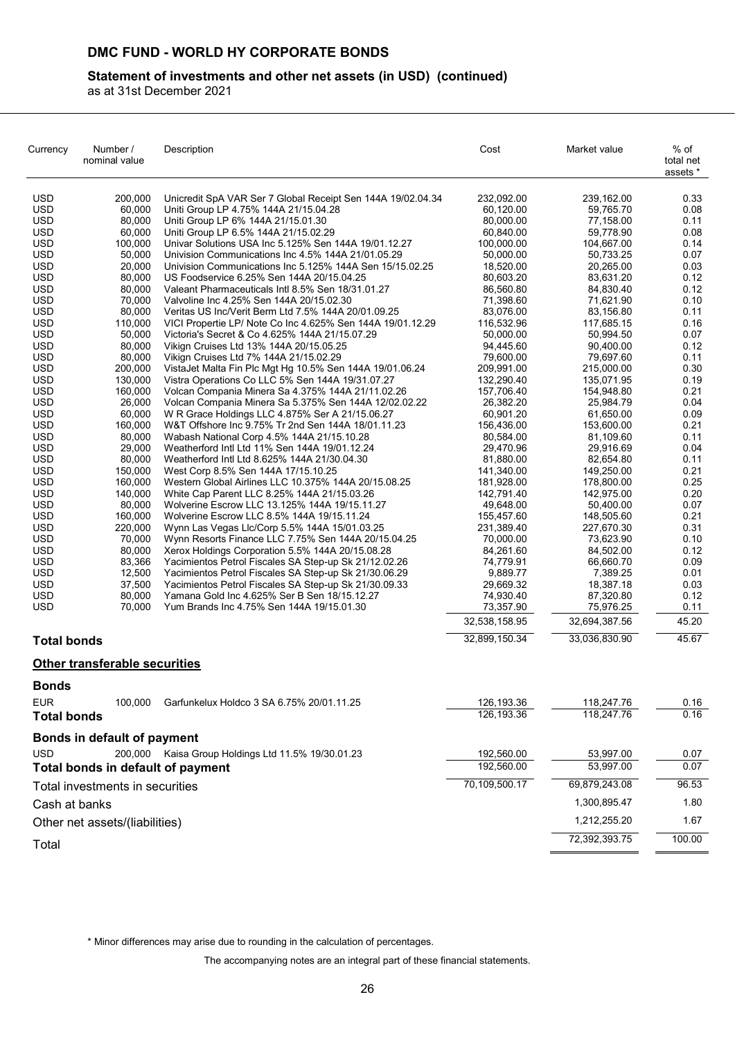## **Statement of investments and other net assets (in USD) (continued)**

as at 31st December 2021

| Currency                                                                                                                                                                                                                                                                                                                                                                 | Number /<br>nominal value                                                                                                                                                                                                                                                                                                                | Description                                                                                                                                                                                                                                                                                                                                                                                                                                                                                                                                                                                                                                                                                                                                                                                                                                                                                                                                                                                                                                                                                                                                                                                                                                                                                                                                                                                                                                                                                                                                                                                                                                                           | Cost                                                                                                                                                                                                                                                                                                                                                                                                                                     | Market value                                                                                                                                                                                                                                                                                                                                                                                                                             | % of<br>total net<br>assets *                                                                                                                                                                                                                                |
|--------------------------------------------------------------------------------------------------------------------------------------------------------------------------------------------------------------------------------------------------------------------------------------------------------------------------------------------------------------------------|------------------------------------------------------------------------------------------------------------------------------------------------------------------------------------------------------------------------------------------------------------------------------------------------------------------------------------------|-----------------------------------------------------------------------------------------------------------------------------------------------------------------------------------------------------------------------------------------------------------------------------------------------------------------------------------------------------------------------------------------------------------------------------------------------------------------------------------------------------------------------------------------------------------------------------------------------------------------------------------------------------------------------------------------------------------------------------------------------------------------------------------------------------------------------------------------------------------------------------------------------------------------------------------------------------------------------------------------------------------------------------------------------------------------------------------------------------------------------------------------------------------------------------------------------------------------------------------------------------------------------------------------------------------------------------------------------------------------------------------------------------------------------------------------------------------------------------------------------------------------------------------------------------------------------------------------------------------------------------------------------------------------------|------------------------------------------------------------------------------------------------------------------------------------------------------------------------------------------------------------------------------------------------------------------------------------------------------------------------------------------------------------------------------------------------------------------------------------------|------------------------------------------------------------------------------------------------------------------------------------------------------------------------------------------------------------------------------------------------------------------------------------------------------------------------------------------------------------------------------------------------------------------------------------------|--------------------------------------------------------------------------------------------------------------------------------------------------------------------------------------------------------------------------------------------------------------|
| USD<br>USD<br><b>USD</b><br><b>USD</b><br><b>USD</b><br><b>USD</b><br><b>USD</b><br>USD<br><b>USD</b><br>USD<br><b>USD</b><br><b>USD</b><br><b>USD</b><br>USD<br>USD<br>USD<br>USD<br><b>USD</b><br><b>USD</b><br><b>USD</b><br><b>USD</b><br><b>USD</b><br><b>USD</b><br><b>USD</b><br><b>USD</b><br><b>USD</b><br><b>USD</b><br><b>USD</b><br>USD<br>USD<br>USD<br>USD | 200,000<br>60,000<br>80,000<br>60,000<br>100,000<br>50,000<br>20,000<br>80,000<br>80,000<br>70,000<br>80,000<br>110,000<br>50,000<br>80,000<br>80,000<br>200,000<br>130,000<br>160,000<br>26,000<br>60,000<br>160,000<br>80,000<br>29,000<br>80,000<br>150,000<br>160,000<br>140,000<br>80,000<br>160,000<br>220,000<br>70,000<br>80,000 | Unicredit SpA VAR Ser 7 Global Receipt Sen 144A 19/02.04.34<br>Uniti Group LP 4.75% 144A 21/15.04.28<br>Uniti Group LP 6% 144A 21/15.01.30<br>Uniti Group LP 6.5% 144A 21/15.02.29<br>Univar Solutions USA Inc 5.125% Sen 144A 19/01.12.27<br>Univision Communications Inc 4.5% 144A 21/01.05.29<br>Univision Communications Inc 5.125% 144A Sen 15/15.02.25<br>US Foodservice 6.25% Sen 144A 20/15.04.25<br>Valeant Pharmaceuticals Intl 8.5% Sen 18/31.01.27<br>Valvoline Inc 4.25% Sen 144A 20/15.02.30<br>Veritas US Inc/Verit Berm Ltd 7.5% 144A 20/01.09.25<br>VICI Propertie LP/ Note Co Inc 4.625% Sen 144A 19/01.12.29<br>Victoria's Secret & Co 4.625% 144A 21/15.07.29<br>Vikign Cruises Ltd 13% 144A 20/15.05.25<br>Vikign Cruises Ltd 7% 144A 21/15.02.29<br>VistaJet Malta Fin Plc Mgt Hg 10.5% Sen 144A 19/01.06.24<br>Vistra Operations Co LLC 5% Sen 144A 19/31.07.27<br>Volcan Compania Minera Sa 4.375% 144A 21/11.02.26<br>Volcan Compania Minera Sa 5.375% Sen 144A 12/02.02.22<br>W R Grace Holdings LLC 4.875% Ser A 21/15.06.27<br>W&T Offshore Inc 9.75% Tr 2nd Sen 144A 18/01.11.23<br>Wabash National Corp 4.5% 144A 21/15.10.28<br>Weatherford Intl Ltd 11% Sen 144A 19/01.12.24<br>Weatherford Intl Ltd 8.625% 144A 21/30.04.30<br>West Corp 8.5% Sen 144A 17/15.10.25<br>Western Global Airlines LLC 10.375% 144A 20/15.08.25<br>White Cap Parent LLC 8.25% 144A 21/15.03.26<br>Wolverine Escrow LLC 13.125% 144A 19/15.11.27<br>Wolverine Escrow LLC 8.5% 144A 19/15.11.24<br>Wynn Las Vegas Llc/Corp 5.5% 144A 15/01.03.25<br>Wynn Resorts Finance LLC 7.75% Sen 144A 20/15.04.25<br>Xerox Holdings Corporation 5.5% 144A 20/15.08.28 | 232.092.00<br>60,120.00<br>80,000.00<br>60,840.00<br>100,000.00<br>50,000.00<br>18,520.00<br>80,603.20<br>86.560.80<br>71,398.60<br>83,076.00<br>116,532.96<br>50,000.00<br>94,445.60<br>79,600.00<br>209,991.00<br>132,290.40<br>157,706.40<br>26,382.20<br>60,901.20<br>156,436.00<br>80,584.00<br>29,470.96<br>81,880.00<br>141,340.00<br>181,928.00<br>142,791.40<br>49,648.00<br>155,457.60<br>231,389.40<br>70,000.00<br>84,261.60 | 239,162.00<br>59,765.70<br>77,158.00<br>59,778.90<br>104,667.00<br>50,733.25<br>20,265.00<br>83,631.20<br>84,830.40<br>71,621.90<br>83,156.80<br>117,685.15<br>50,994.50<br>90,400.00<br>79,697.60<br>215,000.00<br>135,071.95<br>154,948.80<br>25,984.79<br>61,650.00<br>153,600.00<br>81,109.60<br>29,916.69<br>82,654.80<br>149.250.00<br>178,800.00<br>142,975.00<br>50,400.00<br>148,505.60<br>227,670.30<br>73,623.90<br>84,502.00 | 0.33<br>0.08<br>0.11<br>0.08<br>0.14<br>0.07<br>0.03<br>0.12<br>0.12<br>0.10<br>0.11<br>0.16<br>0.07<br>0.12<br>0.11<br>0.30<br>0.19<br>0.21<br>0.04<br>0.09<br>0.21<br>0.11<br>0.04<br>0.11<br>0.21<br>0.25<br>0.20<br>0.07<br>0.21<br>0.31<br>0.10<br>0.12 |
| <b>USD</b><br><b>USD</b><br><b>USD</b><br><b>USD</b><br>USD                                                                                                                                                                                                                                                                                                              | 83,366<br>12,500<br>37,500<br>80,000<br>70,000                                                                                                                                                                                                                                                                                           | Yacimientos Petrol Fiscales SA Step-up Sk 21/12.02.26<br>Yacimientos Petrol Fiscales SA Step-up Sk 21/30.06.29<br>Yacimientos Petrol Fiscales SA Step-up Sk 21/30.09.33<br>Yamana Gold Inc 4.625% Ser B Sen 18/15.12.27<br>Yum Brands Inc 4.75% Sen 144A 19/15.01.30                                                                                                                                                                                                                                                                                                                                                                                                                                                                                                                                                                                                                                                                                                                                                                                                                                                                                                                                                                                                                                                                                                                                                                                                                                                                                                                                                                                                  | 74,779.91<br>9,889.77<br>29,669.32<br>74,930.40<br>73,357.90                                                                                                                                                                                                                                                                                                                                                                             | 66,660.70<br>7,389.25<br>18,387.18<br>87,320.80                                                                                                                                                                                                                                                                                                                                                                                          | 0.09<br>0.01<br>0.03<br>0.12<br>0.11                                                                                                                                                                                                                         |
|                                                                                                                                                                                                                                                                                                                                                                          |                                                                                                                                                                                                                                                                                                                                          |                                                                                                                                                                                                                                                                                                                                                                                                                                                                                                                                                                                                                                                                                                                                                                                                                                                                                                                                                                                                                                                                                                                                                                                                                                                                                                                                                                                                                                                                                                                                                                                                                                                                       | 32,538,158.95                                                                                                                                                                                                                                                                                                                                                                                                                            | 75,976.25<br>32,694,387.56                                                                                                                                                                                                                                                                                                                                                                                                               | 45.20                                                                                                                                                                                                                                                        |
| <b>Total bonds</b>                                                                                                                                                                                                                                                                                                                                                       |                                                                                                                                                                                                                                                                                                                                          |                                                                                                                                                                                                                                                                                                                                                                                                                                                                                                                                                                                                                                                                                                                                                                                                                                                                                                                                                                                                                                                                                                                                                                                                                                                                                                                                                                                                                                                                                                                                                                                                                                                                       | 32,899,150.34                                                                                                                                                                                                                                                                                                                                                                                                                            | 33,036,830.90                                                                                                                                                                                                                                                                                                                                                                                                                            | 45.67                                                                                                                                                                                                                                                        |
|                                                                                                                                                                                                                                                                                                                                                                          | <b>Other transferable securities</b>                                                                                                                                                                                                                                                                                                     |                                                                                                                                                                                                                                                                                                                                                                                                                                                                                                                                                                                                                                                                                                                                                                                                                                                                                                                                                                                                                                                                                                                                                                                                                                                                                                                                                                                                                                                                                                                                                                                                                                                                       |                                                                                                                                                                                                                                                                                                                                                                                                                                          |                                                                                                                                                                                                                                                                                                                                                                                                                                          |                                                                                                                                                                                                                                                              |
| <b>Bonds</b>                                                                                                                                                                                                                                                                                                                                                             |                                                                                                                                                                                                                                                                                                                                          |                                                                                                                                                                                                                                                                                                                                                                                                                                                                                                                                                                                                                                                                                                                                                                                                                                                                                                                                                                                                                                                                                                                                                                                                                                                                                                                                                                                                                                                                                                                                                                                                                                                                       |                                                                                                                                                                                                                                                                                                                                                                                                                                          |                                                                                                                                                                                                                                                                                                                                                                                                                                          |                                                                                                                                                                                                                                                              |
| EUR.<br><b>Total bonds</b>                                                                                                                                                                                                                                                                                                                                               | 100,000                                                                                                                                                                                                                                                                                                                                  | Garfunkelux Holdco 3 SA 6.75% 20/01.11.25                                                                                                                                                                                                                                                                                                                                                                                                                                                                                                                                                                                                                                                                                                                                                                                                                                                                                                                                                                                                                                                                                                                                                                                                                                                                                                                                                                                                                                                                                                                                                                                                                             | 126,193.36<br>126, 193.36                                                                                                                                                                                                                                                                                                                                                                                                                | 118,247.76<br>118,247.76                                                                                                                                                                                                                                                                                                                                                                                                                 | 0.16<br>0.16                                                                                                                                                                                                                                                 |
| <b>USD</b>                                                                                                                                                                                                                                                                                                                                                               | Bonds in default of payment<br>200.000<br>Total bonds in default of payment                                                                                                                                                                                                                                                              | Kaisa Group Holdings Ltd 11.5% 19/30.01.23                                                                                                                                                                                                                                                                                                                                                                                                                                                                                                                                                                                                                                                                                                                                                                                                                                                                                                                                                                                                                                                                                                                                                                                                                                                                                                                                                                                                                                                                                                                                                                                                                            | 192,560.00<br>192,560.00                                                                                                                                                                                                                                                                                                                                                                                                                 | 53,997.00<br>53,997.00                                                                                                                                                                                                                                                                                                                                                                                                                   | 0.07<br>0.07                                                                                                                                                                                                                                                 |
|                                                                                                                                                                                                                                                                                                                                                                          | Total investments in securities                                                                                                                                                                                                                                                                                                          |                                                                                                                                                                                                                                                                                                                                                                                                                                                                                                                                                                                                                                                                                                                                                                                                                                                                                                                                                                                                                                                                                                                                                                                                                                                                                                                                                                                                                                                                                                                                                                                                                                                                       | 70,109,500.17                                                                                                                                                                                                                                                                                                                                                                                                                            | 69,879,243.08                                                                                                                                                                                                                                                                                                                                                                                                                            | 96.53                                                                                                                                                                                                                                                        |
| Cash at banks                                                                                                                                                                                                                                                                                                                                                            |                                                                                                                                                                                                                                                                                                                                          |                                                                                                                                                                                                                                                                                                                                                                                                                                                                                                                                                                                                                                                                                                                                                                                                                                                                                                                                                                                                                                                                                                                                                                                                                                                                                                                                                                                                                                                                                                                                                                                                                                                                       |                                                                                                                                                                                                                                                                                                                                                                                                                                          | 1,300,895.47                                                                                                                                                                                                                                                                                                                                                                                                                             | 1.80                                                                                                                                                                                                                                                         |
|                                                                                                                                                                                                                                                                                                                                                                          | Other net assets/(liabilities)                                                                                                                                                                                                                                                                                                           |                                                                                                                                                                                                                                                                                                                                                                                                                                                                                                                                                                                                                                                                                                                                                                                                                                                                                                                                                                                                                                                                                                                                                                                                                                                                                                                                                                                                                                                                                                                                                                                                                                                                       |                                                                                                                                                                                                                                                                                                                                                                                                                                          | 1,212,255.20                                                                                                                                                                                                                                                                                                                                                                                                                             | 1.67                                                                                                                                                                                                                                                         |
| Total                                                                                                                                                                                                                                                                                                                                                                    |                                                                                                                                                                                                                                                                                                                                          |                                                                                                                                                                                                                                                                                                                                                                                                                                                                                                                                                                                                                                                                                                                                                                                                                                                                                                                                                                                                                                                                                                                                                                                                                                                                                                                                                                                                                                                                                                                                                                                                                                                                       |                                                                                                                                                                                                                                                                                                                                                                                                                                          | 72,392,393.75                                                                                                                                                                                                                                                                                                                                                                                                                            | 100.00                                                                                                                                                                                                                                                       |

\* Minor differences may arise due to rounding in the calculation of percentages.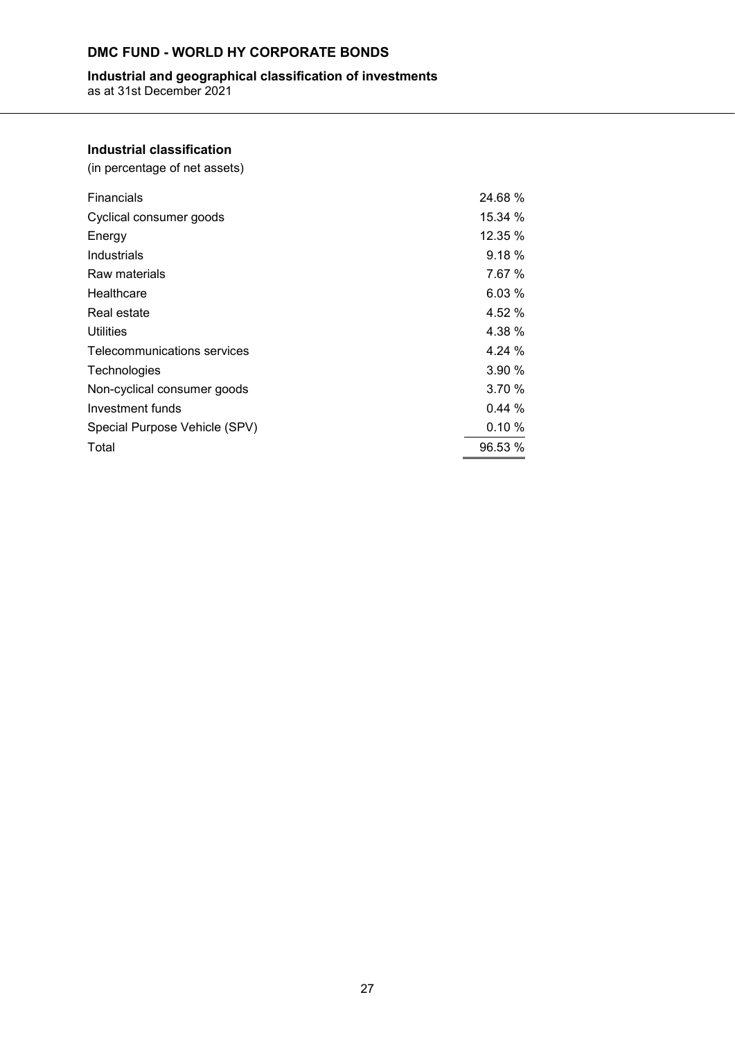# **Industrial and geographical classification of investments**

as at 31st December 2021

# **Industrial classification**

(in percentage of net assets)

| <b>Financials</b>             | 24.68%  |
|-------------------------------|---------|
| Cyclical consumer goods       | 15.34 % |
| Energy                        | 12.35 % |
| Industrials                   | 9.18 %  |
| Raw materials                 | 7.67 %  |
| Healthcare                    | 6.03%   |
| Real estate                   | 4.52 %  |
| <b>Utilities</b>              | 4.38 %  |
| Telecommunications services   | 4.24 %  |
| Technologies                  | 3.90 %  |
| Non-cyclical consumer goods   | 3.70 %  |
| Investment funds              | 0.44%   |
| Special Purpose Vehicle (SPV) | 0.10%   |
| Total                         | 96.53 % |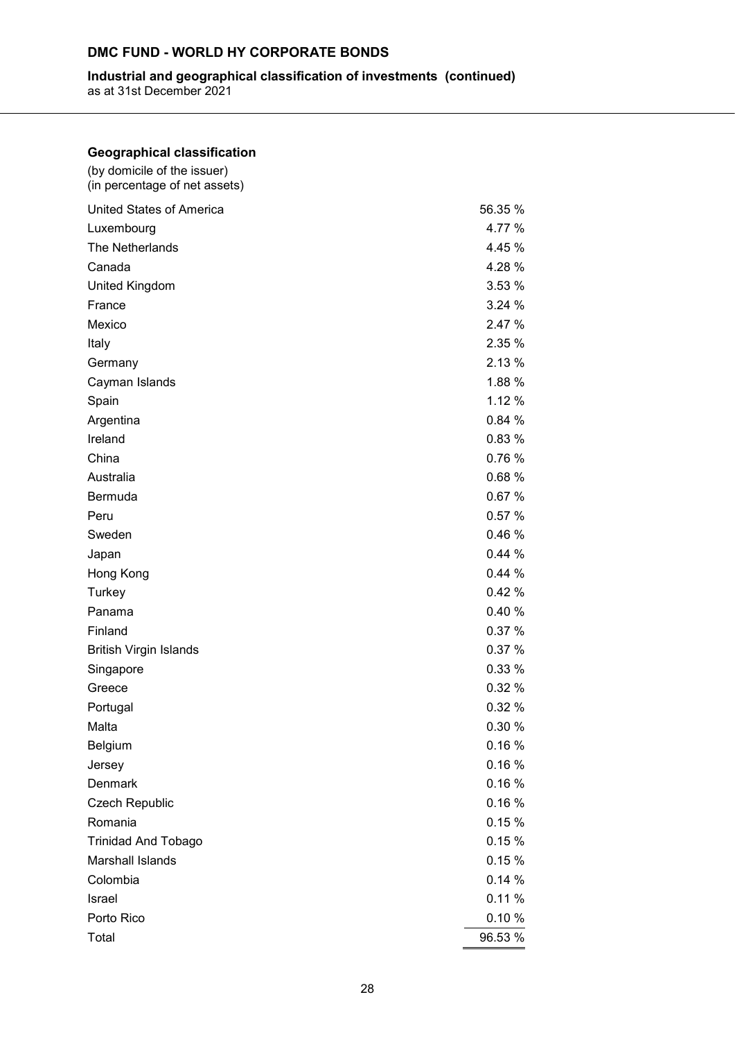## **Industrial and geographical classification of investments (continued)**

as at 31st December 2021

| <b>Geographical classification</b>                           |         |
|--------------------------------------------------------------|---------|
| (by domicile of the issuer)<br>(in percentage of net assets) |         |
| <b>United States of America</b>                              | 56.35 % |
| Luxembourg                                                   | 4.77 %  |
| The Netherlands                                              | 4.45 %  |
| Canada                                                       | 4.28 %  |
| <b>United Kingdom</b>                                        | 3.53 %  |
| France                                                       | 3.24 %  |
| Mexico                                                       | 2.47 %  |
| Italy                                                        | 2.35 %  |
| Germany                                                      | 2.13 %  |
| Cayman Islands                                               | 1.88 %  |
| Spain                                                        | 1.12 %  |
| Argentina                                                    | 0.84%   |
| Ireland                                                      | 0.83 %  |
| China                                                        | 0.76%   |
| Australia                                                    | 0.68%   |
| Bermuda                                                      | 0.67%   |
| Peru                                                         | 0.57%   |
| Sweden                                                       | 0.46%   |
| Japan                                                        | 0.44%   |
| Hong Kong                                                    | 0.44%   |
| Turkey                                                       | 0.42%   |
| Panama                                                       | 0.40%   |
| Finland                                                      | 0.37%   |
| <b>British Virgin Islands</b>                                | 0.37 %  |
| Singapore                                                    | 0.33 %  |
| Greece                                                       | 0.32%   |
| Portugal                                                     | 0.32 %  |
| Malta                                                        | 0.30 %  |
| Belgium                                                      | 0.16%   |
| Jersey                                                       | 0.16%   |
| Denmark                                                      | 0.16%   |
| <b>Czech Republic</b>                                        | 0.16%   |
| Romania                                                      | 0.15%   |
| <b>Trinidad And Tobago</b>                                   | 0.15%   |
| Marshall Islands                                             | 0.15%   |
| Colombia                                                     | 0.14%   |
| Israel                                                       | 0.11%   |
| Porto Rico                                                   | 0.10%   |
| Total                                                        | 96.53 % |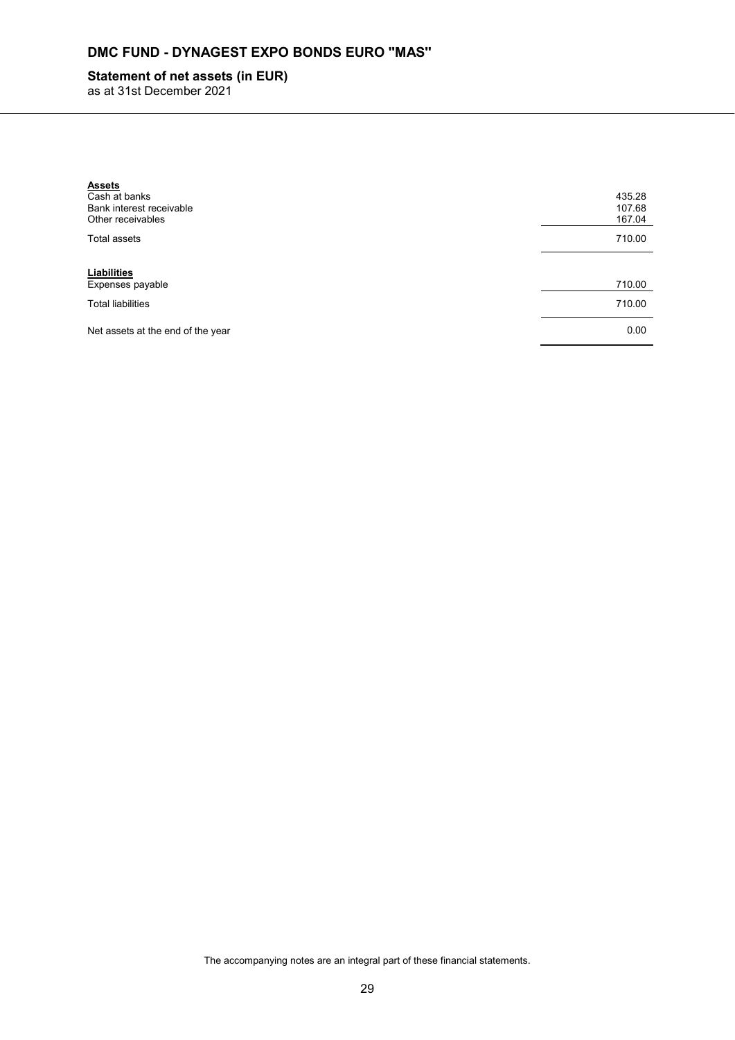# **DMC FUND - DYNAGEST EXPO BONDS EURO ''MAS''**

# **Statement of net assets (in EUR)**

as at 31st December 2021

| <b>Assets</b><br>Cash at banks<br>Bank interest receivable<br>Other receivables | 435.28<br>107.68<br>167.04 |
|---------------------------------------------------------------------------------|----------------------------|
| Total assets                                                                    | 710.00                     |
| Liabilities<br>Expenses payable                                                 | 710.00                     |
| <b>Total liabilities</b>                                                        | 710.00                     |
| Net assets at the end of the year                                               | 0.00                       |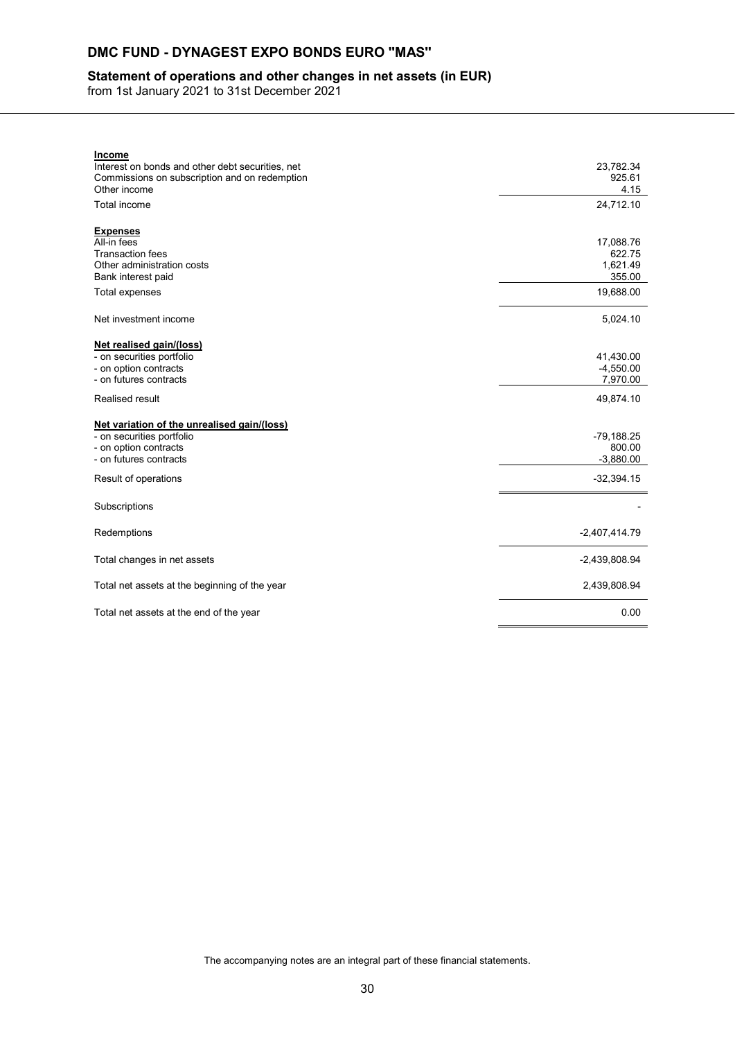# **DMC FUND - DYNAGEST EXPO BONDS EURO ''MAS''**

## **Statement of operations and other changes in net assets (in EUR)**

from 1st January 2021 to 31st December 2021

| <b>Income</b>                                    |                 |
|--------------------------------------------------|-----------------|
| Interest on bonds and other debt securities, net | 23,782.34       |
| Commissions on subscription and on redemption    | 925.61          |
| Other income                                     | 4.15            |
| Total income                                     | 24,712.10       |
|                                                  |                 |
| <b>Expenses</b>                                  |                 |
| All-in fees                                      | 17,088.76       |
| <b>Transaction fees</b>                          | 622.75          |
| Other administration costs                       | 1,621.49        |
| Bank interest paid                               | 355.00          |
| <b>Total expenses</b>                            | 19,688.00       |
|                                                  |                 |
| Net investment income                            | 5,024.10        |
| Net realised gain/(loss)                         |                 |
| - on securities portfolio                        | 41,430.00       |
| - on option contracts                            | $-4,550.00$     |
| - on futures contracts                           | 7,970.00        |
| <b>Realised result</b>                           | 49,874.10       |
|                                                  |                 |
| Net variation of the unrealised gain/(loss)      |                 |
| - on securities portfolio                        | -79,188.25      |
| - on option contracts                            | 800.00          |
| - on futures contracts                           | $-3,880.00$     |
|                                                  |                 |
| Result of operations                             | $-32,394.15$    |
| Subscriptions                                    |                 |
|                                                  |                 |
| Redemptions                                      | $-2,407,414.79$ |
|                                                  |                 |
| Total changes in net assets                      | $-2,439,808.94$ |
| Total net assets at the beginning of the year    | 2,439,808.94    |
|                                                  |                 |
| Total net assets at the end of the year          | 0.00            |
|                                                  |                 |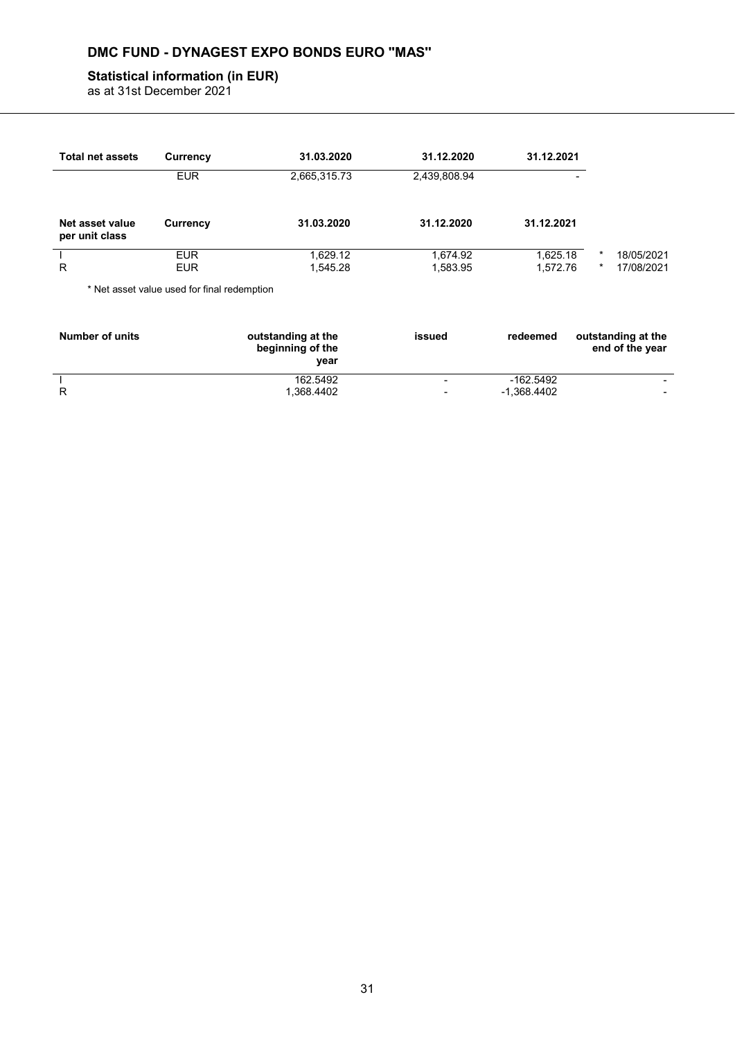# **DMC FUND - DYNAGEST EXPO BONDS EURO ''MAS''**

# **Statistical information (in EUR)**

as at 31st December 2021

| <b>Total net assets</b>           | Currency                                    | 31.03.2020           | 31.12.2020           | 31.12.2021           |              |                          |
|-----------------------------------|---------------------------------------------|----------------------|----------------------|----------------------|--------------|--------------------------|
|                                   | <b>EUR</b>                                  | 2,665,315.73         | 2,439,808.94         | -                    |              |                          |
| Net asset value<br>per unit class | Currency                                    | 31.03.2020           | 31.12.2020           | 31.12.2021           |              |                          |
| R                                 | <b>EUR</b><br><b>EUR</b>                    | 1,629.12<br>1,545.28 | 1,674.92<br>1,583.95 | 1,625.18<br>1,572.76 | $\star$<br>* | 18/05/2021<br>17/08/2021 |
|                                   | * Net asset value used for final redemption |                      |                      |                      |              |                          |

| <b>Number of units</b> | outstanding at the<br>beginning of the<br>year | issued | redeemed      | outstanding at the<br>end of the year |
|------------------------|------------------------------------------------|--------|---------------|---------------------------------------|
|                        | 162.5492                                       | -      | -162.5492     | $\overline{\phantom{0}}$              |
|                        | .368.4402                                      | -      | $-1.368.4402$ |                                       |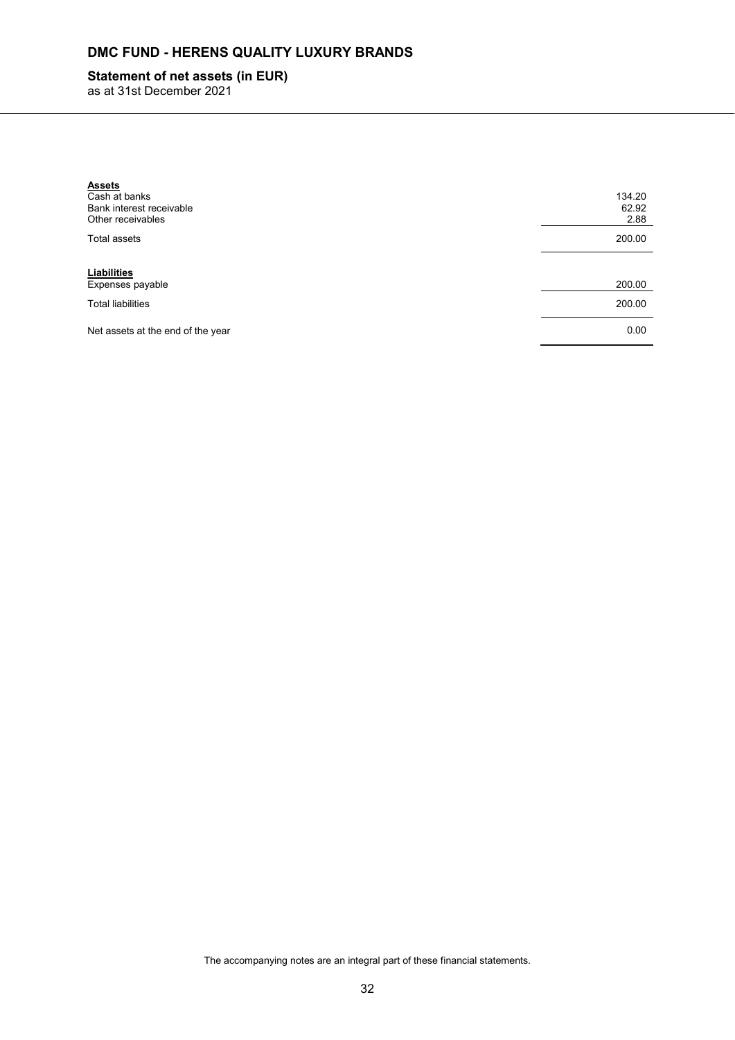# **Statement of net assets (in EUR)**

as at 31st December 2021

| <b>Assets</b><br>Cash at banks<br>Bank interest receivable<br>Other receivables | 134.20<br>62.92<br>2.88 |
|---------------------------------------------------------------------------------|-------------------------|
| <b>Total assets</b>                                                             | 200.00                  |
| Liabilities<br>Expenses payable                                                 | 200.00                  |
| <b>Total liabilities</b>                                                        | 200.00                  |
| Net assets at the end of the year                                               | 0.00                    |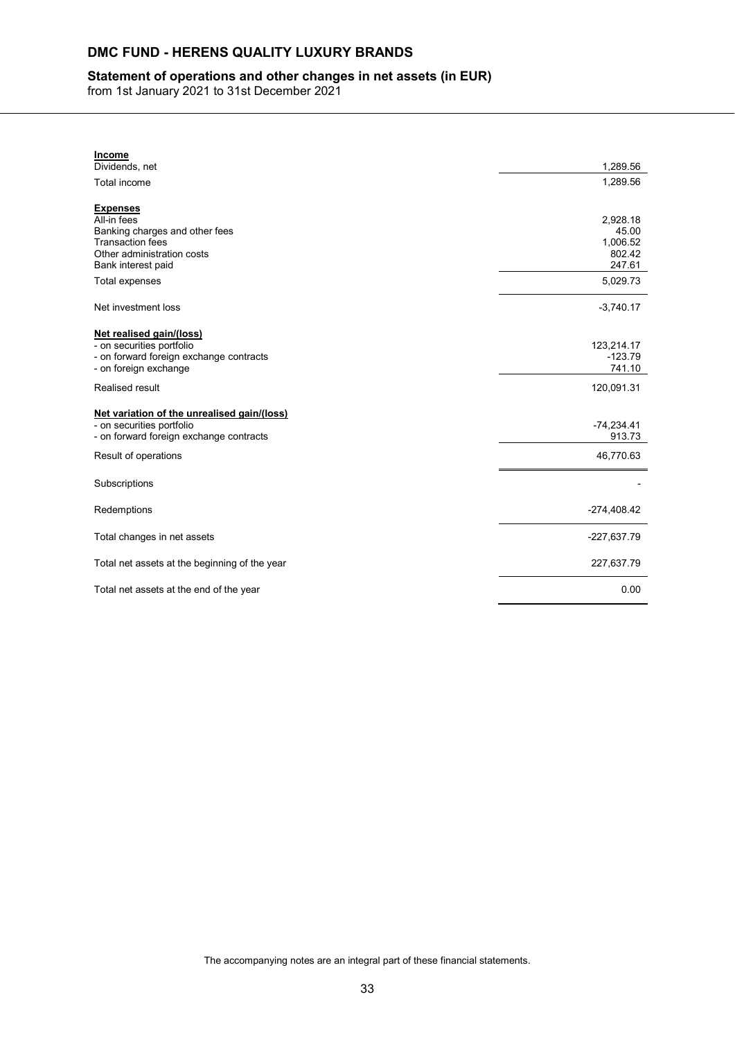## **Statement of operations and other changes in net assets (in EUR)**

from 1st January 2021 to 31st December 2021

| <b>Income</b>                                                        |                        |
|----------------------------------------------------------------------|------------------------|
| Dividends, net                                                       | 1,289.56               |
| Total income                                                         | 1,289.56               |
|                                                                      |                        |
| <b>Expenses</b><br>All-in fees                                       | 2,928.18               |
| Banking charges and other fees                                       | 45.00                  |
| <b>Transaction fees</b>                                              | 1,006.52               |
| Other administration costs                                           | 802.42                 |
| Bank interest paid                                                   | 247.61                 |
| Total expenses                                                       | 5,029.73               |
|                                                                      |                        |
| Net investment loss                                                  | $-3,740.17$            |
|                                                                      |                        |
| Net realised gain/(loss)<br>- on securities portfolio                | 123,214.17             |
| - on forward foreign exchange contracts                              | $-123.79$              |
| - on foreign exchange                                                | 741.10                 |
| Realised result                                                      | 120,091.31             |
|                                                                      |                        |
| Net variation of the unrealised gain/(loss)                          |                        |
| - on securities portfolio<br>- on forward foreign exchange contracts | $-74,234.41$<br>913.73 |
|                                                                      |                        |
| Result of operations                                                 | 46,770.63              |
| Subscriptions                                                        |                        |
|                                                                      |                        |
| Redemptions                                                          | $-274,408.42$          |
| Total changes in net assets                                          | -227,637.79            |
|                                                                      |                        |
| Total net assets at the beginning of the year                        | 227,637.79             |
| Total net assets at the end of the year                              | 0.00                   |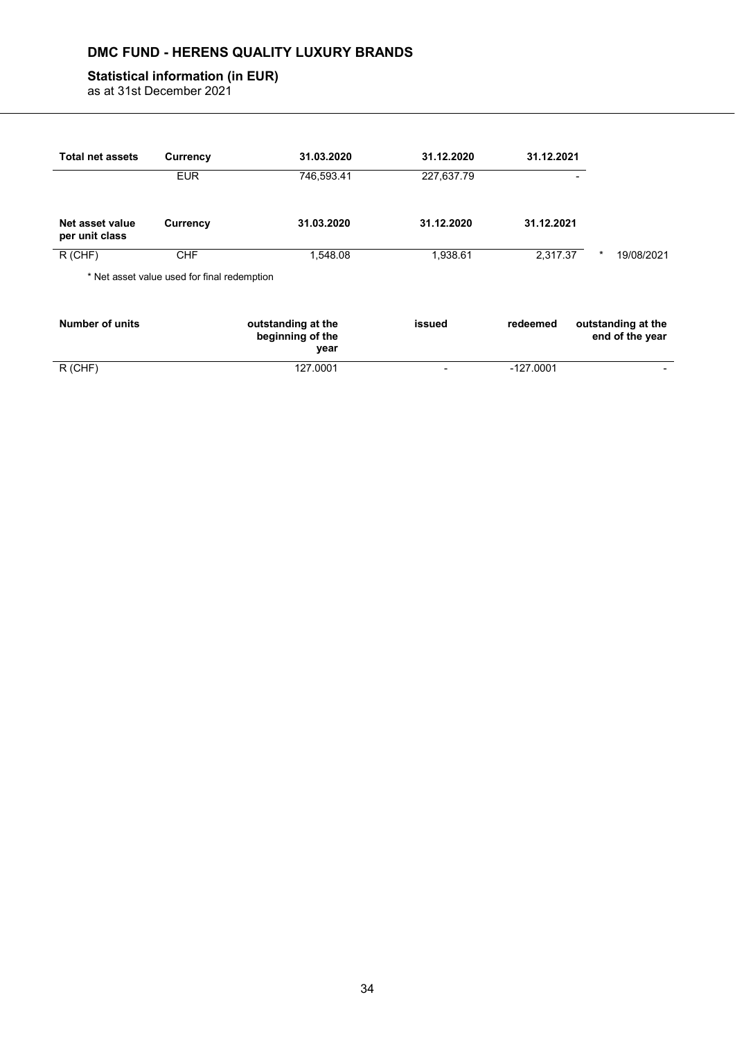## **Statistical information (in EUR)**

as at 31st December 2021

| <b>Total net assets</b>           | Currency                                    | 31.03.2020                                     | 31.12.2020               | 31.12.2021 |                                       |
|-----------------------------------|---------------------------------------------|------------------------------------------------|--------------------------|------------|---------------------------------------|
|                                   | <b>EUR</b>                                  | 746,593.41                                     | 227,637.79               |            | ٠                                     |
| Net asset value<br>per unit class | <b>Currency</b>                             | 31.03.2020                                     | 31.12.2020               | 31.12.2021 |                                       |
| $R$ (CHF)                         | <b>CHF</b>                                  | 1.548.08                                       | 1,938.61                 | 2.317.37   | $\star$<br>19/08/2021                 |
|                                   | * Net asset value used for final redemption |                                                |                          |            |                                       |
| <b>Number of units</b>            |                                             | outstanding at the<br>beginning of the<br>year | issued                   | redeemed   | outstanding at the<br>end of the year |
| $R$ (CHF)                         |                                             | 127.0001                                       | $\overline{\phantom{0}}$ | -127.0001  |                                       |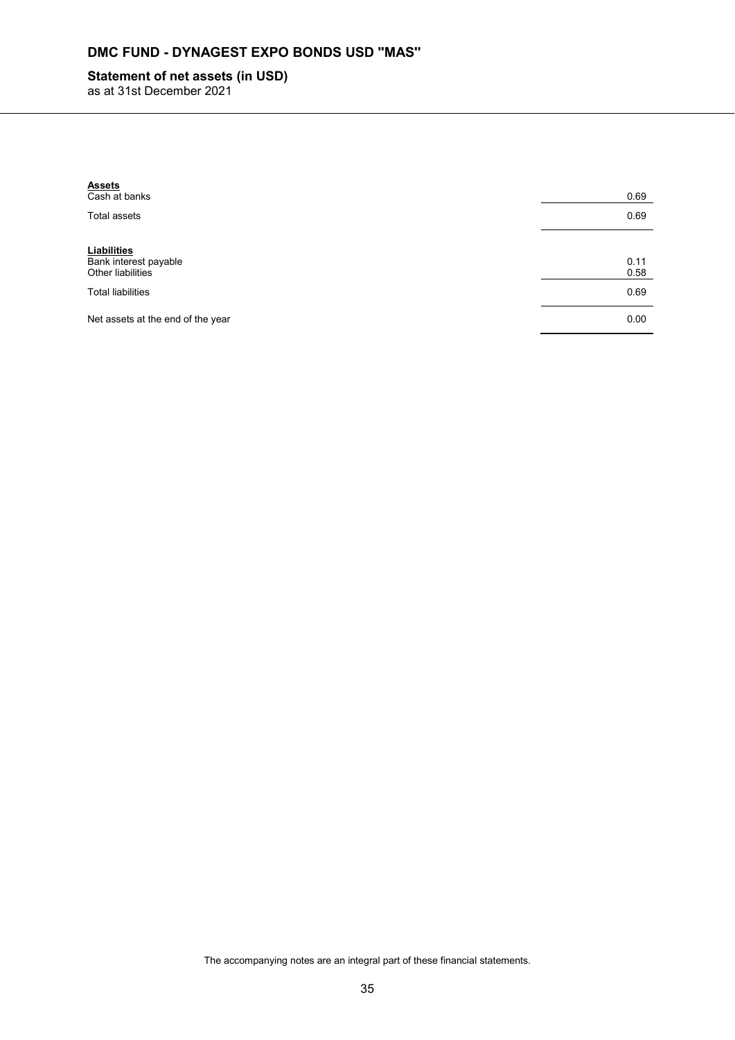# **DMC FUND - DYNAGEST EXPO BONDS USD ''MAS''**

# **Statement of net assets (in USD)**

as at 31st December 2021

| <b>Assets</b><br>Cash at banks                            | 0.69         |
|-----------------------------------------------------------|--------------|
| Total assets                                              | 0.69         |
| Liabilities<br>Bank interest payable<br>Other liabilities | 0.11<br>0.58 |
| <b>Total liabilities</b>                                  | 0.69         |
| Net assets at the end of the year                         | 0.00         |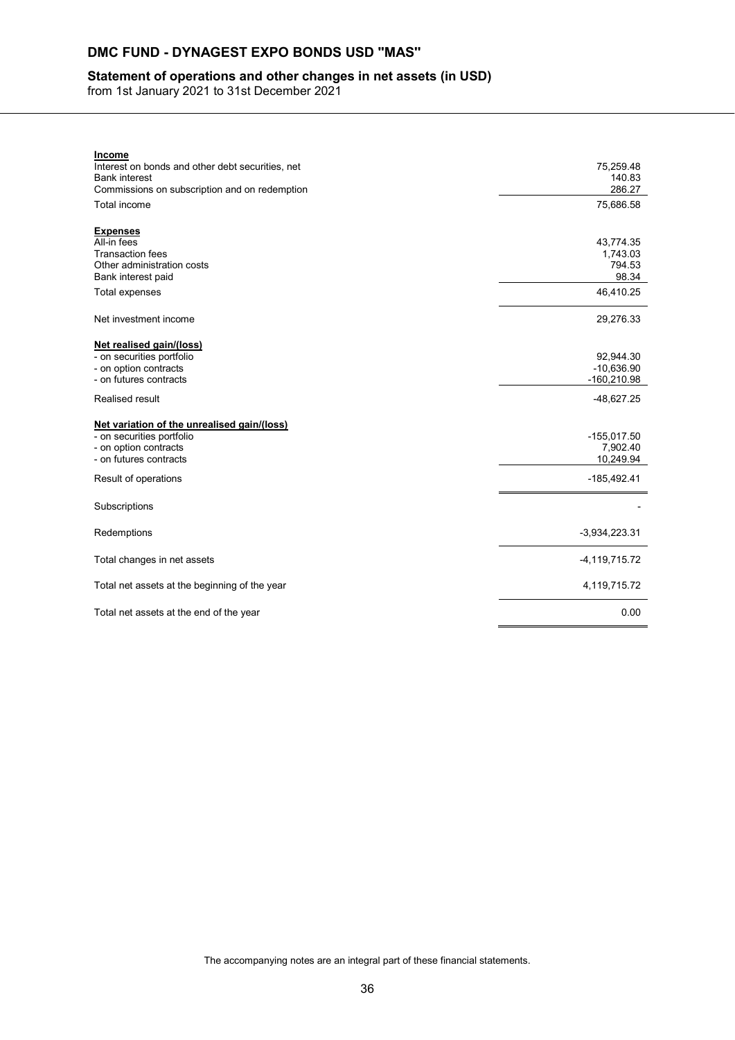# **DMC FUND - DYNAGEST EXPO BONDS USD ''MAS''**

## **Statement of operations and other changes in net assets (in USD)**

from 1st January 2021 to 31st December 2021

| Interest on bonds and other debt securities, net<br><b>Bank interest</b><br>Commissions on subscription and on redemption | 75,259.48<br>140.83 |
|---------------------------------------------------------------------------------------------------------------------------|---------------------|
|                                                                                                                           |                     |
|                                                                                                                           |                     |
|                                                                                                                           | 286.27              |
| Total income                                                                                                              | 75,686.58           |
|                                                                                                                           |                     |
| <b>Expenses</b>                                                                                                           |                     |
| All-in fees                                                                                                               | 43,774.35           |
| <b>Transaction fees</b>                                                                                                   | 1,743.03            |
| Other administration costs                                                                                                | 794.53              |
| Bank interest paid                                                                                                        | 98.34               |
| <b>Total expenses</b>                                                                                                     | 46,410.25           |
|                                                                                                                           |                     |
| Net investment income                                                                                                     | 29,276.33           |
|                                                                                                                           |                     |
| Net realised gain/(loss)<br>- on securities portfolio                                                                     | 92,944.30           |
| - on option contracts                                                                                                     | $-10,636.90$        |
| - on futures contracts                                                                                                    | $-160,210.98$       |
|                                                                                                                           |                     |
| Realised result                                                                                                           | $-48,627.25$        |
| Net variation of the unrealised gain/(loss)                                                                               |                     |
| - on securities portfolio                                                                                                 | $-155,017.50$       |
| - on option contracts                                                                                                     | 7,902.40            |
| - on futures contracts                                                                                                    | 10,249.94           |
| Result of operations                                                                                                      | $-185,492.41$       |
|                                                                                                                           |                     |
| Subscriptions                                                                                                             |                     |
|                                                                                                                           |                     |
| Redemptions                                                                                                               | $-3,934,223.31$     |
|                                                                                                                           |                     |
| Total changes in net assets                                                                                               | $-4, 119, 715.72$   |
|                                                                                                                           |                     |
| Total net assets at the beginning of the year                                                                             | 4,119,715.72        |
|                                                                                                                           |                     |
| Total net assets at the end of the year                                                                                   | 0.00                |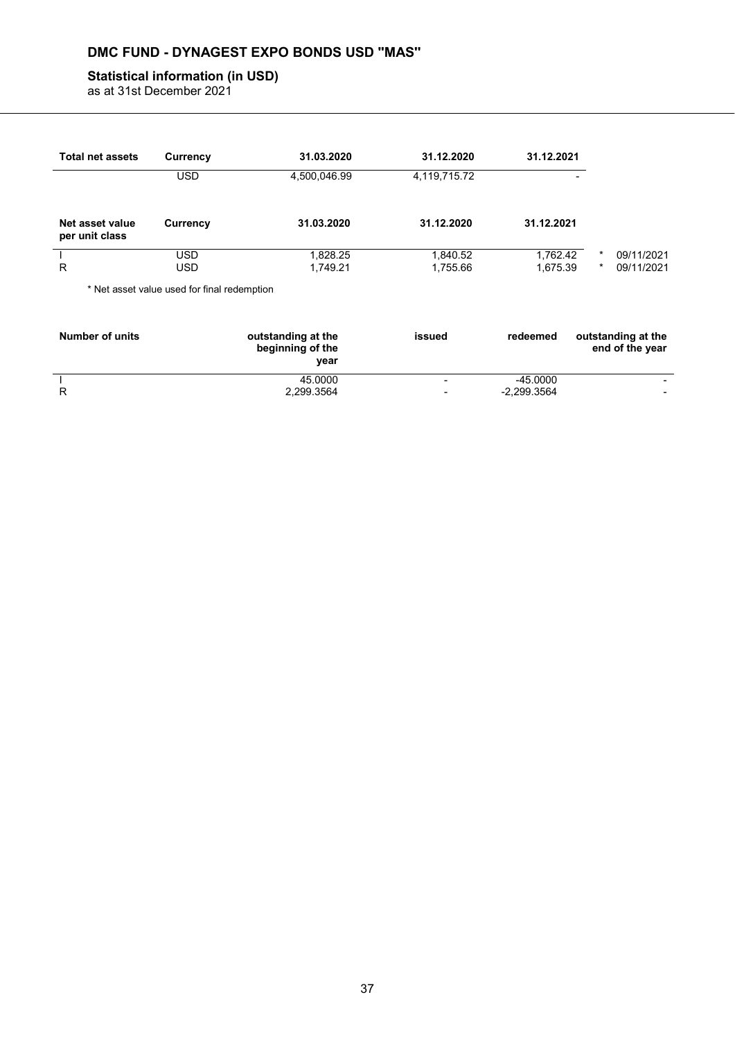# **DMC FUND - DYNAGEST EXPO BONDS USD ''MAS''**

## **Statistical information (in USD)**

as at 31st December 2021

| <b>Total net assets</b>           | Currency                                    | 31.03.2020   | 31.12.2020   | 31.12.2021 |          |            |
|-----------------------------------|---------------------------------------------|--------------|--------------|------------|----------|------------|
|                                   | <b>USD</b>                                  | 4,500,046.99 | 4,119,715.72 | -          |          |            |
| Net asset value<br>per unit class | <b>Currency</b>                             | 31.03.2020   | 31.12.2020   | 31.12.2021 |          |            |
|                                   | <b>USD</b>                                  | 1,828.25     | 1,840.52     | 1,762.42   | $^\star$ | 09/11/2021 |
| R                                 | <b>USD</b>                                  | 1,749.21     | 1,755.66     | 1,675.39   | $^\star$ | 09/11/2021 |
|                                   | * Net asset value used for final redemption |              |              |            |          |            |

| <b>Number of units</b> | outstanding at the<br>beginning of the<br>vear | issued                   | redeemed    | outstanding at the<br>end of the year |
|------------------------|------------------------------------------------|--------------------------|-------------|---------------------------------------|
|                        | 45.0000                                        | $\sim$                   | $-45.0000$  | $\overline{\phantom{0}}$              |
|                        | 2,299.3564                                     | $\overline{\phantom{0}}$ | -2.299.3564 | -                                     |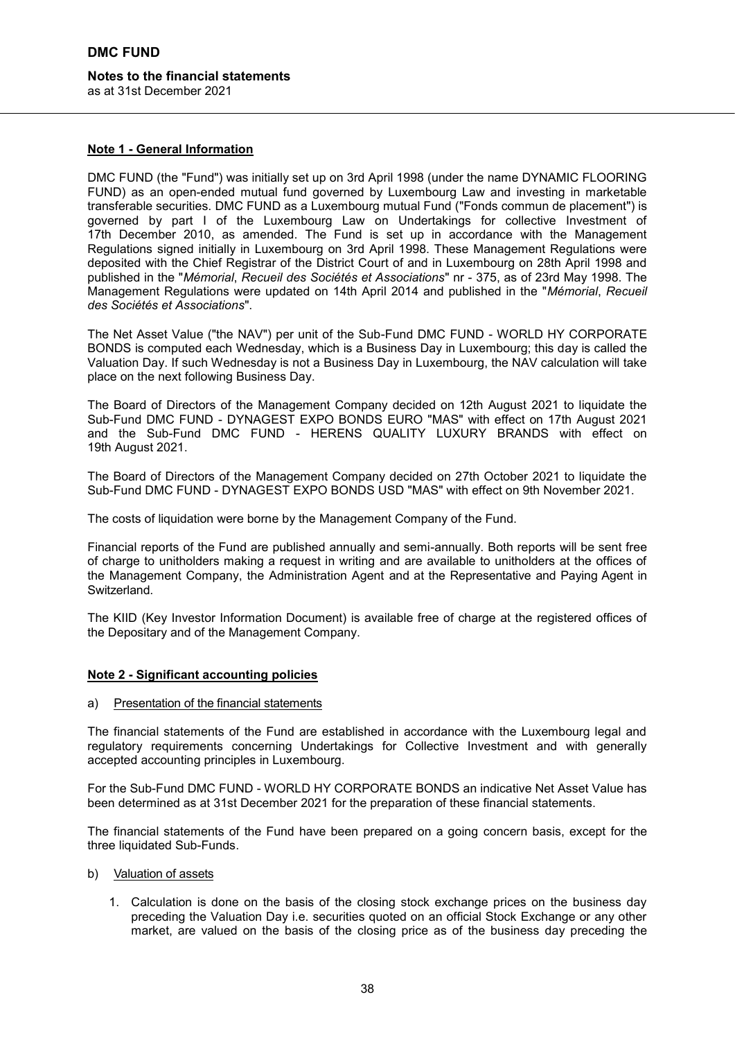# **Notes to the financial statements**

as at 31st December 2021

#### **Note 1 - General Information**

DMC FUND (the "Fund") was initially set up on 3rd April 1998 (under the name DYNAMIC FLOORING FUND) as an open-ended mutual fund governed by Luxembourg Law and investing in marketable transferable securities. DMC FUND as a Luxembourg mutual Fund ("Fonds commun de placement") is governed by part I of the Luxembourg Law on Undertakings for collective Investment of 17th December 2010, as amended. The Fund is set up in accordance with the Management Regulations signed initially in Luxembourg on 3rd April 1998. These Management Regulations were deposited with the Chief Registrar of the District Court of and in Luxembourg on 28th April 1998 and published in the "*Mémorial*, *Recueil des Sociétés et Associations*" nr - 375, as of 23rd May 1998. The Management Regulations were updated on 14th April 2014 and published in the "*Mémorial*, *Recueil des Sociétés et Associations*".

The Net Asset Value ("the NAV") per unit of the Sub-Fund DMC FUND - WORLD HY CORPORATE BONDS is computed each Wednesday, which is a Business Day in Luxembourg; this day is called the Valuation Day. If such Wednesday is not a Business Day in Luxembourg, the NAV calculation will take place on the next following Business Day.

The Board of Directors of the Management Company decided on 12th August 2021 to liquidate the Sub-Fund DMC FUND - DYNAGEST EXPO BONDS EURO "MAS" with effect on 17th August 2021 and the Sub-Fund DMC FUND - HERENS QUALITY LUXURY BRANDS with effect on 19th August 2021.

The Board of Directors of the Management Company decided on 27th October 2021 to liquidate the Sub-Fund DMC FUND - DYNAGEST EXPO BONDS USD "MAS" with effect on 9th November 2021.

The costs of liquidation were borne by the Management Company of the Fund.

Financial reports of the Fund are published annually and semi-annually. Both reports will be sent free of charge to unitholders making a request in writing and are available to unitholders at the offices of the Management Company, the Administration Agent and at the Representative and Paying Agent in Switzerland.

The KIID (Key Investor Information Document) is available free of charge at the registered offices of the Depositary and of the Management Company.

#### **Note 2 - Significant accounting policies**

a) Presentation of the financial statements

The financial statements of the Fund are established in accordance with the Luxembourg legal and regulatory requirements concerning Undertakings for Collective Investment and with generally accepted accounting principles in Luxembourg.

For the Sub-Fund DMC FUND - WORLD HY CORPORATE BONDS an indicative Net Asset Value has been determined as at 31st December 2021 for the preparation of these financial statements.

The financial statements of the Fund have been prepared on a going concern basis, except for the three liquidated Sub-Funds.

- b) Valuation of assets
	- 1. Calculation is done on the basis of the closing stock exchange prices on the business day preceding the Valuation Day i.e. securities quoted on an official Stock Exchange or any other market, are valued on the basis of the closing price as of the business day preceding the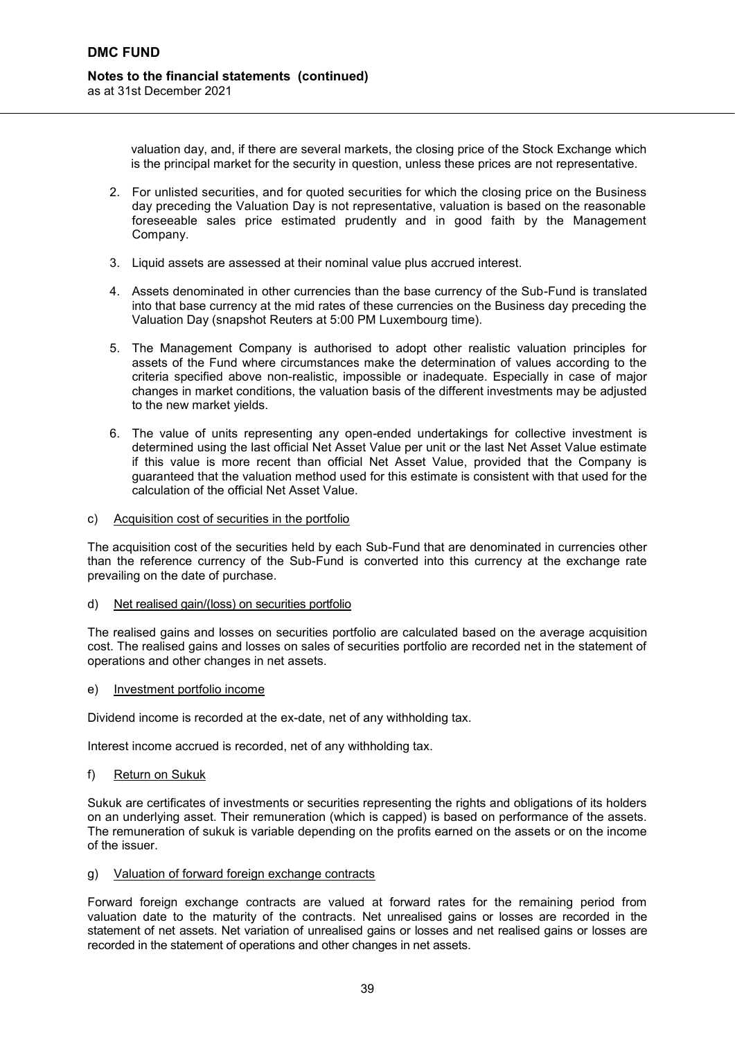valuation day, and, if there are several markets, the closing price of the Stock Exchange which is the principal market for the security in question, unless these prices are not representative.

- 2. For unlisted securities, and for quoted securities for which the closing price on the Business day preceding the Valuation Day is not representative, valuation is based on the reasonable foreseeable sales price estimated prudently and in good faith by the Management Company.
- 3. Liquid assets are assessed at their nominal value plus accrued interest.
- 4. Assets denominated in other currencies than the base currency of the Sub-Fund is translated into that base currency at the mid rates of these currencies on the Business day preceding the Valuation Day (snapshot Reuters at 5:00 PM Luxembourg time).
- 5. The Management Company is authorised to adopt other realistic valuation principles for assets of the Fund where circumstances make the determination of values according to the criteria specified above non-realistic, impossible or inadequate. Especially in case of major changes in market conditions, the valuation basis of the different investments may be adjusted to the new market yields.
- 6. The value of units representing any open-ended undertakings for collective investment is determined using the last official Net Asset Value per unit or the last Net Asset Value estimate if this value is more recent than official Net Asset Value, provided that the Company is guaranteed that the valuation method used for this estimate is consistent with that used for the calculation of the official Net Asset Value.
- c) Acquisition cost of securities in the portfolio

The acquisition cost of the securities held by each Sub-Fund that are denominated in currencies other than the reference currency of the Sub-Fund is converted into this currency at the exchange rate prevailing on the date of purchase.

d) Net realised gain/(loss) on securities portfolio

The realised gains and losses on securities portfolio are calculated based on the average acquisition cost. The realised gains and losses on sales of securities portfolio are recorded net in the statement of operations and other changes in net assets.

e) Investment portfolio income

Dividend income is recorded at the ex-date, net of any withholding tax.

Interest income accrued is recorded, net of any withholding tax.

f) Return on Sukuk

Sukuk are certificates of investments or securities representing the rights and obligations of its holders on an underlying asset. Their remuneration (which is capped) is based on performance of the assets. The remuneration of sukuk is variable depending on the profits earned on the assets or on the income of the issuer.

#### g) Valuation of forward foreign exchange contracts

Forward foreign exchange contracts are valued at forward rates for the remaining period from valuation date to the maturity of the contracts. Net unrealised gains or losses are recorded in the statement of net assets. Net variation of unrealised gains or losses and net realised gains or losses are recorded in the statement of operations and other changes in net assets.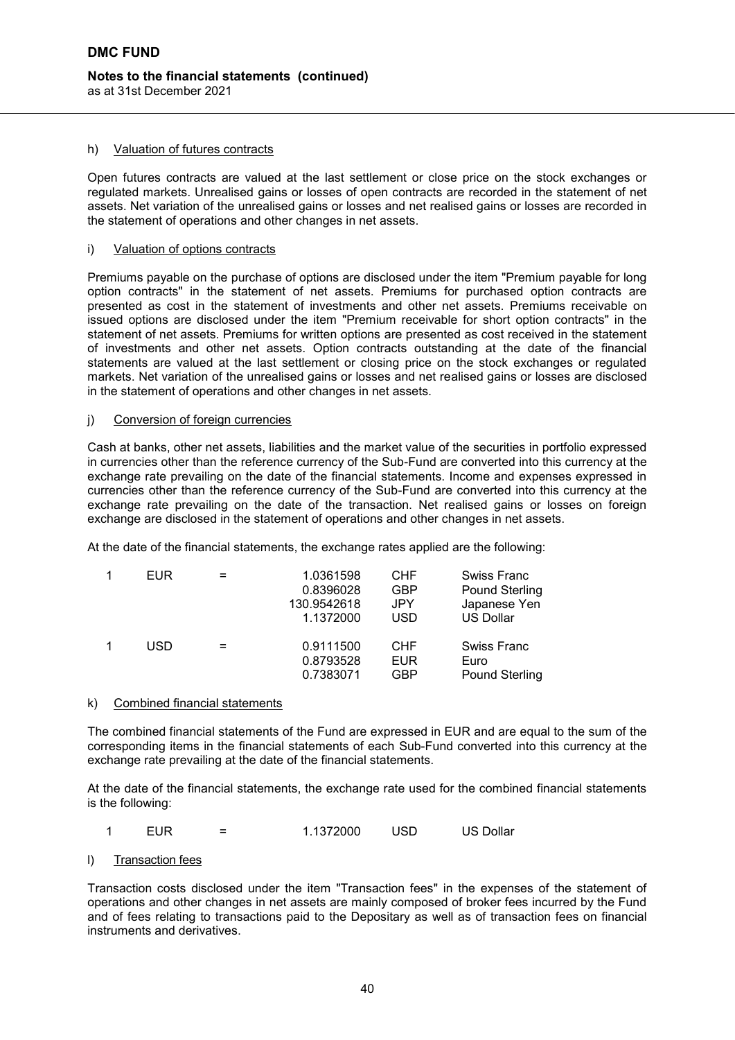#### h) Valuation of futures contracts

Open futures contracts are valued at the last settlement or close price on the stock exchanges or regulated markets. Unrealised gains or losses of open contracts are recorded in the statement of net assets. Net variation of the unrealised gains or losses and net realised gains or losses are recorded in the statement of operations and other changes in net assets.

#### i) Valuation of options contracts

Premiums payable on the purchase of options are disclosed under the item "Premium payable for long option contractsʺ in the statement of net assets. Premiums for purchased option contracts are presented as cost in the statement of investments and other net assets. Premiums receivable on issued options are disclosed under the item "Premium receivable for short option contracts" in the statement of net assets. Premiums for written options are presented as cost received in the statement of investments and other net assets. Option contracts outstanding at the date of the financial statements are valued at the last settlement or closing price on the stock exchanges or regulated markets. Net variation of the unrealised gains or losses and net realised gains or losses are disclosed in the statement of operations and other changes in net assets.

#### j) Conversion of foreign currencies

Cash at banks, other net assets, liabilities and the market value of the securities in portfolio expressed in currencies other than the reference currency of the Sub-Fund are converted into this currency at the exchange rate prevailing on the date of the financial statements. Income and expenses expressed in currencies other than the reference currency of the Sub-Fund are converted into this currency at the exchange rate prevailing on the date of the transaction. Net realised gains or losses on foreign exchange are disclosed in the statement of operations and other changes in net assets.

At the date of the financial statements, the exchange rates applied are the following:

| <b>EUR</b> | 1.0361598<br>0.8396028<br>130.9542618<br>1.1372000 | <b>CHF</b><br><b>GBP</b><br><b>JPY</b><br><b>USD</b> | <b>Swiss Franc</b><br><b>Pound Sterling</b><br>Japanese Yen<br><b>US Dollar</b> |
|------------|----------------------------------------------------|------------------------------------------------------|---------------------------------------------------------------------------------|
| USD        | 0.9111500<br>0.8793528<br>0.7383071                | <b>CHF</b><br><b>EUR</b><br><b>GBP</b>               | Swiss Franc<br>Euro<br><b>Pound Sterling</b>                                    |

#### k) Combined financial statements

The combined financial statements of the Fund are expressed in EUR and are equal to the sum of the corresponding items in the financial statements of each Sub-Fund converted into this currency at the exchange rate prevailing at the date of the financial statements.

At the date of the financial statements, the exchange rate used for the combined financial statements is the following:

| EUR | 1.1372000 | USD | US Dollar |
|-----|-----------|-----|-----------|
|-----|-----------|-----|-----------|

#### l) Transaction fees

Transaction costs disclosed under the item "Transaction fees" in the expenses of the statement of operations and other changes in net assets are mainly composed of broker fees incurred by the Fund and of fees relating to transactions paid to the Depositary as well as of transaction fees on financial instruments and derivatives.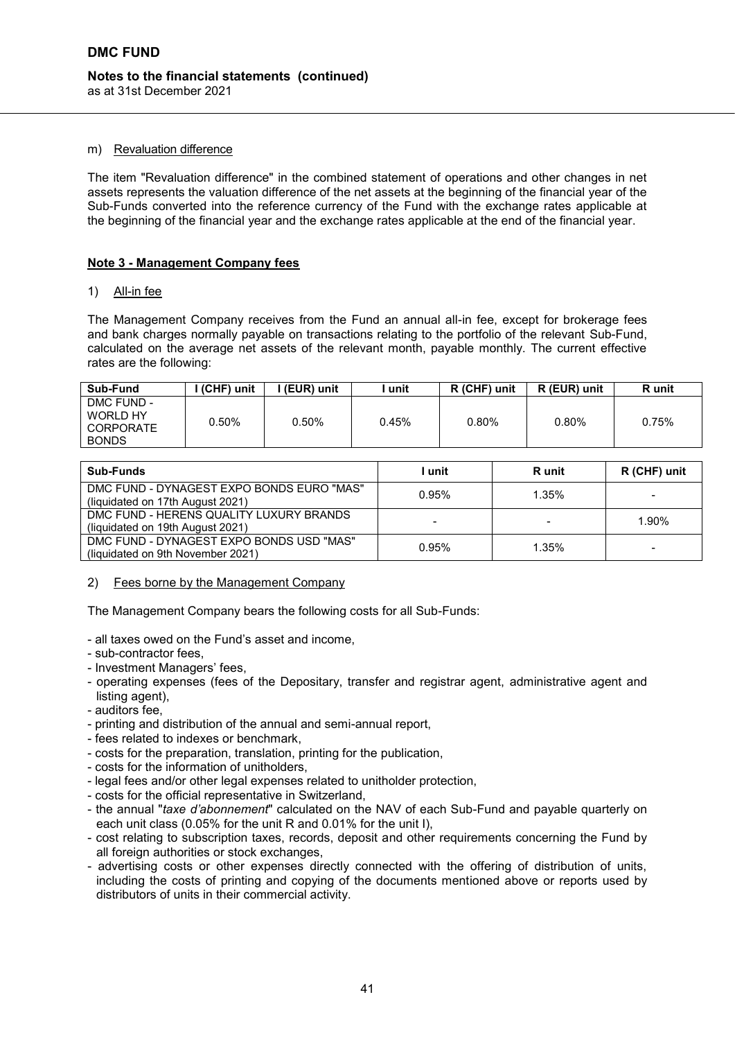#### **Notes to the financial statements (continued)** as at 31st December 2021

#### m) Revaluation difference

The item "Revaluation difference" in the combined statement of operations and other changes in net assets represents the valuation difference of the net assets at the beginning of the financial year of the Sub-Funds converted into the reference currency of the Fund with the exchange rates applicable at the beginning of the financial year and the exchange rates applicable at the end of the financial year.

#### **Note 3 - Management Company fees**

#### 1) All-in fee

The Management Company receives from the Fund an annual all-in fee, except for brokerage fees and bank charges normally payable on transactions relating to the portfolio of the relevant Sub-Fund, calculated on the average net assets of the relevant month, payable monthly. The current effective rates are the following:

| Sub-Fund                                            | I (CHF) unit | l (EUR) unit | unit  | R (CHF) unit | R (EUR) unit | R unit |
|-----------------------------------------------------|--------------|--------------|-------|--------------|--------------|--------|
| DMC FUND -<br>WORLD HY<br>CORPORATE<br><b>BONDS</b> | 0.50%        | 0.50%        | 0.45% | 0.80%        | 0.80%        | 0.75%  |

| <b>Sub-Funds</b>                                                              | ∣ unit | <b>R</b> unit | R (CHF) unit |
|-------------------------------------------------------------------------------|--------|---------------|--------------|
| DMC FUND - DYNAGEST EXPO BONDS EURO "MAS"<br>(liquidated on 17th August 2021) | 0.95%  | 1.35%         |              |
| DMC FUND - HERENS QUALITY LUXURY BRANDS<br>(liquidated on 19th August 2021)   |        |               | 1.90%        |
| DMC FUND - DYNAGEST EXPO BONDS USD "MAS"<br>(liquidated on 9th November 2021) | 0.95%  | 1.35%         |              |

#### 2) Fees borne by the Management Company

The Management Company bears the following costs for all Sub-Funds:

- all taxes owed on the Fund's asset and income,
- sub-contractor fees,
- Investment Managers' fees,
- operating expenses (fees of the Depositary, transfer and registrar agent, administrative agent and listing agent),
- auditors fee,
- printing and distribution of the annual and semi-annual report,
- fees related to indexes or benchmark,
- costs for the preparation, translation, printing for the publication,
- costs for the information of unitholders,
- legal fees and/or other legal expenses related to unitholder protection,
- costs for the official representative in Switzerland,
- the annual "*taxe d'abonnement*" calculated on the NAV of each Sub-Fund and payable quarterly on each unit class (0.05% for the unit R and 0.01% for the unit I),
- cost relating to subscription taxes, records, deposit and other requirements concerning the Fund by all foreign authorities or stock exchanges,
- advertising costs or other expenses directly connected with the offering of distribution of units, including the costs of printing and copying of the documents mentioned above or reports used by distributors of units in their commercial activity.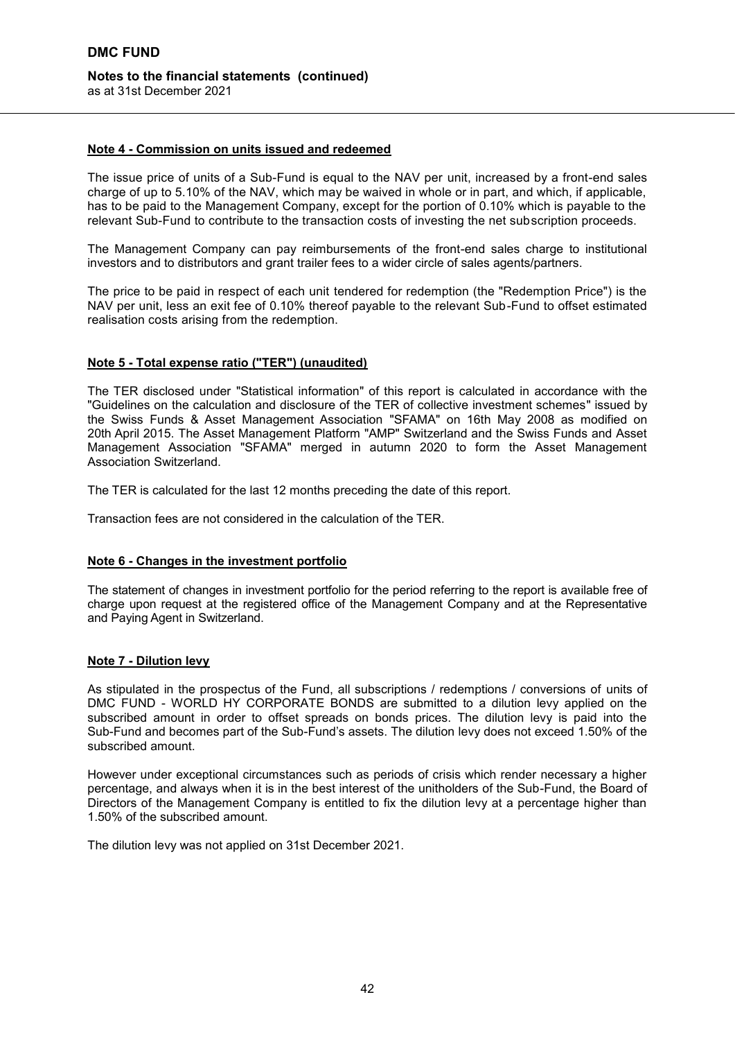#### **Note 4 - Commission on units issued and redeemed**

The issue price of units of a Sub-Fund is equal to the NAV per unit, increased by a front-end sales charge of up to 5.10% of the NAV, which may be waived in whole or in part, and which, if applicable, has to be paid to the Management Company, except for the portion of 0.10% which is payable to the relevant Sub-Fund to contribute to the transaction costs of investing the net subscription proceeds.

The Management Company can pay reimbursements of the front-end sales charge to institutional investors and to distributors and grant trailer fees to a wider circle of sales agents/partners.

The price to be paid in respect of each unit tendered for redemption (the "Redemption Price") is the NAV per unit, less an exit fee of 0.10% thereof payable to the relevant Sub-Fund to offset estimated realisation costs arising from the redemption.

#### **Note 5 - Total expense ratio ("TER") (unaudited)**

The TER disclosed under "Statistical information" of this report is calculated in accordance with the "Guidelines on the calculation and disclosure of the TER of collective investment schemes" issued by the Swiss Funds & Asset Management Association "SFAMA" on 16th May 2008 as modified on 20th April 2015. The Asset Management Platform "AMP" Switzerland and the Swiss Funds and Asset Management Association "SFAMA" merged in autumn 2020 to form the Asset Management Association Switzerland.

The TER is calculated for the last 12 months preceding the date of this report.

Transaction fees are not considered in the calculation of the TER.

#### **Note 6 - Changes in the investment portfolio**

The statement of changes in investment portfolio for the period referring to the report is available free of charge upon request at the registered office of the Management Company and at the Representative and Paying Agent in Switzerland.

#### **Note 7 - Dilution levy**

As stipulated in the prospectus of the Fund, all subscriptions / redemptions / conversions of units of DMC FUND - WORLD HY CORPORATE BONDS are submitted to a dilution levy applied on the subscribed amount in order to offset spreads on bonds prices. The dilution levy is paid into the Sub-Fund and becomes part of the Sub-Fund's assets. The dilution levy does not exceed 1.50% of the subscribed amount.

However under exceptional circumstances such as periods of crisis which render necessary a higher percentage, and always when it is in the best interest of the unitholders of the Sub-Fund, the Board of Directors of the Management Company is entitled to fix the dilution levy at a percentage higher than 1.50% of the subscribed amount.

The dilution levy was not applied on 31st December 2021.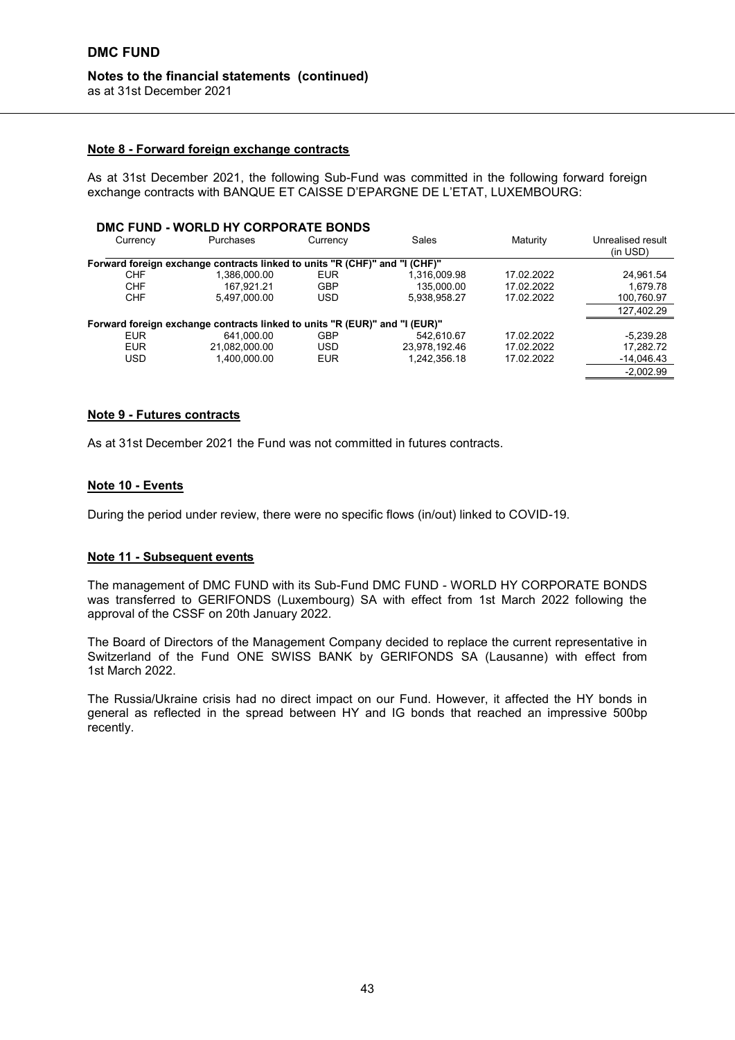## as at 31st December 2021

## **Note 8 - Forward foreign exchange contracts**

As at 31st December 2021, the following Sub-Fund was committed in the following forward foreign exchange contracts with BANQUE ET CAISSE D'EPARGNE DE L'ETAT, LUXEMBOURG:

|            | DMC FUND - WORLD HY CORPORATE BONDS                                        |            |               |            |                                       |
|------------|----------------------------------------------------------------------------|------------|---------------|------------|---------------------------------------|
| Currency   | Purchases                                                                  | Currency   | Sales         | Maturity   | Unrealised result<br>(in <b>USD</b> ) |
|            | Forward foreign exchange contracts linked to units "R (CHF)" and "I (CHF)" |            |               |            |                                       |
| <b>CHF</b> | 1.386.000.00                                                               | <b>EUR</b> | 1.316.009.98  | 17.02.2022 | 24,961.54                             |
| <b>CHF</b> | 167.921.21                                                                 | <b>GBP</b> | 135.000.00    | 17.02.2022 | 1.679.78                              |
| <b>CHF</b> | 5.497.000.00                                                               | <b>USD</b> | 5,938,958.27  | 17.02.2022 | 100,760.97                            |
|            |                                                                            |            |               |            | 127,402.29                            |
|            | Forward foreign exchange contracts linked to units "R (EUR)" and "I (EUR)" |            |               |            |                                       |
| <b>EUR</b> | 641.000.00                                                                 | <b>GBP</b> | 542.610.67    | 17.02.2022 | $-5.239.28$                           |
| <b>EUR</b> | 21,082,000.00                                                              | <b>USD</b> | 23,978,192.46 | 17.02.2022 | 17,282.72                             |
| USD        | 1.400.000.00                                                               | <b>EUR</b> | 1,242,356.18  | 17.02.2022 | $-14,046.43$                          |
|            |                                                                            |            |               |            | $-2.002.99$                           |

#### **Note 9 - Futures contracts**

As at 31st December 2021 the Fund was not committed in futures contracts.

#### **Note 10 - Events**

During the period under review, there were no specific flows (in/out) linked to COVID-19.

#### **Note 11 - Subsequent events**

The management of DMC FUND with its Sub-Fund DMC FUND - WORLD HY CORPORATE BONDS was transferred to GERIFONDS (Luxembourg) SA with effect from 1st March 2022 following the approval of the CSSF on 20th January 2022.

The Board of Directors of the Management Company decided to replace the current representative in Switzerland of the Fund ONE SWISS BANK by GERIFONDS SA (Lausanne) with effect from 1st March 2022.

The Russia/Ukraine crisis had no direct impact on our Fund. However, it affected the HY bonds in general as reflected in the spread between HY and IG bonds that reached an impressive 500bp recently.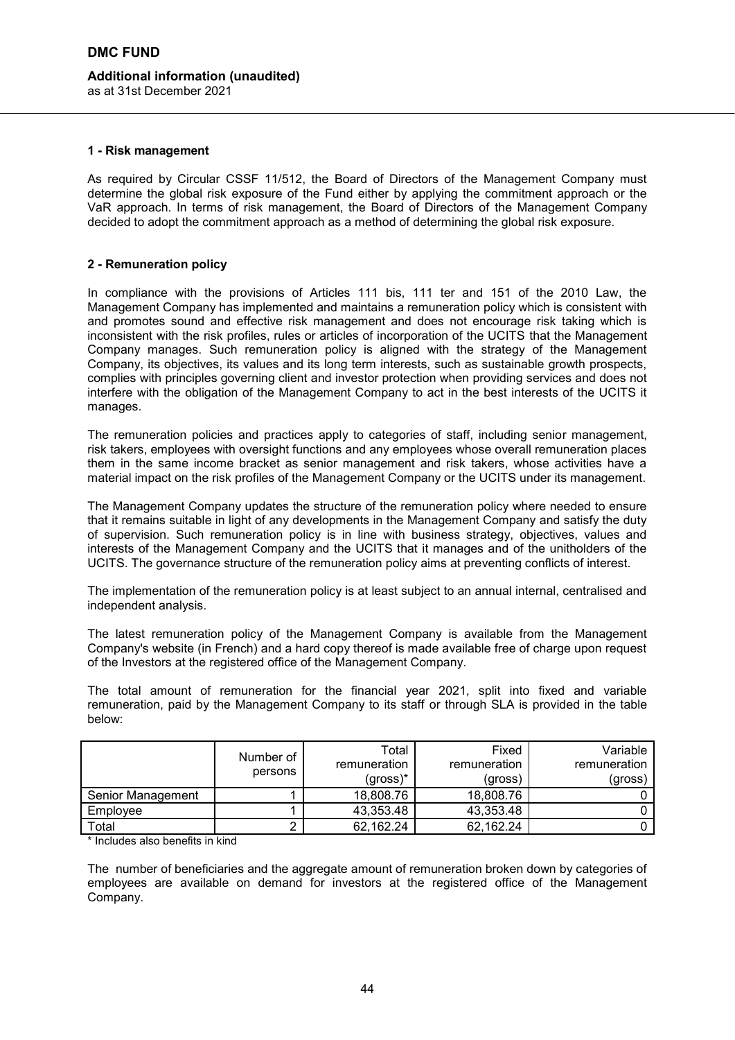# **Additional information (unaudited)**

as at 31st December 2021

#### **1 - Risk management**

As required by Circular CSSF 11/512, the Board of Directors of the Management Company must determine the global risk exposure of the Fund either by applying the commitment approach or the VaR approach. In terms of risk management, the Board of Directors of the Management Company decided to adopt the commitment approach as a method of determining the global risk exposure.

#### **2 - Remuneration policy**

In compliance with the provisions of Articles 111 bis, 111 ter and 151 of the 2010 Law, the Management Company has implemented and maintains a remuneration policy which is consistent with and promotes sound and effective risk management and does not encourage risk taking which is inconsistent with the risk profiles, rules or articles of incorporation of the UCITS that the Management Company manages. Such remuneration policy is aligned with the strategy of the Management Company, its objectives, its values and its long term interests, such as sustainable growth prospects, complies with principles governing client and investor protection when providing services and does not interfere with the obligation of the Management Company to act in the best interests of the UCITS it manages.

The remuneration policies and practices apply to categories of staff, including senior management, risk takers, employees with oversight functions and any employees whose overall remuneration places them in the same income bracket as senior management and risk takers, whose activities have a material impact on the risk profiles of the Management Company or the UCITS under its management.

The Management Company updates the structure of the remuneration policy where needed to ensure that it remains suitable in light of any developments in the Management Company and satisfy the duty of supervision. Such remuneration policy is in line with business strategy, objectives, values and interests of the Management Company and the UCITS that it manages and of the unitholders of the UCITS. The governance structure of the remuneration policy aims at preventing conflicts of interest.

The implementation of the remuneration policy is at least subject to an annual internal, centralised and independent analysis.

The latest remuneration policy of the Management Company is available from the Management Company's website (in French) and a hard copy thereof is made available free of charge upon request of the Investors at the registered office of the Management Company.

The total amount of remuneration for the financial year 2021, split into fixed and variable remuneration, paid by the Management Company to its staff or through SLA is provided in the table below:

|                   | Number of<br>persons | Total<br>remuneration<br>$(gross)*$ | Fixed<br>remuneration<br>(gross) | Variable<br>remuneration<br>(gross) |
|-------------------|----------------------|-------------------------------------|----------------------------------|-------------------------------------|
| Senior Management |                      | 18,808.76                           | 18,808.76                        |                                     |
| Employee          |                      | 43,353.48                           | 43,353.48                        |                                     |
| Total             |                      | 62,162.24                           | 62,162.24                        |                                     |

\* Includes also benefits in kind

The number of beneficiaries and the aggregate amount of remuneration broken down by categories of employees are available on demand for investors at the registered office of the Management Company.